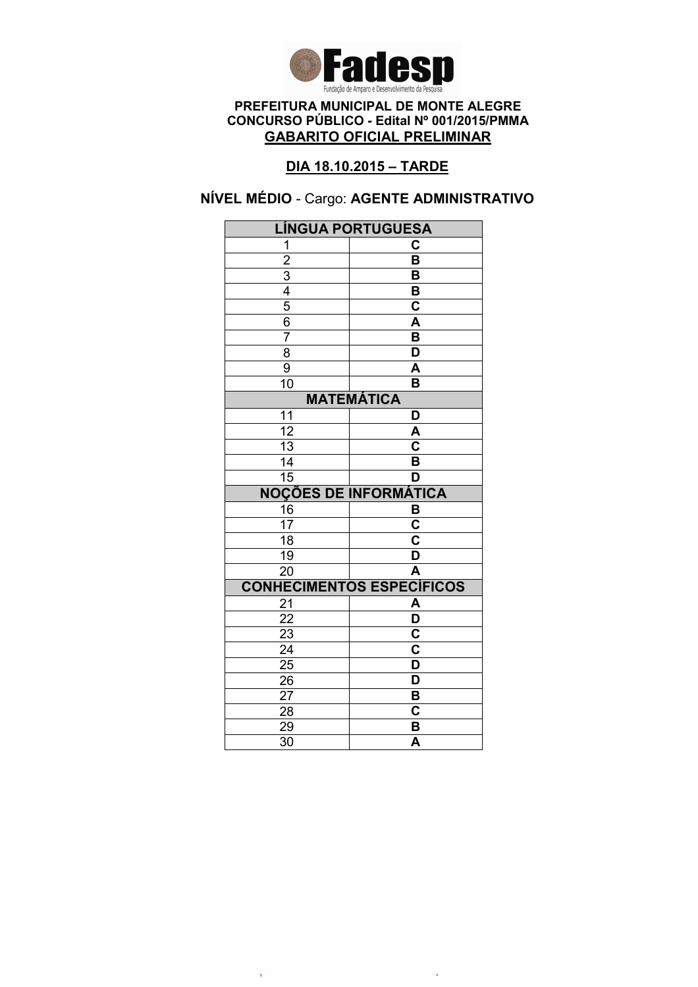

# DIA 18.10.2015 – TARDE

# NÍVEL MÉDIO - Cargo: AGENTE ADMINISTRATIVO

|                                           | <b>LÍNGUA PORTUGUESA</b>         |  |
|-------------------------------------------|----------------------------------|--|
| 1                                         | C                                |  |
|                                           | $\overline{\mathsf{B}}$          |  |
|                                           | B                                |  |
|                                           | B                                |  |
| $\frac{2}{3}$ $\frac{4}{5}$ $\frac{5}{6}$ | $\mathbf C$                      |  |
|                                           | $\overline{\mathsf{A}}$          |  |
| $\overline{7}$                            | $\overline{\mathsf{B}}$          |  |
| $\overline{8}$                            | $\overline{\mathsf{D}}$          |  |
| 9                                         | A                                |  |
| 10                                        | B                                |  |
| <b>MATEMÁTICA</b>                         |                                  |  |
| 11                                        | D                                |  |
| $\overline{12}$                           | A                                |  |
| 13                                        | C                                |  |
| 14                                        | B                                |  |
| $\overline{15}$                           | D                                |  |
|                                           | <b>NOÇÕES DE INFORMÁTICA</b>     |  |
| 16                                        | В                                |  |
| $\overline{17}$                           | $\overline{\mathbf{c}}$          |  |
| 18                                        | $\overline{\mathsf{c}}$          |  |
| 19                                        | $\overline{\mathsf{D}}$          |  |
| $\overline{20}$                           | $\overline{\mathsf{A}}$          |  |
|                                           | <b>CONHECIMENTOS ESPECÍFICOS</b> |  |
| 21                                        | A                                |  |
| 22                                        | $\overline{\mathsf{D}}$          |  |
|                                           |                                  |  |
| $\overline{23}$                           | $\overline{\mathbf{c}}$          |  |
| $\overline{24}$                           | $\overline{\mathbf{c}}$          |  |
| $\overline{25}$                           | $\overline{\mathsf{D}}$          |  |
| 26                                        | D                                |  |
| 27                                        | B                                |  |
| 28                                        | C                                |  |
| 29<br>$\overline{30}$                     | B<br>$\overline{\mathsf{A}}$     |  |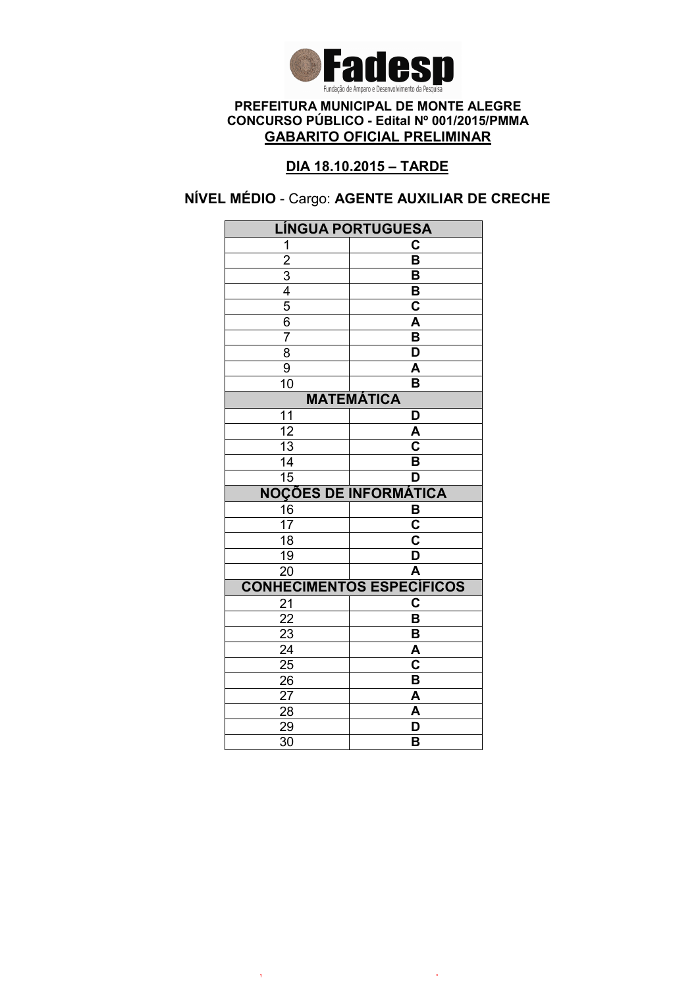

# DIA 18.10.2015 – TARDE

# NÍVEL MÉDIO - Cargo: AGENTE AUXILIAR DE CRECHE

|                       | <b>LÍNGUA PORTUGUESA</b>         |  |  |
|-----------------------|----------------------------------|--|--|
| 1                     | C                                |  |  |
| $\overline{2}$        | $\overline{\mathsf{B}}$          |  |  |
|                       | B                                |  |  |
| $\frac{3}{4}$         | B                                |  |  |
|                       | $\overline{\mathbf{c}}$          |  |  |
| 6                     | A                                |  |  |
| $\overline{7}$        | B                                |  |  |
| $\overline{8}$        | $\overline{\mathsf{D}}$          |  |  |
| 9                     | $\overline{\mathsf{A}}$          |  |  |
| 10                    | B                                |  |  |
|                       | <b>MATEMÁTICA</b>                |  |  |
| 11                    | D                                |  |  |
| $\overline{12}$       | A                                |  |  |
| $\overline{13}$       | $\overline{\mathbf{c}}$          |  |  |
| 14                    | B                                |  |  |
| $\overline{15}$       | D                                |  |  |
|                       | <b>NOÇÕES DE INFORMÁTICA</b>     |  |  |
| 16                    | B                                |  |  |
| 17                    | $\overline{\mathbf{C}}$          |  |  |
| $\overline{18}$       | $\overline{\mathbf{c}}$          |  |  |
| 19                    | $\overline{\mathsf{D}}$          |  |  |
| $\overline{20}$       | $\overline{\mathsf{A}}$          |  |  |
|                       | <b>CONHECIMENTOS ESPECÍFICOS</b> |  |  |
| 21                    | $\overline{\mathbf{C}}$          |  |  |
| 22                    | B                                |  |  |
| 23                    | B                                |  |  |
| $\overline{24}$       | $\overline{\mathsf{A}}$          |  |  |
| $\overline{25}$       | $\overline{\mathbf{c}}$          |  |  |
|                       |                                  |  |  |
| 26                    | B                                |  |  |
| 27                    | A                                |  |  |
| 28                    | A                                |  |  |
| 29<br>$\overline{30}$ | D<br>B                           |  |  |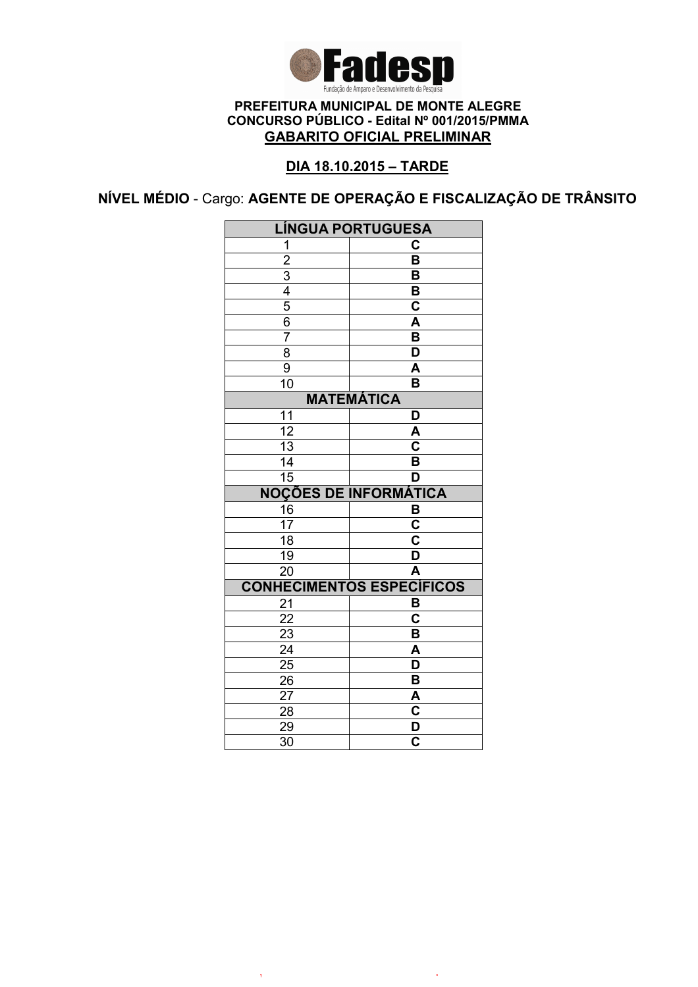

# DIA 18.10.2015 – TARDE

NÍVEL MÉDIO - Cargo: AGENTE DE OPERAÇÃO E FISCALIZAÇÃO DE TRÂNSITO

|                       | <b>LÍNGUA PORTUGUESA</b>                           |  |
|-----------------------|----------------------------------------------------|--|
| 1                     | C                                                  |  |
|                       | $\overline{\mathsf{B}}$                            |  |
| $\frac{2}{3}$         | B                                                  |  |
|                       | B                                                  |  |
| $\overline{5}$        | C                                                  |  |
| 6                     | A                                                  |  |
| $\overline{7}$        | $\overline{\mathsf{B}}$                            |  |
| $\overline{8}$        | $\overline{\mathsf{D}}$                            |  |
| $\overline{9}$        | A                                                  |  |
| $\overline{10}$       | $\overline{\mathsf{B}}$                            |  |
| <b>MATEMÁTICA</b>     |                                                    |  |
| 11                    | D                                                  |  |
| $\overline{12}$       | A                                                  |  |
| $\overline{13}$       | $\overline{\mathsf{c}}$                            |  |
| 14                    | B                                                  |  |
| $\overline{15}$       | D                                                  |  |
|                       | <b>NOÇÕES DE INFORMÁTICA</b>                       |  |
| 16                    | B                                                  |  |
| 17                    | $\overline{\mathsf{c}}$                            |  |
| 18                    | C                                                  |  |
| 19                    |                                                    |  |
|                       | D                                                  |  |
| $\overline{20}$       | $\overline{\mathsf{A}}$                            |  |
|                       | <b>CONHECIMENTOS ESPECÍFICOS</b>                   |  |
| 21                    | B                                                  |  |
| $\overline{22}$       | $\overline{\mathsf{c}}$                            |  |
| $\overline{23}$       | B                                                  |  |
| $\overline{24}$       | $\overline{\mathsf{A}}$                            |  |
| $\overline{25}$       | $\overline{\mathsf{D}}$                            |  |
| 26                    | В                                                  |  |
| 27                    | A                                                  |  |
| 28                    | $\overline{\mathbf{c}}$                            |  |
| 29<br>$\overline{3}0$ | $\overline{\mathsf{D}}$<br>$\overline{\mathbf{c}}$ |  |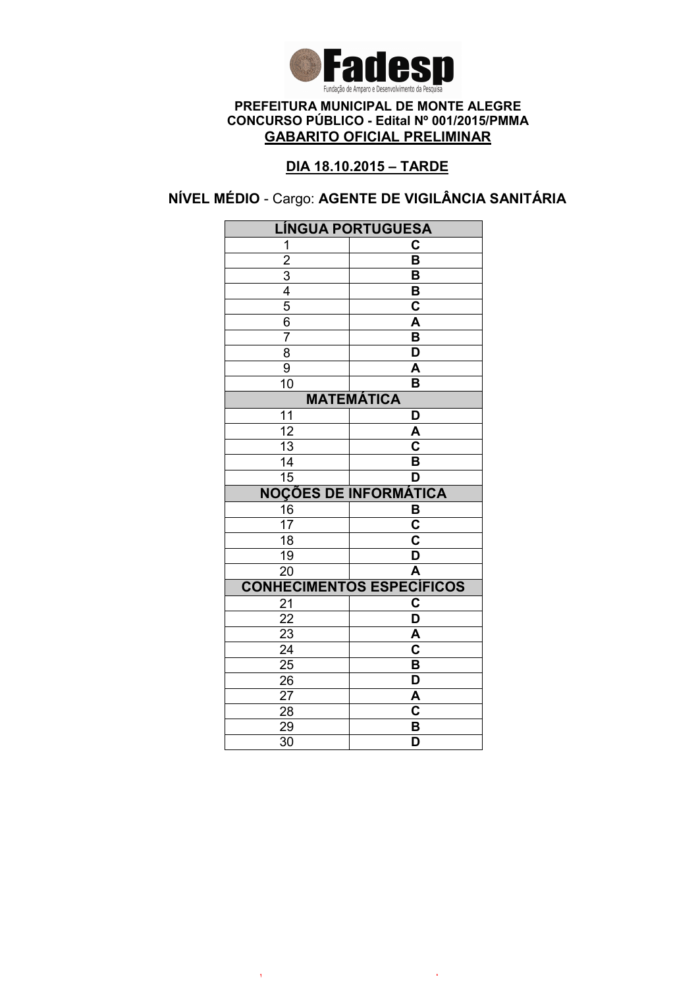

# DIA 18.10.2015 – TARDE

# NÍVEL MÉDIO - Cargo: AGENTE DE VIGILÂNCIA SANITÁRIA

|                       | <b>LÍNGUA PORTUGUESA</b>         |  |
|-----------------------|----------------------------------|--|
| 1                     | C                                |  |
| $\overline{2}$        | $\overline{\mathsf{B}}$          |  |
|                       | B                                |  |
| $\frac{3}{4}$         | B                                |  |
|                       | $\overline{\mathbf{c}}$          |  |
| 6                     | A                                |  |
| 7                     | B                                |  |
| $\overline{8}$        | $\overline{\mathsf{D}}$          |  |
| 9                     | $\overline{\mathsf{A}}$          |  |
| 10                    | B                                |  |
| <b>MATEMÁTICA</b>     |                                  |  |
| 11                    | D                                |  |
| $\overline{12}$       | A                                |  |
| $\overline{13}$       | $\overline{\mathsf{c}}$          |  |
| 14                    | $\overline{\mathsf{B}}$          |  |
| $\overline{15}$       | D                                |  |
|                       | <b>NOÇÕES DE INFORMÁTICA</b>     |  |
| 16                    | B                                |  |
| 17                    | $\overline{\mathsf{c}}$          |  |
| $\overline{18}$       | $\overline{\mathsf{c}}$          |  |
| 19                    | $\overline{\mathsf{D}}$          |  |
| $\overline{20}$       | $\overline{\mathsf{A}}$          |  |
|                       | <b>CONHECIMENTOS ESPECÍFICOS</b> |  |
| 21                    | $\overline{\mathbf{c}}$          |  |
| 22                    | $\overline{\mathsf{D}}$          |  |
| 23                    | A                                |  |
|                       |                                  |  |
| $\overline{24}$       | $\overline{\mathbf{c}}$          |  |
| 25                    | $\overline{\mathsf{B}}$          |  |
| 26                    | $\overline{\mathsf{D}}$          |  |
| 27                    | A                                |  |
| 28                    | $\mathbf C$                      |  |
| 29<br>$\overline{30}$ | B<br>$\overline{\mathsf{D}}$     |  |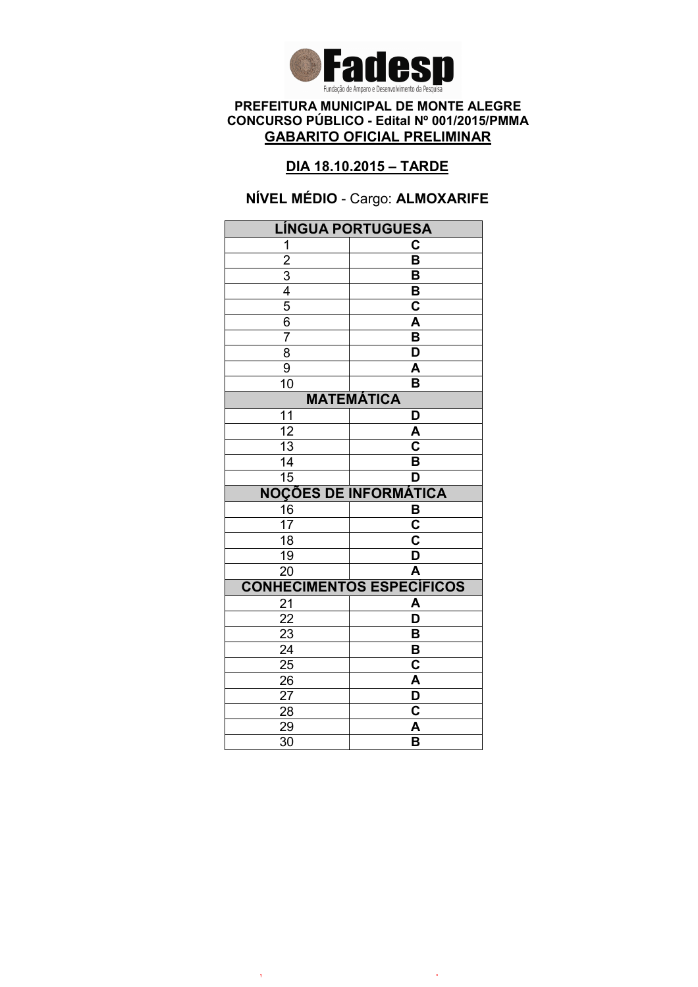

### DIA 18.10.2015 – TARDE

# NÍVEL MÉDIO - Cargo: ALMOXARIFE

|                                           | LÍNGUA PORTUGUESA                |
|-------------------------------------------|----------------------------------|
| 1                                         | С                                |
|                                           | $\overline{\mathsf{B}}$          |
|                                           | B                                |
|                                           | B                                |
| $\frac{2}{3}$ $\frac{4}{5}$ $\frac{5}{6}$ | C                                |
|                                           | A                                |
| $\overline{7}$                            | $\overline{\mathsf{B}}$          |
| $\overline{8}$                            | $\overline{\mathsf{D}}$          |
| $\overline{9}$                            | A                                |
| $\overline{10}$                           | B                                |
|                                           | <b>MATEMÁTICA</b>                |
| 11                                        | D                                |
| $\overline{12}$                           | A                                |
| 13                                        | C                                |
| 14                                        | B                                |
| $\overline{15}$                           | D                                |
|                                           | <b>NOÇÕES DE INFORMÁTICA</b>     |
| 16                                        | B                                |
|                                           |                                  |
| $\overline{17}$                           | $\overline{\mathbf{c}}$          |
| $\overline{18}$                           | $\overline{\mathsf{c}}$          |
| 19                                        | $\overline{\mathsf{D}}$          |
| $\overline{20}$                           | $\overline{\mathsf{A}}$          |
|                                           | <b>CONHECIMENTOS ESPECÍFICOS</b> |
| 21                                        | A                                |
| 22                                        | $\overline{\mathsf{D}}$          |
| $\overline{23}$                           | B                                |
| $\overline{24}$                           | $\overline{\mathsf{B}}$          |
| $\overline{25}$                           | C                                |
| 26                                        | A                                |
| 27                                        | D                                |
| 28                                        | C                                |
| 29<br>$\overline{30}$                     | A<br>$\overline{\mathsf{B}}$     |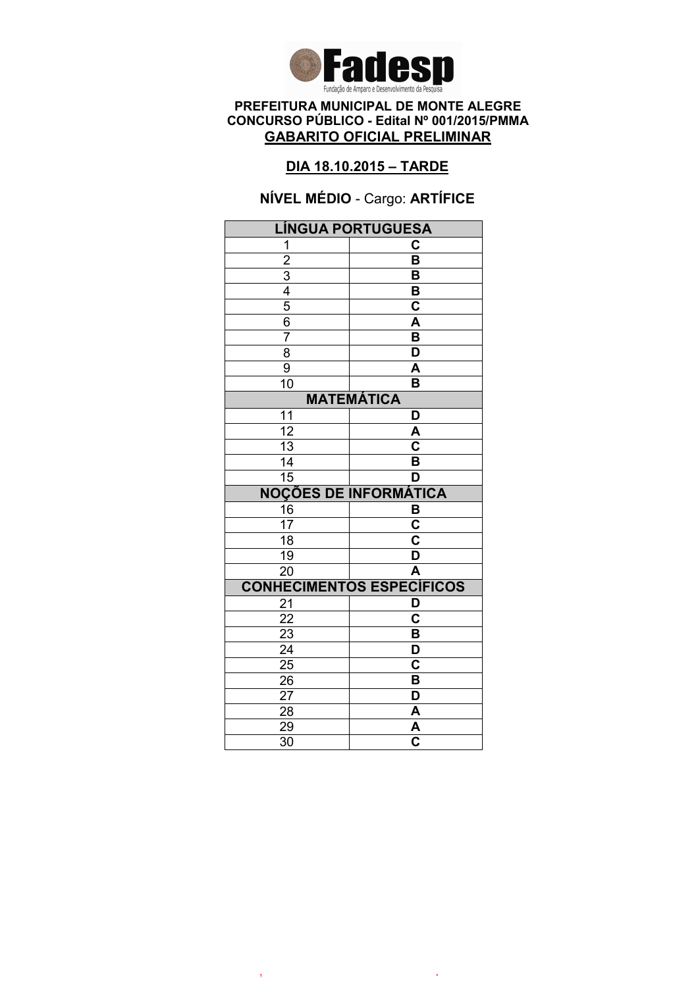

### DIA 18.10.2015 – TARDE

# NÍVEL MÉDIO - Cargo: ARTÍFICE

| <b>LÍNGUA PORTUGUESA</b>                                              |                                    |  |
|-----------------------------------------------------------------------|------------------------------------|--|
| 1                                                                     | C                                  |  |
|                                                                       | $\overline{\mathsf{B}}$            |  |
|                                                                       | B                                  |  |
|                                                                       | B                                  |  |
|                                                                       | $\overline{\mathbf{c}}$            |  |
| $\frac{2}{3}$ $\frac{3}{4}$ $\frac{4}{5}$ $\frac{6}{6}$ $\frac{7}{7}$ | $\overline{\mathsf{A}}$            |  |
|                                                                       | $\overline{\mathsf{B}}$            |  |
| 8                                                                     | $\overline{\mathsf{D}}$            |  |
| $\overline{9}$                                                        | A                                  |  |
| 10                                                                    | B                                  |  |
| <b>MATEMÁTICA</b>                                                     |                                    |  |
| 11                                                                    | D                                  |  |
| $\overline{12}$                                                       | A                                  |  |
| $\overline{13}$                                                       | $\overline{\overline{\textbf{c}}}$ |  |
| 14                                                                    | B                                  |  |
| 15                                                                    | D                                  |  |
|                                                                       | <b>NOÇÕES DE INFORMÁTICA</b>       |  |
| $\frac{16}{17}$                                                       | $rac{B}{C}$                        |  |
|                                                                       |                                    |  |
| $\overline{18}$                                                       | $\overline{\mathbf{c}}$            |  |
| $\overline{19}$                                                       | D                                  |  |
| $\overline{20}$                                                       | $\overline{\mathsf{A}}$            |  |
|                                                                       | <b>CONHECIMENTOS ESPECÍFICOS</b>   |  |
| 21                                                                    | D                                  |  |
| $\overline{22}$                                                       | $\overline{\mathsf{c}}$            |  |
| 23                                                                    | B                                  |  |
| $\overline{24}$                                                       | $\overline{\mathsf{D}}$            |  |
| $\overline{25}$                                                       |                                    |  |
|                                                                       | $\overline{\textbf{c}}$            |  |
| 26                                                                    | B                                  |  |
| 27                                                                    | D                                  |  |
| 28                                                                    | A                                  |  |
| 29<br>$\overline{30}$                                                 | A<br>$\overline{\mathbf{c}}$       |  |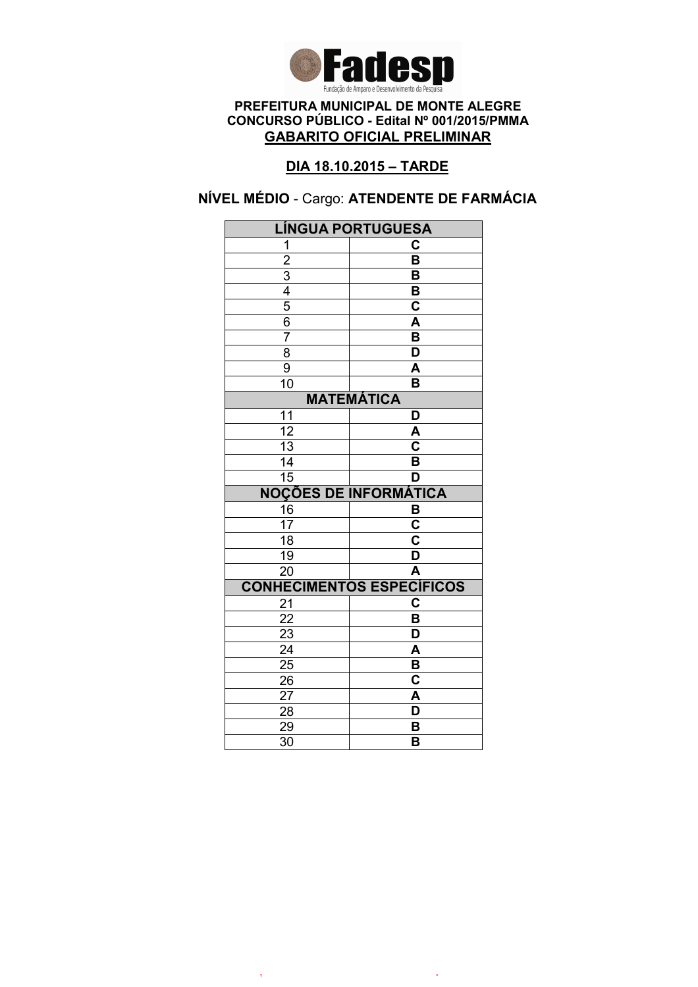

# DIA 18.10.2015 – TARDE

# NÍVEL MÉDIO - Cargo: ATENDENTE DE FARMÁCIA

|                       | <b>LÍNGUA PORTUGUESA</b>         |  |  |
|-----------------------|----------------------------------|--|--|
| 1                     | C                                |  |  |
| $\overline{2}$        | $\overline{\mathsf{B}}$          |  |  |
|                       | B                                |  |  |
| $\frac{3}{4}$         | B                                |  |  |
|                       | $\overline{\mathbf{c}}$          |  |  |
| 6                     | A                                |  |  |
| $\overline{7}$        | B                                |  |  |
| $\overline{8}$        | $\overline{\mathsf{D}}$          |  |  |
| 9                     | A                                |  |  |
| 10                    | B                                |  |  |
|                       | <b>MATEMÁTICA</b>                |  |  |
| 11                    | D                                |  |  |
| $\overline{12}$       | A                                |  |  |
| 13                    | $\overline{\textbf{c}}$          |  |  |
| 14                    | B                                |  |  |
| $\overline{15}$       | D                                |  |  |
|                       | <b>NOÇÕES DE INFORMÁTICA</b>     |  |  |
| 16                    | B                                |  |  |
| 17                    | $\overline{\mathbf{C}}$          |  |  |
| $\overline{18}$       | $\overline{\mathbf{c}}$          |  |  |
| 19                    | $\overline{\mathsf{D}}$          |  |  |
| $\overline{20}$       | $\overline{\mathsf{A}}$          |  |  |
|                       | <b>CONHECIMENTOS ESPECÍFICOS</b> |  |  |
| 21                    | C                                |  |  |
| 22                    | B                                |  |  |
| 23                    | D                                |  |  |
| $\overline{24}$       | $\overline{\mathsf{A}}$          |  |  |
| $\overline{25}$       | $\overline{\mathbf{B}}$          |  |  |
|                       |                                  |  |  |
| 26                    | $\overline{\textbf{c}}$          |  |  |
| 27                    | A                                |  |  |
| 28                    | D                                |  |  |
| 29<br>$\overline{30}$ | B<br>B                           |  |  |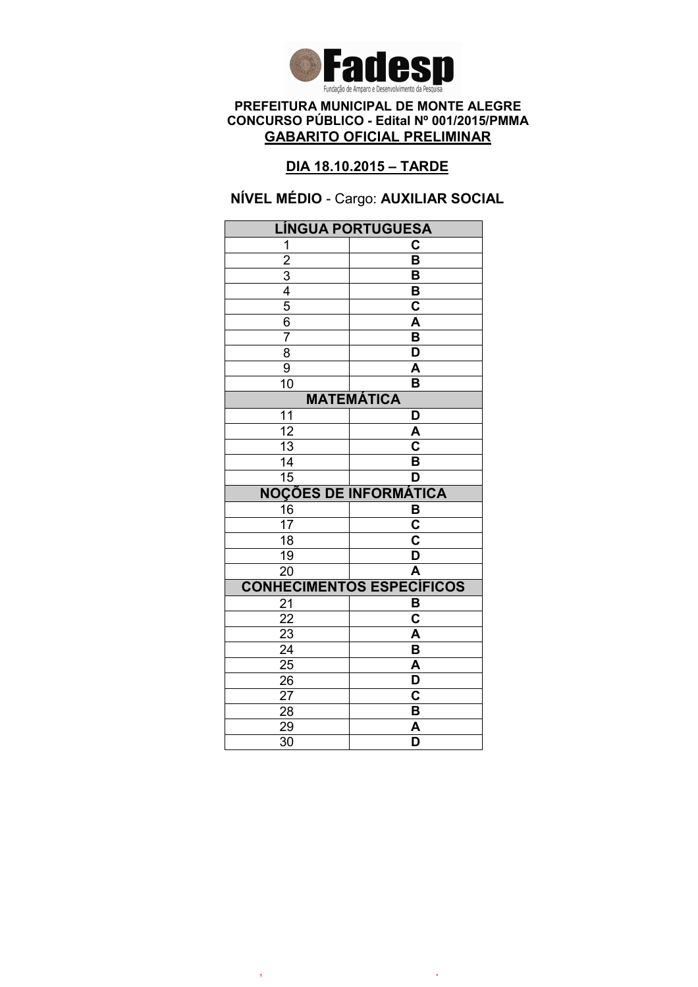

# DIA 18.10.2015 – TARDE

NÍVEL MÉDIO - Cargo: AUXILIAR SOCIAL

| <b>LÍNGUA PORTUGUESA</b> |                                  |  |
|--------------------------|----------------------------------|--|
| 1                        | С                                |  |
| $\overline{2}$           | $\overline{\mathsf{B}}$          |  |
|                          | В                                |  |
| $\frac{3}{4}$            | B                                |  |
|                          | C                                |  |
| $\overline{6}$           | A                                |  |
| 7                        | $\overline{\mathsf{B}}$          |  |
| $\overline{8}$           | D                                |  |
| $\overline{9}$           | A                                |  |
| $\overline{10}$          | $\overline{\mathsf{B}}$          |  |
| <b>MATEMÁTICA</b>        |                                  |  |
| 11                       | D                                |  |
| 12                       | A                                |  |
| 13                       | C                                |  |
| 14                       | $\overline{\mathsf{B}}$          |  |
| $\overline{15}$          | D                                |  |
|                          |                                  |  |
|                          | <b>NOÇÕES DE INFORMÁTICA</b>     |  |
| 16                       | B                                |  |
| 17                       | C                                |  |
| $\overline{18}$          | $\overline{\text{c}}$            |  |
| 19                       | D                                |  |
| $\overline{20}$          | $\overline{\mathsf{A}}$          |  |
|                          | <b>CONHECIMENTOS ESPECÍFICOS</b> |  |
| 21                       | B                                |  |
| $\overline{22}$          | $\overline{\mathbf{c}}$          |  |
| 23                       | A                                |  |
| $\overline{24}$          | $\overline{\mathsf{B}}$          |  |
| $\overline{25}$          | A                                |  |
| $2\overline{6}$          | D                                |  |
| 27                       | C                                |  |
| 28                       | B                                |  |
| 29<br>$\overline{30}$    | A<br>$\overline{\mathsf{D}}$     |  |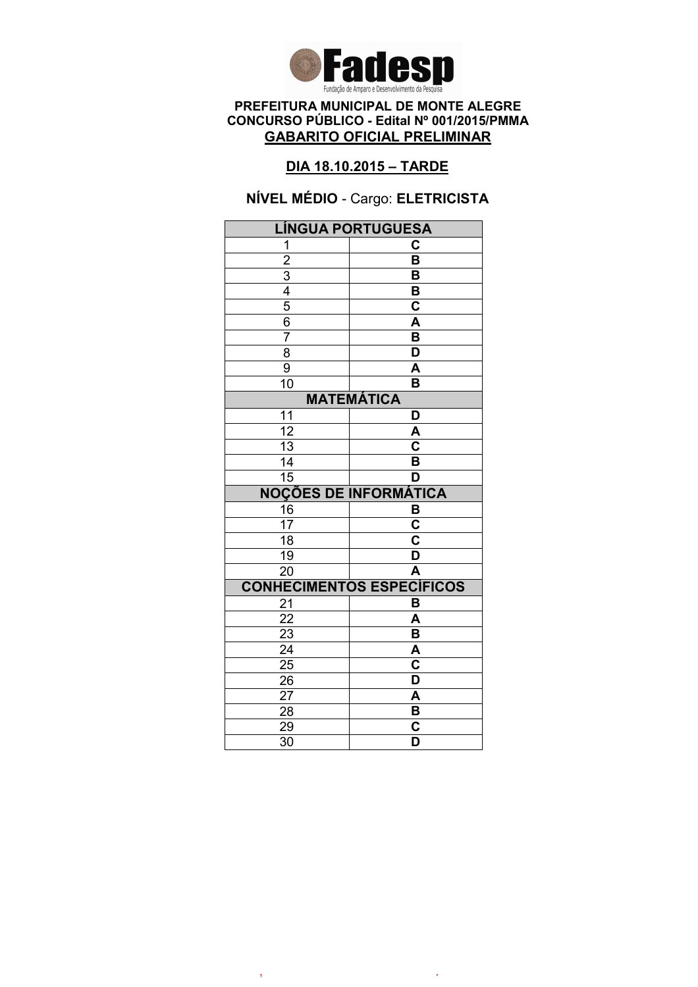

### DIA 18.10.2015 – TARDE

# NÍVEL MÉDIO - Cargo: ELETRICISTA

| <b>LÍNGUA PORTUGUESA</b>                  |                                                    |  |
|-------------------------------------------|----------------------------------------------------|--|
| 1                                         | C                                                  |  |
|                                           | $\overline{\mathsf{B}}$                            |  |
|                                           | B                                                  |  |
|                                           | B                                                  |  |
| $\frac{2}{3}$ $\frac{4}{5}$ $\frac{6}{6}$ | $\overline{\mathbf{c}}$                            |  |
|                                           | A                                                  |  |
| $\overline{7}$                            | $\overline{\mathsf{B}}$                            |  |
| $\overline{8}$                            | $\overline{\mathsf{D}}$                            |  |
| $\overline{9}$                            | A                                                  |  |
| $\overline{10}$                           | B                                                  |  |
| <b>MATEMÁTICA</b>                         |                                                    |  |
| 11                                        | D                                                  |  |
| $\overline{12}$                           | A                                                  |  |
| $\overline{13}$                           | $\overline{\overline{\mathsf{c}}}$                 |  |
| 14                                        | B                                                  |  |
| $\overline{15}$                           | D                                                  |  |
|                                           | <b>NOÇÕES DE INFORMÁTICA</b>                       |  |
| $\frac{16}{17}$                           | B                                                  |  |
|                                           | $\overline{\mathbf{c}}$                            |  |
| $\overline{18}$                           | $\overline{\textbf{c}}$                            |  |
| $\overline{19}$                           | D                                                  |  |
|                                           |                                                    |  |
| $\overline{20}$                           | $\overline{\mathsf{A}}$                            |  |
|                                           | <b>CONHECIMENTOS ESPECÍFICOS</b>                   |  |
| 21                                        | B                                                  |  |
| 22                                        | A                                                  |  |
| 23                                        | B                                                  |  |
| $\overline{24}$                           | A                                                  |  |
| $2\overline{5}$                           | $\overline{\textbf{c}}$                            |  |
| 26                                        | D                                                  |  |
| 27                                        | A                                                  |  |
| 28                                        | B                                                  |  |
| 29<br>$\overline{30}$                     | $\overline{\mathbf{c}}$<br>$\overline{\mathsf{D}}$ |  |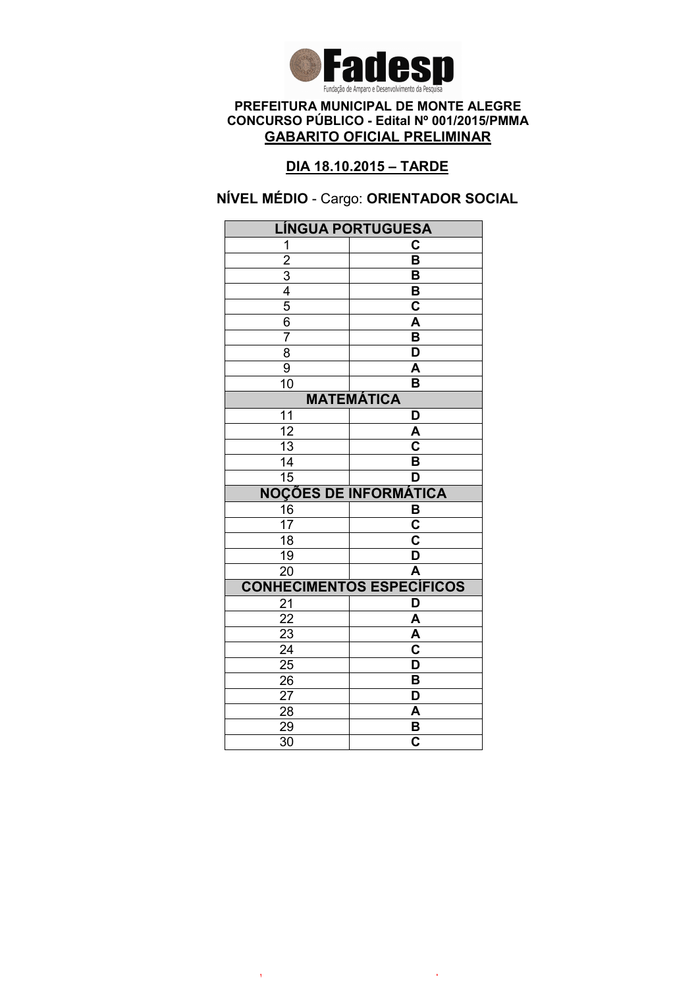

# DIA 18.10.2015 – TARDE

NÍVEL MÉDIO - Cargo: ORIENTADOR SOCIAL

|                       | LÍNGUA PORTUGUESA                |  |
|-----------------------|----------------------------------|--|
| 1                     | C                                |  |
|                       | $\overline{\mathsf{B}}$          |  |
| $\frac{2}{3}$         | B                                |  |
|                       | B                                |  |
| $\frac{5}{6}$         | $\mathbf C$                      |  |
|                       | A                                |  |
| $\overline{7}$        | $\overline{\mathsf{B}}$          |  |
| $\overline{8}$        | $\overline{\mathsf{D}}$          |  |
| $\overline{9}$        | A                                |  |
| 10                    | B                                |  |
| <b>MATEMÁTICA</b>     |                                  |  |
| 11                    | D                                |  |
| $\overline{12}$       | A                                |  |
| 13                    | C                                |  |
| 14                    | B                                |  |
| $\overline{15}$       | D                                |  |
|                       | <b>NOÇÕES DE INFORMÁTICA</b>     |  |
| 16                    | B                                |  |
| $\overline{17}$       | $\overline{\mathbf{c}}$          |  |
| 18                    | $\overline{\mathsf{c}}$          |  |
|                       |                                  |  |
| $\overline{19}$       | D                                |  |
| $\overline{20}$       | $\overline{\mathsf{A}}$          |  |
|                       | <b>CONHECIMENTOS ESPECÍFICOS</b> |  |
| 21                    | D                                |  |
| 22                    | A                                |  |
| $\overline{23}$       | A                                |  |
| $\overline{24}$       | $\overline{\mathbf{c}}$          |  |
| $\overline{25}$       | $\overline{\mathsf{D}}$          |  |
| 26                    | B                                |  |
| 27                    | D                                |  |
| 28                    | A                                |  |
| 29<br>$\overline{30}$ | B<br>$\overline{\mathbf{c}}$     |  |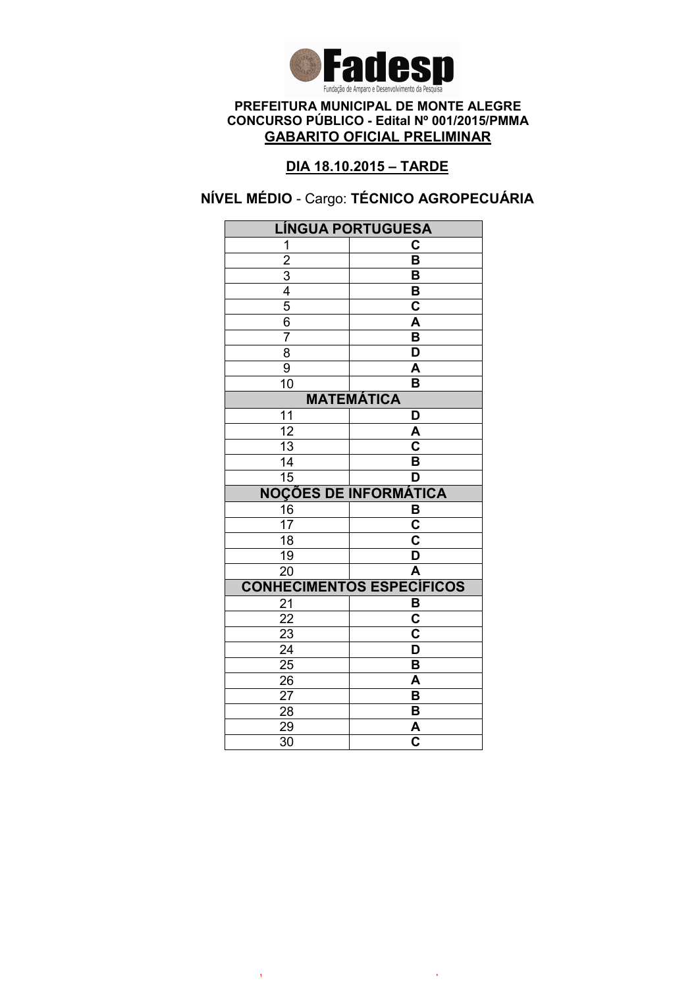

# DIA 18.10.2015 – TARDE

# NÍVEL MÉDIO - Cargo: TÉCNICO AGROPECUÁRIA

| <b>LÍNGUA PORTUGUESA</b> |                                       |  |
|--------------------------|---------------------------------------|--|
| 1                        | C                                     |  |
| $\overline{\mathbf{c}}$  | B                                     |  |
|                          | B                                     |  |
| $\frac{3}{4}$            | $\overline{\mathsf{B}}$               |  |
| $\overline{5}$           | C                                     |  |
| $\overline{6}$           | A                                     |  |
| $\overline{7}$           | $\overline{\mathsf{B}}$               |  |
| $\overline{8}$           | D                                     |  |
| 9                        | A                                     |  |
| 10                       | $\overline{\mathsf{B}}$               |  |
| <b>MATEMÁTICA</b>        |                                       |  |
| 11                       | D                                     |  |
| $\overline{12}$          | A                                     |  |
| $\overline{13}$          | C                                     |  |
| 14                       | $\overline{\mathsf{B}}$               |  |
| $\overline{15}$          | D                                     |  |
|                          |                                       |  |
|                          | <b>NOÇÕES DE INFORMÁTICA</b>          |  |
| 16                       | B                                     |  |
| $\overline{17}$          | C                                     |  |
| 18                       | $\overline{\textbf{c}}$               |  |
| 19                       | D                                     |  |
| 20                       | A                                     |  |
|                          |                                       |  |
| 21                       | <b>CONHECIMENTOS ESPECÍFICOS</b><br>B |  |
| 22                       | $\overline{\mathbf{c}}$               |  |
| 23                       | $\overline{\mathsf{c}}$               |  |
| $\overline{24}$          | $\overline{\mathsf{D}}$               |  |
| 25                       | B                                     |  |
| 26                       | A                                     |  |
| 27                       | B                                     |  |
| 28                       | B                                     |  |
| 29<br>$\overline{30}$    | A<br>$\overline{\mathbf{c}}$          |  |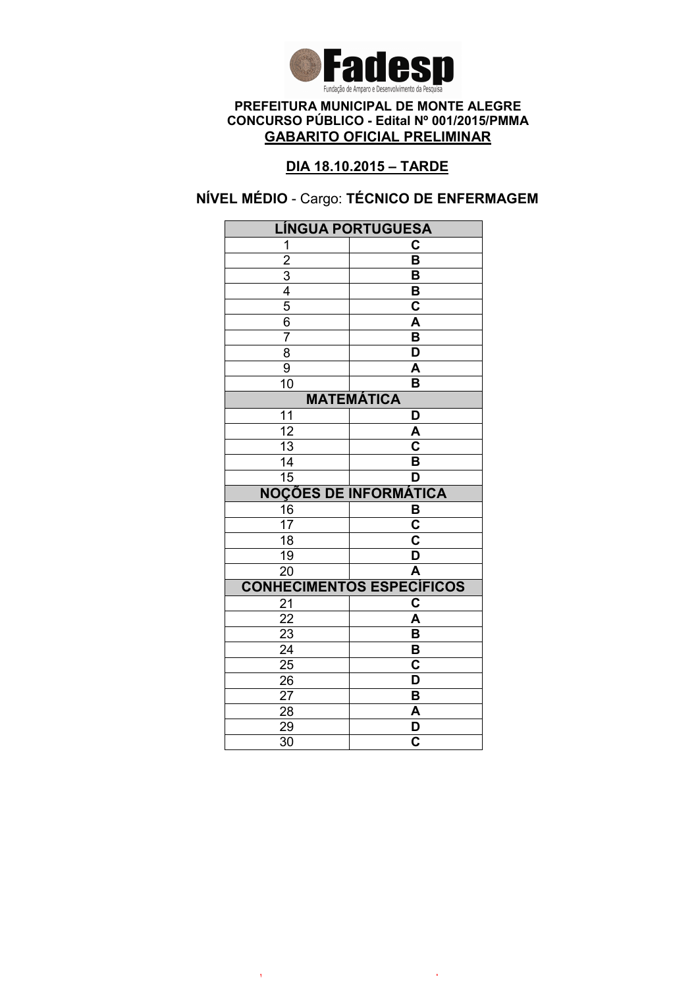

# DIA 18.10.2015 – TARDE

# NÍVEL MÉDIO - Cargo: TÉCNICO DE ENFERMAGEM

|                       | <b>LÍNGUA PORTUGUESA</b>         |  |
|-----------------------|----------------------------------|--|
| 1                     | C                                |  |
| $\overline{2}$        | $\overline{\mathsf{B}}$          |  |
|                       | B                                |  |
| $\frac{3}{4}$         | B                                |  |
|                       | $\overline{\mathbf{c}}$          |  |
| $\overline{6}$        | A                                |  |
| $\overline{7}$        | B                                |  |
| $\overline{8}$        | $\overline{\mathsf{D}}$          |  |
| 9                     | A                                |  |
| 10                    | B                                |  |
| <b>MATEMÁTICA</b>     |                                  |  |
| 11                    | D                                |  |
| $\overline{12}$       | A                                |  |
| 13                    | $\overline{\mathbf{c}}$          |  |
| 14                    | B                                |  |
| $\overline{15}$       | D                                |  |
|                       | <b>NOÇÕES DE INFORMÁTICA</b>     |  |
| 16                    | B                                |  |
| 17                    | $\overline{\mathbf{C}}$          |  |
| $\overline{18}$       | $\overline{\mathbf{c}}$          |  |
| 19                    | $\overline{\mathsf{D}}$          |  |
| $\overline{20}$       | $\overline{\mathsf{A}}$          |  |
|                       | <b>CONHECIMENTOS ESPECÍFICOS</b> |  |
| 21                    | C                                |  |
|                       |                                  |  |
| 22                    | A                                |  |
| 23                    | B                                |  |
| $\overline{24}$       | $\overline{\mathsf{B}}$          |  |
| $\frac{2}{5}$         | $\mathbf C$                      |  |
| 26                    | D                                |  |
| 27                    | B                                |  |
| 28                    | A                                |  |
| 29<br>$\overline{30}$ | D<br>$\overline{\mathbf{c}}$     |  |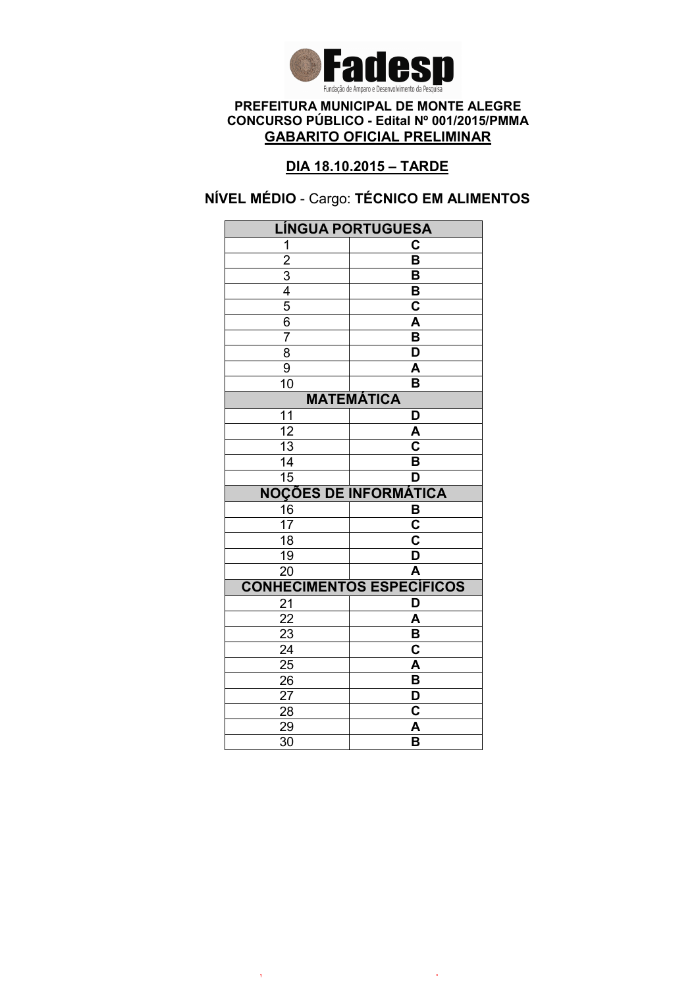

# DIA 18.10.2015 – TARDE

# NÍVEL MÉDIO - Cargo: TÉCNICO EM ALIMENTOS

| LÍNGUA PORTUGUESA                                       |                                  |
|---------------------------------------------------------|----------------------------------|
| 1                                                       | C                                |
|                                                         | $\overline{\mathsf{B}}$          |
|                                                         | B                                |
|                                                         | B                                |
|                                                         | $\overline{\textbf{c}}$          |
| $\frac{2}{3}$ $\frac{4}{4}$ $\frac{5}{6}$ $\frac{6}{7}$ | $\overline{\mathsf{A}}$          |
|                                                         | $\overline{\mathsf{B}}$          |
| $\overline{8}$                                          | $\overline{\mathsf{D}}$          |
| $\overline{9}$                                          | A                                |
| $\overline{1}0$                                         | B                                |
|                                                         | <b>MATEMÁTICA</b>                |
| 11                                                      | D                                |
| $\overline{12}$                                         | A                                |
| $\overline{13}$                                         | $\overline{\mathbf{c}}$          |
| 14                                                      | B                                |
| $\overline{15}$                                         | D                                |
|                                                         | <b>NOÇÕES DE INFORMÁTICA</b>     |
| 16                                                      | $\frac{B}{C}$                    |
| $\overline{17}$                                         |                                  |
| $\overline{18}$                                         | $\overline{\textbf{c}}$          |
| $\overline{19}$                                         | $\overline{\mathsf{D}}$          |
| $\overline{20}$                                         | $\overline{\mathsf{A}}$          |
|                                                         | <b>CONHECIMENTOS ESPECÍFICOS</b> |
| 21                                                      | D                                |
| 22                                                      | A                                |
| 23                                                      | B                                |
| $\overline{24}$                                         | $\overline{\textbf{c}}$          |
| $\overline{25}$                                         | A                                |
| 26                                                      | B                                |
|                                                         |                                  |
| 27                                                      | D                                |
| 28                                                      | C                                |
| 29<br>$\overline{30}$                                   | A<br>$\overline{\mathsf{B}}$     |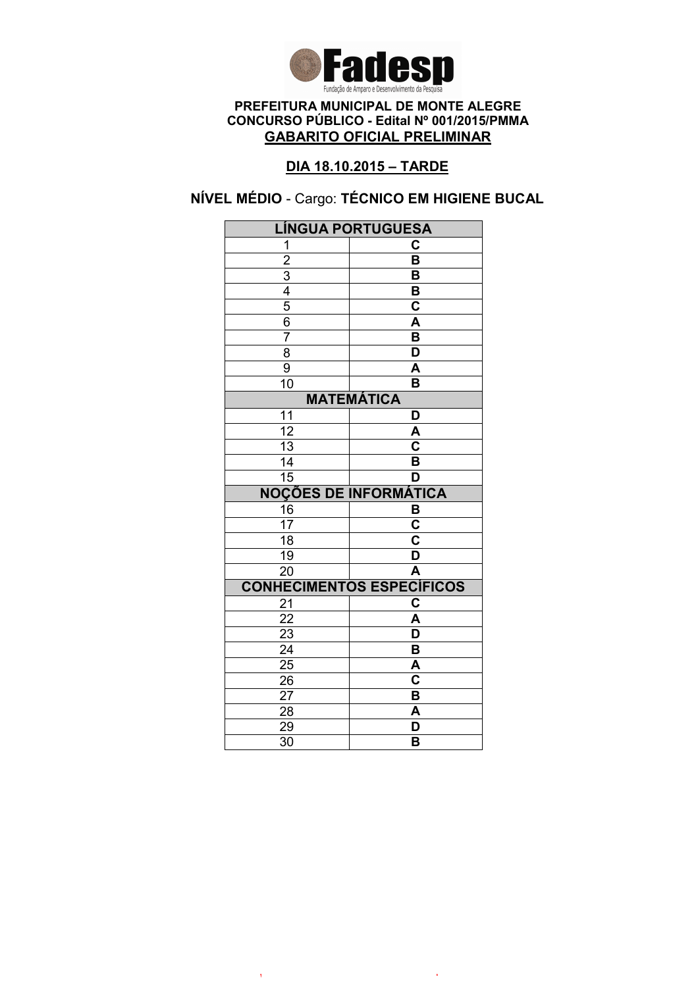

# DIA 18.10.2015 – TARDE

# NÍVEL MÉDIO - Cargo: TÉCNICO EM HIGIENE BUCAL

| <b>LÍNGUA PORTUGUESA</b> |                                  |
|--------------------------|----------------------------------|
| 1                        | C                                |
| $\overline{2}$           | $\overline{\mathsf{B}}$          |
|                          | В                                |
| $\frac{3}{4}$            | B                                |
|                          | $\overline{\mathbf{c}}$          |
| 6                        | A                                |
| $\overline{7}$           | B                                |
| $\overline{8}$           | $\overline{\mathsf{D}}$          |
| 9                        | $\overline{\mathsf{A}}$          |
| 10                       | B                                |
|                          | <b>MATEMÁTICA</b>                |
| 11                       | D                                |
| $\overline{12}$          | A                                |
| $\overline{13}$          | $\overline{\mathbf{c}}$          |
| 14                       | B                                |
| $\overline{15}$          | D                                |
|                          | <b>NOÇÕES DE INFORMÁTICA</b>     |
| 16                       | B                                |
| 17                       | $\overline{\mathbf{C}}$          |
| $\overline{18}$          | $\overline{\mathbf{c}}$          |
| 19                       | $\overline{\mathsf{D}}$          |
| $\overline{20}$          | $\overline{\mathsf{A}}$          |
|                          | <b>CONHECIMENTOS ESPECÍFICOS</b> |
| 21                       | $\overline{\mathbf{c}}$          |
| 22                       | A                                |
| 23                       | D                                |
| $\overline{24}$          | $\overline{\mathsf{B}}$          |
| $\overline{25}$          | A                                |
|                          |                                  |
| 26                       | $\overline{\mathbf{c}}$          |
| 27                       | B                                |
| 28                       | A                                |
| 29<br>$\overline{30}$    | D<br>B                           |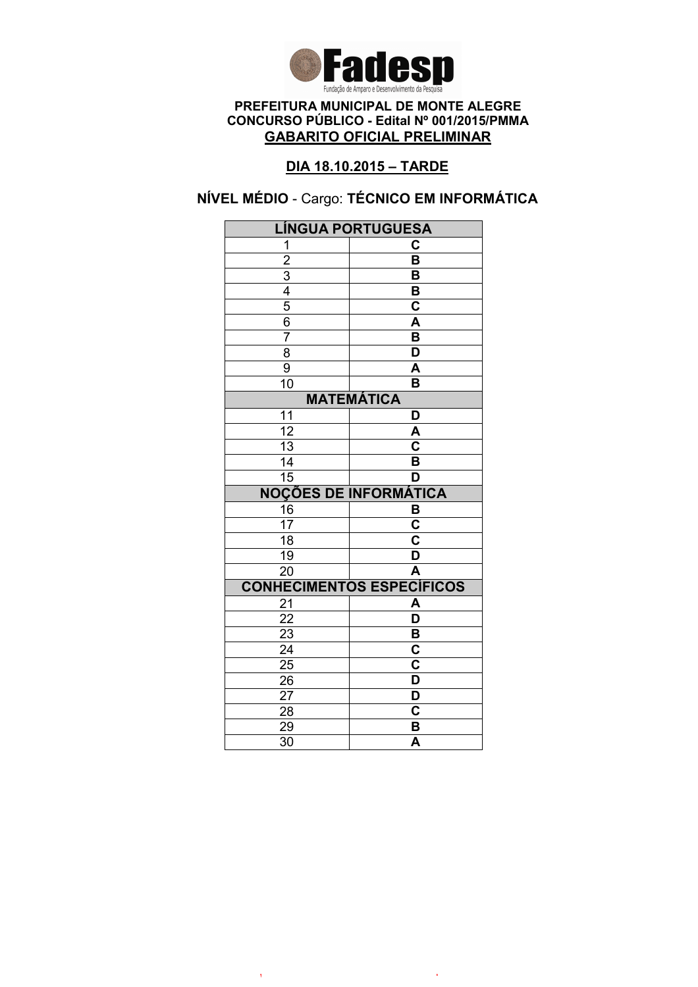

# DIA 18.10.2015 – TARDE

# NÍVEL MÉDIO - Cargo: TÉCNICO EM INFORMÁTICA

| <b>LÍNGUA PORTUGUESA</b>                  |                                       |
|-------------------------------------------|---------------------------------------|
| 1                                         | C                                     |
|                                           | $\overline{\mathsf{B}}$               |
|                                           | B                                     |
|                                           | B                                     |
| $\frac{2}{3}$ $\frac{4}{5}$ $\frac{5}{6}$ | $\mathbf C$                           |
|                                           | $\overline{\mathsf{A}}$               |
| $\overline{7}$                            | $\overline{\mathsf{B}}$               |
| $\overline{8}$                            | $\overline{\mathsf{D}}$               |
| 9                                         | A                                     |
| $\overline{10}$                           | B                                     |
|                                           | <b>MATEMÁTICA</b>                     |
| 11                                        | D                                     |
| $\overline{12}$                           | A                                     |
| 13                                        | C                                     |
| 14                                        | B                                     |
| $\overline{15}$                           | D                                     |
|                                           | <b>NOÇÕES DE INFORMÁTICA</b>          |
| 16                                        | В                                     |
| $\overline{17}$                           | $\overline{\mathbf{c}}$               |
| 18                                        | $\overline{\mathsf{c}}$               |
| 19                                        | $\overline{\mathsf{D}}$               |
|                                           |                                       |
| $\overline{20}$                           | $\overline{\mathsf{A}}$               |
|                                           |                                       |
| 21                                        | <b>CONHECIMENTOS ESPECÍFICOS</b><br>A |
| 22                                        | $\overline{\mathsf{D}}$               |
| $\overline{23}$                           | B                                     |
| $\overline{24}$                           | $\overline{\textbf{c}}$               |
| $\overline{25}$                           | $\overline{\mathbf{c}}$               |
| 26                                        | D                                     |
| 27                                        | D                                     |
| 28                                        | C                                     |
| 29<br>$\overline{30}$                     | B<br>$\overline{\mathsf{A}}$          |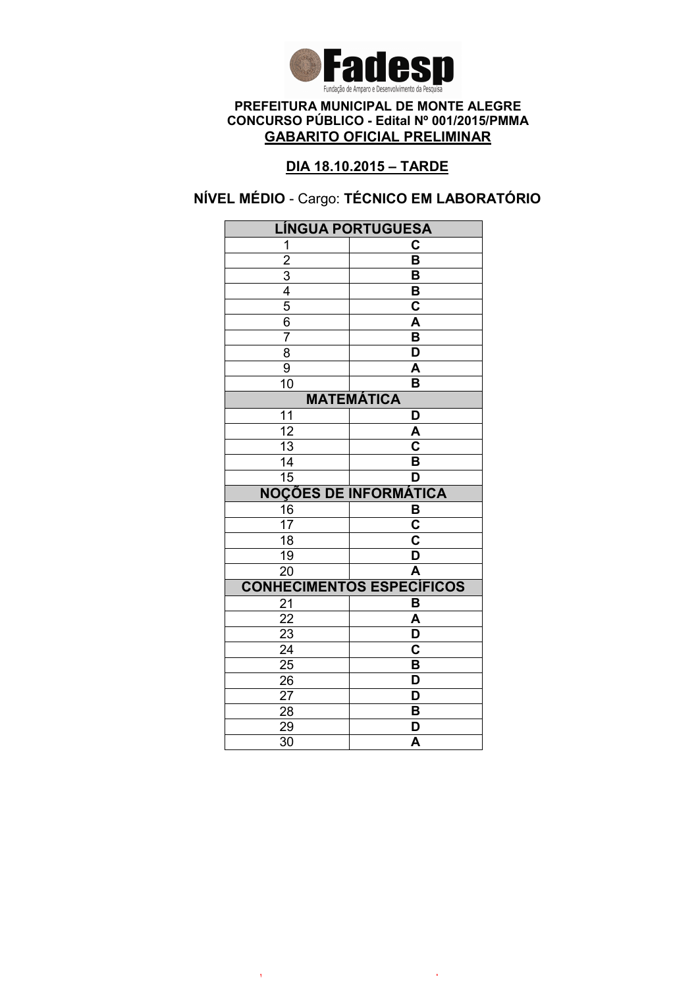

# DIA 18.10.2015 – TARDE

# NÍVEL MÉDIO - Cargo: TÉCNICO EM LABORATÓRIO

| <b>LÍNGUA PORTUGUESA</b> |                                  |
|--------------------------|----------------------------------|
| 1                        | C                                |
| $\overline{2}$           | $\overline{\mathsf{B}}$          |
|                          | В                                |
| $\frac{3}{4}$            | B                                |
|                          | $\overline{\mathbf{c}}$          |
| 6                        | A                                |
| $\overline{7}$           | B                                |
| $\overline{8}$           | $\overline{\mathsf{D}}$          |
| 9                        | $\overline{\mathsf{A}}$          |
| 10                       | B                                |
|                          | <b>MATEMÁTICA</b>                |
| 11                       | D                                |
| $\overline{12}$          | A                                |
| $\overline{13}$          | $\overline{\mathbf{c}}$          |
| 14                       | B                                |
| $\overline{15}$          | D                                |
|                          | <b>NOÇÕES DE INFORMÁTICA</b>     |
| 16                       | B                                |
| 17                       | $\overline{\mathbf{C}}$          |
| $\overline{18}$          | $\overline{\mathbf{c}}$          |
| 19                       | $\overline{\mathsf{D}}$          |
| $\overline{20}$          | $\overline{\mathsf{A}}$          |
|                          | <b>CONHECIMENTOS ESPECÍFICOS</b> |
| 21                       | B                                |
| 22                       | A                                |
| 23                       | D                                |
| $\overline{24}$          | $\overline{\mathbf{c}}$          |
| $\overline{25}$          | $\overline{\mathbf{B}}$          |
| 26                       |                                  |
|                          | D                                |
| 27                       | D                                |
| 28                       | B                                |
| 29<br>$\overline{30}$    | D<br>$\overline{\mathsf{A}}$     |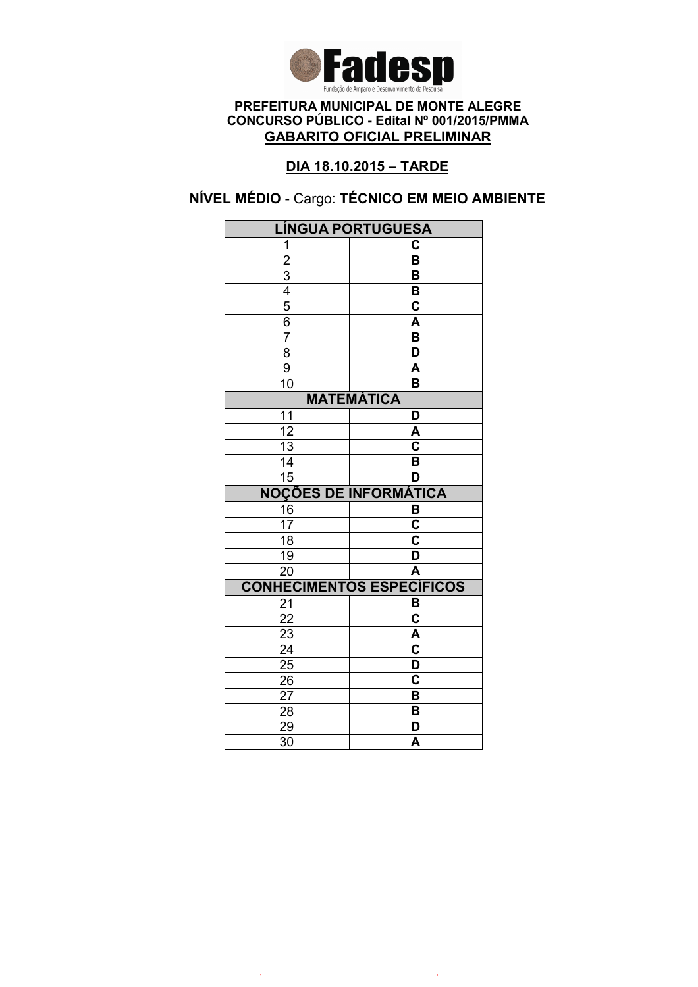

# DIA 18.10.2015 – TARDE

# NÍVEL MÉDIO - Cargo: TÉCNICO EM MEIO AMBIENTE

| <b>LÍNGUA PORTUGUESA</b>                                              |                                    |
|-----------------------------------------------------------------------|------------------------------------|
| 1                                                                     | C                                  |
|                                                                       | $\overline{\mathsf{B}}$            |
|                                                                       | B                                  |
|                                                                       | B                                  |
|                                                                       | $\overline{\mathbf{c}}$            |
| $\frac{2}{3}$ $\frac{3}{4}$ $\frac{4}{5}$ $\frac{6}{6}$ $\frac{7}{7}$ | $\overline{\mathsf{A}}$            |
|                                                                       | $\overline{\mathsf{B}}$            |
| 8                                                                     | $\overline{\mathsf{D}}$            |
| $\overline{9}$                                                        | $\overline{\mathsf{A}}$            |
| $\overline{1}0$                                                       | B                                  |
|                                                                       | <b>MATEMÁTICA</b>                  |
| 11                                                                    | D                                  |
| $\overline{12}$                                                       | A                                  |
| $\overline{13}$                                                       | $\overline{\overline{\mathsf{c}}}$ |
| 14                                                                    | $\overline{\mathsf{B}}$            |
| $\overline{15}$                                                       | D                                  |
|                                                                       | <b>NOÇÕES DE INFORMÁTICA</b>       |
| 16                                                                    | $\frac{B}{C}$                      |
| $\overline{17}$                                                       |                                    |
| $\overline{18}$                                                       | $\overline{\mathbf{c}}$            |
| $\overline{19}$                                                       | $\overline{\mathsf{D}}$            |
| $\overline{20}$                                                       | Ā                                  |
|                                                                       | <b>CONHECIMENTOS ESPECÍFICOS</b>   |
| 21                                                                    | B                                  |
| 22                                                                    | $\overline{\textbf{c}}$            |
| 23                                                                    | A                                  |
| $\overline{24}$                                                       | $\overline{\text{c}}$              |
| $2\overline{5}$                                                       |                                    |
|                                                                       | $\overline{\mathsf{D}}$            |
| 26                                                                    | $\overline{\mathbf{c}}$            |
| 27                                                                    | B                                  |
| 28                                                                    | B                                  |
| 29<br>$\overline{30}$                                                 | D<br>$\overline{\mathsf{A}}$       |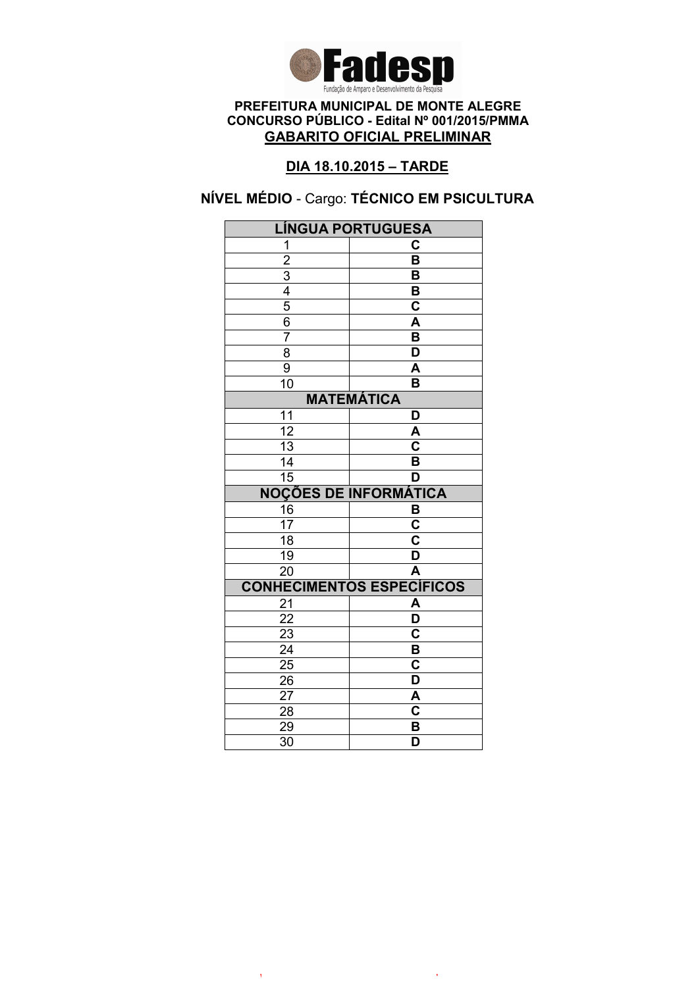

# DIA 18.10.2015 – TARDE

# NÍVEL MÉDIO - Cargo: TÉCNICO EM PSICULTURA

| <b>LÍNGUA PORTUGUESA</b> |                                                    |
|--------------------------|----------------------------------------------------|
| 1                        | С                                                  |
| $\overline{2}$           | $\overline{\mathsf{B}}$                            |
|                          | B                                                  |
| $\frac{3}{4}$            | B                                                  |
|                          | $\overline{\mathbf{c}}$                            |
| $\overline{6}$           | A                                                  |
| 7                        | $\overline{\mathsf{B}}$                            |
| $\overline{8}$           | D                                                  |
| $\overline{9}$           | A                                                  |
| $\overline{10}$          | $\overline{\mathsf{B}}$                            |
|                          | <b>MATEMÁTICA</b>                                  |
| 11                       | D                                                  |
| 12                       | A                                                  |
| 13                       | C                                                  |
| 14                       | $\overline{\mathsf{B}}$                            |
| $\overline{15}$          | D                                                  |
|                          | <b>NOÇÕES DE INFORMÁTICA</b>                       |
| 16                       | В                                                  |
| 17                       | C                                                  |
| $\overline{18}$          | $\overline{\textbf{c}}$                            |
| 19                       |                                                    |
|                          | D                                                  |
| $\overline{20}$          | $\overline{\mathsf{A}}$                            |
|                          | <b>CONHECIMENTOS ESPECÍFICOS</b>                   |
| 21                       | A                                                  |
| $\overline{22}$          | $\overline{\mathsf{D}}$                            |
| 23                       | $\overline{\mathbf{c}}$                            |
| $\overline{24}$          | $\overline{\mathsf{B}}$                            |
| 25                       | $\overline{\mathbf{c}}$                            |
| 26                       | D                                                  |
| 27                       | A                                                  |
| 28                       | $\overline{\mathbf{c}}$                            |
| 29<br>$\overline{30}$    | $\overline{\mathbf{B}}$<br>$\overline{\mathsf{D}}$ |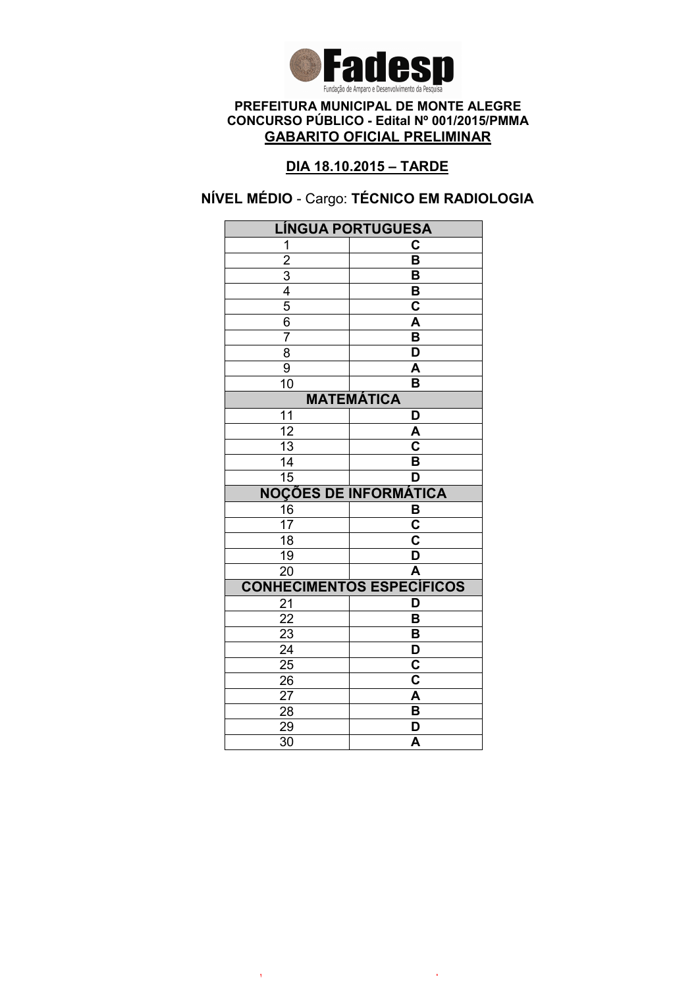

# DIA 18.10.2015 – TARDE

# NÍVEL MÉDIO - Cargo: TÉCNICO EM RADIOLOGIA

| <b>LÍNGUA PORTUGUESA</b>                  |                                  |
|-------------------------------------------|----------------------------------|
| 1                                         | C                                |
|                                           | $\overline{\mathsf{B}}$          |
|                                           | B                                |
|                                           | B                                |
| $\frac{2}{3}$ $\frac{4}{5}$ $\frac{6}{6}$ | $\mathbf C$                      |
|                                           | $\overline{\mathsf{A}}$          |
| $\overline{7}$                            | $\overline{\mathsf{B}}$          |
| $\overline{8}$                            | $\overline{\mathsf{D}}$          |
| 9                                         | A                                |
| 10                                        | B                                |
|                                           | <b>MATEMÁTICA</b>                |
| 11                                        | D                                |
| $\overline{12}$                           | A                                |
| 13                                        | C                                |
| 14                                        | B                                |
| $\overline{15}$                           | D                                |
|                                           | <b>NOÇÕES DE INFORMÁTICA</b>     |
| 16                                        | В                                |
| $\overline{17}$                           | $\overline{\mathbf{c}}$          |
| 18                                        | $\overline{\mathsf{c}}$          |
| 19                                        | $\overline{\mathsf{D}}$          |
| $\overline{20}$                           | $\overline{\mathsf{A}}$          |
|                                           | <b>CONHECIMENTOS ESPECÍFICOS</b> |
|                                           |                                  |
| 21                                        | D                                |
| 22                                        | B                                |
| $\overline{23}$                           | B                                |
| $\overline{24}$                           | $\overline{\mathsf{D}}$          |
| $\overline{25}$                           | $\overline{\mathbf{c}}$          |
| 26                                        | $\overline{\text{c}}$            |
| 27                                        | A                                |
| 28                                        | $\overline{\mathbf{B}}$          |
| 29<br>$\overline{30}$                     | D<br>$\overline{\mathsf{A}}$     |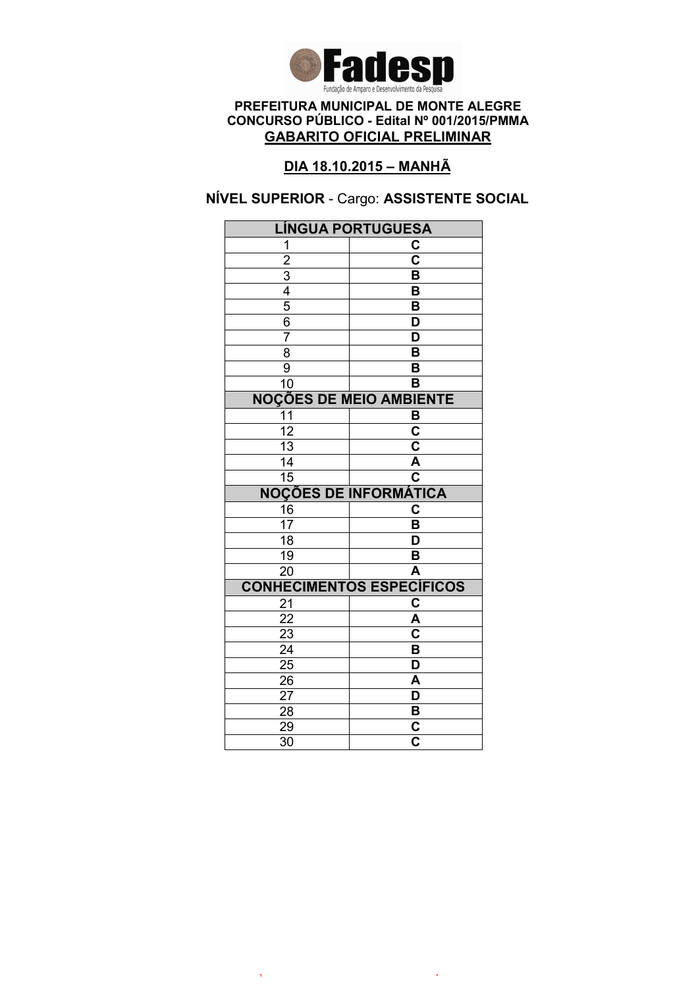

# DIA 18.10.2015 – MANHÃ

## NÍVEL SUPERIOR - Cargo: ASSISTENTE SOCIAL

| <b>LÍNGUA PORTUGUESA</b>                  |                                                    |
|-------------------------------------------|----------------------------------------------------|
| 1                                         | C                                                  |
|                                           | $\overline{\mathbf{c}}$                            |
|                                           | B                                                  |
|                                           | B                                                  |
| $\frac{2}{3}$ $\frac{4}{5}$ $\frac{6}{6}$ | B                                                  |
|                                           | $\overline{\mathsf{D}}$                            |
| 7                                         | $\overline{\mathsf{D}}$                            |
| $\overline{8}$                            | $\overline{\mathsf{B}}$                            |
| $\overline{9}$                            | B                                                  |
| $\overline{10}$                           | B                                                  |
|                                           | <b>NOÇÕES DE MEIO AMBIENTE</b>                     |
| $\overline{11}$                           | B                                                  |
| $\overline{12}$                           | $\overline{\mathbf{c}}$                            |
| 13                                        | $\overline{\mathbf{c}}$                            |
| 14                                        | $\overline{\mathsf{A}}$                            |
| $\overline{15}$                           | $\overline{\overline{\textbf{c}}}$                 |
|                                           | <b>NOÇÕES DE INFORMÁTICA</b>                       |
| 16                                        | C                                                  |
| $\overline{17}$                           | B                                                  |
| 18                                        | D                                                  |
| 19                                        | B                                                  |
| $\overline{20}$                           | $\overline{\mathsf{A}}$                            |
|                                           |                                                    |
|                                           | <b>CONHECIMENTOS ESPECÍFICOS</b>                   |
| 21                                        | C                                                  |
| 22                                        | A                                                  |
| $\overline{23}$                           | $\overline{\mathbf{c}}$                            |
| $\overline{24}$                           | $\overline{\mathsf{B}}$                            |
| $\overline{25}$                           | D                                                  |
| 26                                        | A                                                  |
| 27                                        | D                                                  |
| 28                                        | B                                                  |
| 29<br>$\overline{30}$                     | $\overline{\mathsf{c}}$<br>$\overline{\mathbf{c}}$ |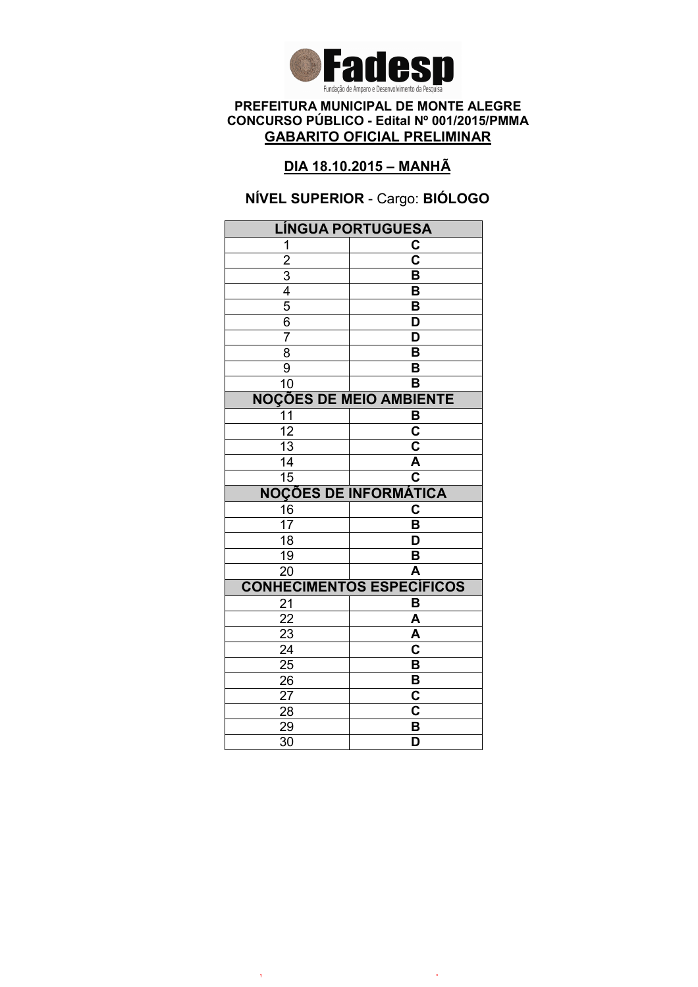

### DIA 18.10.2015 – MANHÃ

# NÍVEL SUPERIOR - Cargo: BIÓLOGO

| <b>LÍNGUA PORTUGUESA</b> |                                  |
|--------------------------|----------------------------------|
| 1                        | C                                |
| $\overline{2}$           | $\overline{\mathbf{c}}$          |
| $\overline{3}$           | B                                |
| $\overline{4}$           | B                                |
| $\overline{5}$           | B                                |
| 6                        | D                                |
| 7                        | D                                |
| $\overline{8}$           | $\overline{\mathsf{B}}$          |
| 9                        | B                                |
| 10                       | B                                |
|                          | <b>NOÇÕES DE MEIO AMBIENTE</b>   |
| 11                       | B                                |
| $\overline{12}$          | $\overline{\mathbf{c}}$          |
| $\overline{13}$          | $\overline{\mathbf{c}}$          |
| 14                       | $\overline{\mathsf{A}}$          |
| $\overline{15}$          | $\overline{\mathbf{c}}$          |
|                          | <b>NOÇÕES DE INFORMÁTICA</b>     |
| 16                       | C                                |
| 17                       | B                                |
| $\overline{18}$          | D                                |
| 19                       | B                                |
| $\overline{20}$          | A                                |
|                          | <b>CONHECIMENTOS ESPECÍFICOS</b> |
| 21                       | B                                |
| 22                       | A                                |
| 23                       | A                                |
|                          |                                  |
| $\overline{24}$          | $\overline{\mathbf{c}}$          |
| 25                       | $\overline{\mathsf{B}}$          |
| 26                       | B                                |
| 27                       | C                                |
| 28                       | C                                |
| 29<br>$\overline{30}$    | B<br>$\overline{\mathsf{D}}$     |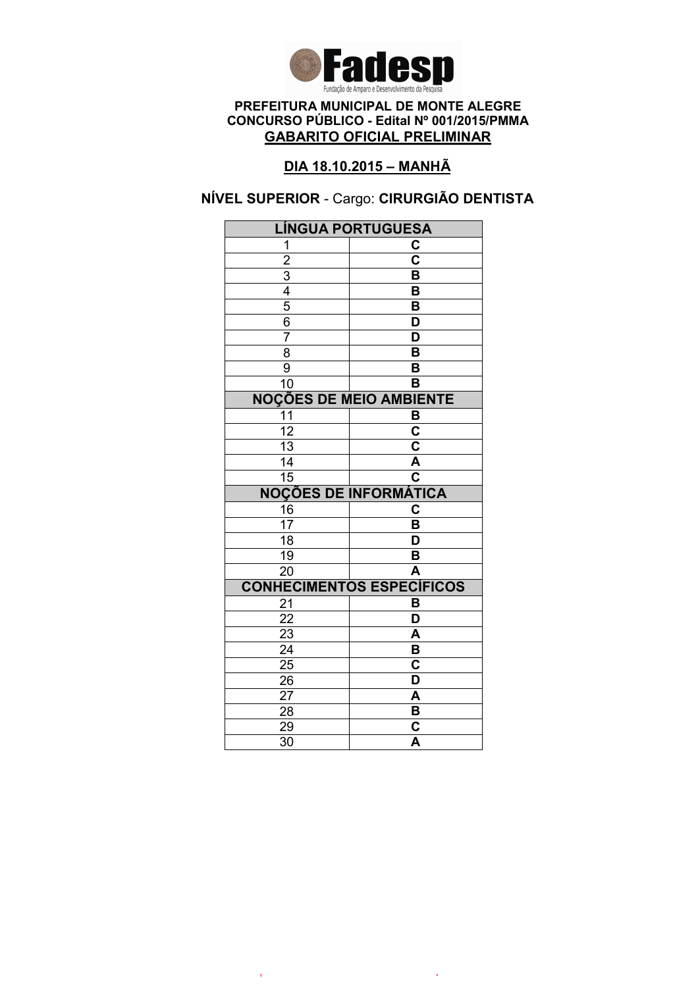

# DIA 18.10.2015 – MANHÃ

# NÍVEL SUPERIOR - Cargo: CIRURGIÃO DENTISTA

| <b>LÍNGUA PORTUGUESA</b>                  |                                                    |
|-------------------------------------------|----------------------------------------------------|
| 1                                         | C                                                  |
|                                           | $\overline{\mathbf{c}}$                            |
|                                           | B                                                  |
|                                           | B                                                  |
| $\frac{2}{3}$ $\frac{4}{5}$ $\frac{6}{6}$ | B                                                  |
|                                           | $\overline{\mathsf{D}}$                            |
| $\overline{7}$                            | $\overline{\mathsf{D}}$                            |
| $\overline{8}$                            | $\overline{\mathsf{B}}$                            |
| $\overline{9}$                            | B                                                  |
| 10                                        | B                                                  |
|                                           | <b>NOÇÕES DE MEIO AMBIENTE</b>                     |
| 11                                        | B                                                  |
| $\overline{12}$                           | $\overline{\mathbf{c}}$                            |
| 13                                        | $\overline{\mathsf{c}}$                            |
| 14                                        | $\overline{\mathsf{A}}$                            |
| $\overline{15}$                           | $\overline{\overline{\textbf{c}}}$                 |
|                                           | <b>NOÇÕES DE INFORMÁTICA</b>                       |
| 16                                        | C                                                  |
| $\overline{17}$                           | B                                                  |
| 18                                        | D                                                  |
| 19                                        | B                                                  |
| $\overline{20}$                           | $\overline{\mathsf{A}}$                            |
|                                           | <b>CONHECIMENTOS ESPECÍFICOS</b>                   |
| 21                                        | B                                                  |
| 22                                        | D                                                  |
|                                           |                                                    |
| 23                                        | A                                                  |
| $\overline{24}$                           | $\overline{\mathsf{B}}$                            |
| $\overline{25}$                           | $\overline{\textbf{c}}$                            |
| 26                                        | D                                                  |
| 27                                        | A                                                  |
| 28                                        | $\overline{\mathbf{B}}$                            |
| 29<br>$\overline{30}$                     | $\overline{\mathbf{c}}$<br>$\overline{\mathsf{A}}$ |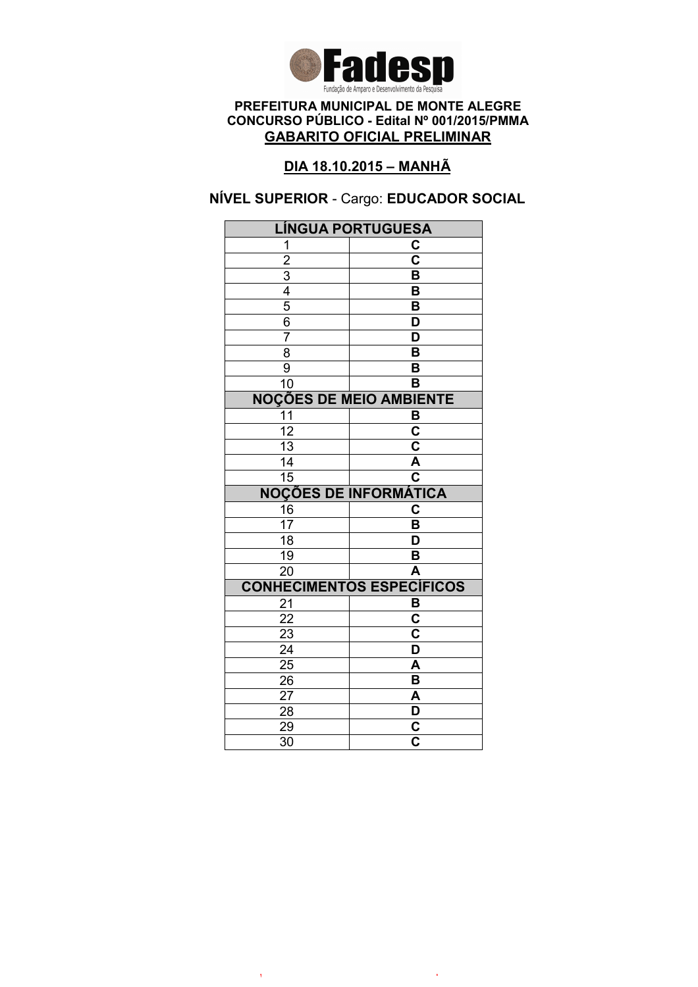

## DIA 18.10.2015 – MANHÃ

# NÍVEL SUPERIOR - Cargo: EDUCADOR SOCIAL

| <b>LÍNGUA PORTUGUESA</b>                  |                                     |
|-------------------------------------------|-------------------------------------|
| 1                                         | C                                   |
|                                           | $\overline{\mathbf{c}}$             |
|                                           | B                                   |
|                                           | B                                   |
| $\frac{2}{3}$ $\frac{4}{5}$ $\frac{6}{6}$ | B                                   |
|                                           | D                                   |
| $\overline{7}$                            | D                                   |
| $\overline{8}$                            | $\overline{\mathsf{B}}$             |
| $\overline{9}$                            | B                                   |
| 10                                        | B                                   |
|                                           | <b>NOÇÕES DE MEIO AMBIENTE</b>      |
| 11                                        | B                                   |
| $\overline{12}$                           | $\overline{\mathbf{c}}$             |
| 13                                        | $\overline{\mathbf{c}}$             |
| 14                                        | $\overline{\mathsf{A}}$             |
| $\overline{15}$                           | $\overline{\overline{\textbf{c}}}$  |
|                                           | <b>NOÇÕES DE INFORMÁTICA</b>        |
| 16                                        | C                                   |
| $\overline{17}$                           | B                                   |
| 18                                        | D                                   |
| 19                                        | B                                   |
| $\overline{20}$                           | A                                   |
|                                           |                                     |
|                                           | <b>CONHECIMENTOS ESPECÍFICOS</b>    |
| 21                                        | B                                   |
| 22                                        | C                                   |
| $\overline{23}$                           | $\overline{\mathsf{c}}$             |
| $\overline{24}$                           | $\overline{\mathsf{D}}$             |
| $\overline{25}$                           | A                                   |
| 26                                        | B                                   |
| 27                                        | A                                   |
| 28                                        | $\overline{\mathsf{D}}$             |
| 29<br>$\overline{30}$                     | $\frac{\overline{c}}{\overline{c}}$ |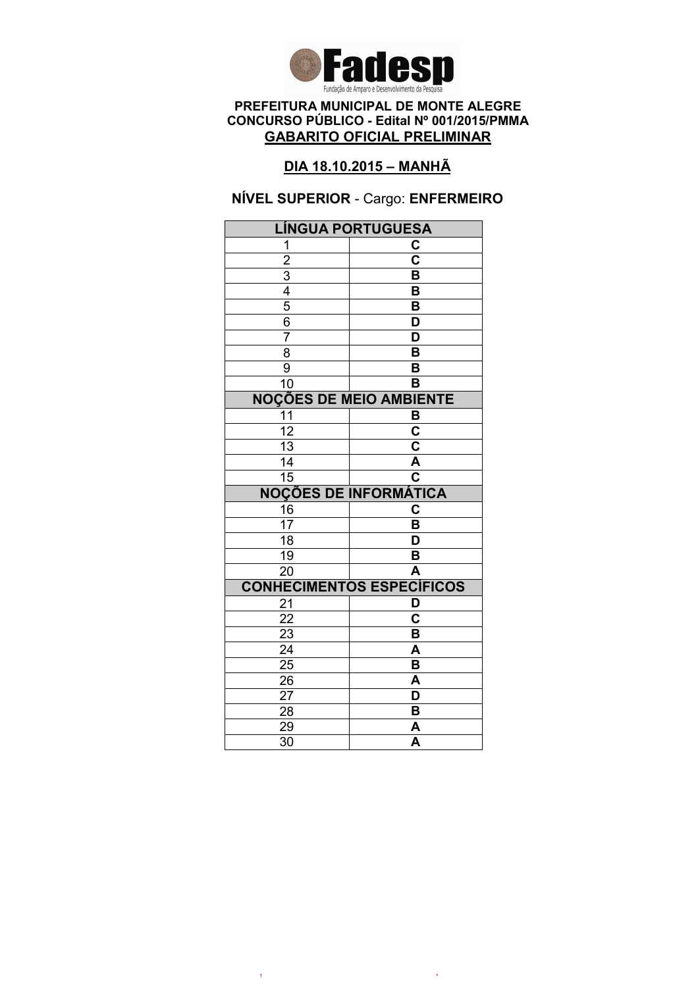

# DIA 18.10.2015 – MANHÃ

### NÍVEL SUPERIOR - Cargo: ENFERMEIRO

| <b>LÍNGUA PORTUGUESA</b> |                                  |
|--------------------------|----------------------------------|
| 1                        | C                                |
| $\overline{2}$           | $\overline{\mathsf{c}}$          |
|                          | B                                |
| $\frac{3}{4}$            | B                                |
|                          | B                                |
| $\overline{6}$           | D                                |
| 7                        | $\overline{\mathsf{D}}$          |
| $\overline{8}$           | B                                |
| $\overline{9}$           | B                                |
| $\overline{10}$          | $\overline{\mathsf{B}}$          |
|                          | <b>NOÇÕES DE MEIO AMBIENTE</b>   |
| $\overline{11}$          | B                                |
| 12                       | $\overline{\mathbf{c}}$          |
| 13                       | C                                |
| 14                       | Ā                                |
| $\overline{15}$          | C                                |
|                          | <b>NOÇÕES DE INFORMÁTICA</b>     |
| 16                       | C                                |
| 17                       | B                                |
| $\overline{18}$          | D                                |
|                          |                                  |
| 19                       | B                                |
| $\overline{20}$          | A                                |
|                          | <b>CONHECIMENTOS ESPECÍFICOS</b> |
| 21                       | D                                |
| $\overline{22}$          | $\overline{\mathbf{c}}$          |
| 23                       | B                                |
| $\overline{24}$          | $\overline{\mathsf{A}}$          |
| 25                       | $\overline{\mathsf{B}}$          |
| 26                       | A                                |
| 27                       | D                                |
| 28                       | B                                |
| 29<br>$\overline{30}$    | A<br>$\overline{\mathsf{A}}$     |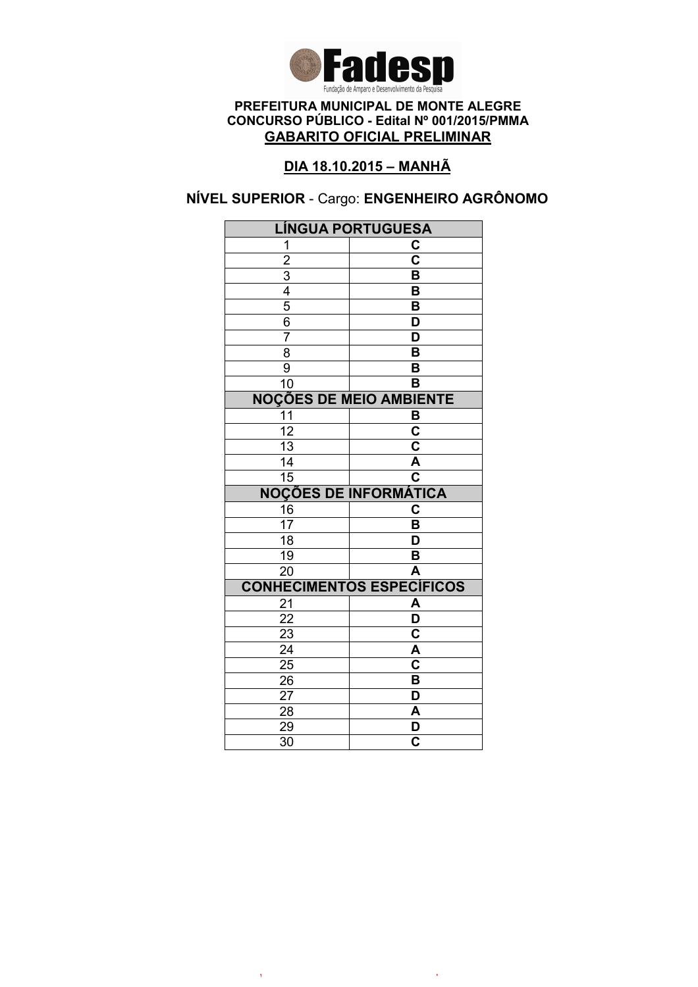

# DIA 18.10.2015 – MANHÃ

# NÍVEL SUPERIOR - Cargo: ENGENHEIRO AGRÔNOMO

| <b>LÍNGUA PORTUGUESA</b>       |                                  |  |
|--------------------------------|----------------------------------|--|
| 1                              | C                                |  |
| $\overline{2}$                 | $\overline{\mathbf{c}}$          |  |
|                                | B                                |  |
| $\frac{3}{4}$                  | B                                |  |
|                                | $\overline{\mathsf{B}}$          |  |
| 6                              | D                                |  |
| 7                              | D                                |  |
| $\overline{8}$                 | $\overline{\mathsf{B}}$          |  |
| 9                              | B                                |  |
| 10                             | B                                |  |
| <b>NOÇÕES DE MEIO AMBIENTE</b> |                                  |  |
| 11                             | B                                |  |
| $\overline{12}$                | $\overline{\mathbf{c}}$          |  |
| $\overline{13}$                | $\overline{\mathbf{c}}$          |  |
| 14                             | Ā                                |  |
| $\overline{15}$                | $\overline{\textbf{c}}$          |  |
|                                | <b>NOÇÕES DE INFORMÁTICA</b>     |  |
| 16                             | $\overline{\textbf{c}}$          |  |
| 17                             | B                                |  |
| $\overline{18}$                | D                                |  |
| 19                             | B                                |  |
| $\overline{20}$                | A                                |  |
|                                | <b>CONHECIMENTOS ESPECÍFICOS</b> |  |
| 21                             | A                                |  |
|                                |                                  |  |
| 22                             | $\overline{\mathsf{D}}$          |  |
| 23                             | $\overline{\mathbf{c}}$          |  |
| $\overline{24}$                | $\overline{\mathsf{A}}$          |  |
| $\overline{25}$                | $\overline{\mathbf{c}}$          |  |
| 26                             | B                                |  |
| 27                             | D                                |  |
| 28                             | A                                |  |
| 29<br>$\overline{30}$          | D<br>$\overline{\mathbf{c}}$     |  |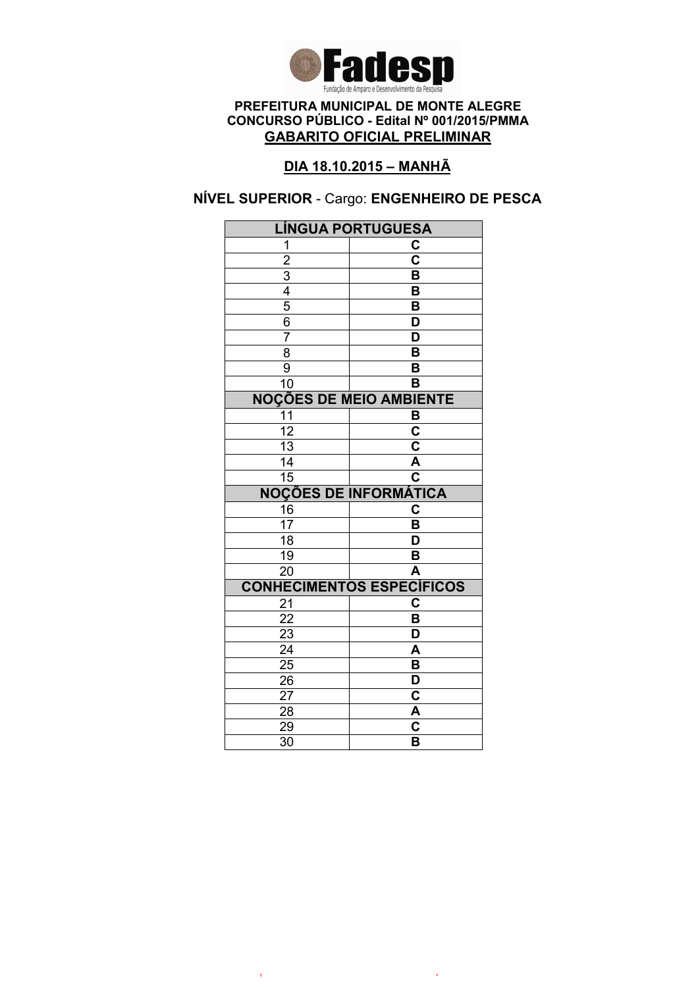

# DIA 18.10.2015 – MANHÃ

# NÍVEL SUPERIOR - Cargo: ENGENHEIRO DE PESCA

| <b>LÍNGUA PORTUGUESA</b>       |                                                    |  |
|--------------------------------|----------------------------------------------------|--|
| 1                              | C                                                  |  |
| $\overline{2}$                 | $\overline{\mathbf{c}}$                            |  |
|                                | B                                                  |  |
| $\frac{3}{4}$                  | B                                                  |  |
|                                | $\overline{\mathsf{B}}$                            |  |
| 6                              | D                                                  |  |
| $\overline{7}$                 | D                                                  |  |
| $\overline{8}$                 | $\overline{\mathsf{B}}$                            |  |
| 9                              | B                                                  |  |
| 10                             | B                                                  |  |
| <b>NOÇÕES DE MEIO AMBIENTE</b> |                                                    |  |
| 11                             | B                                                  |  |
| $\overline{12}$                | $\overline{\mathsf{c}}$                            |  |
| 13                             | $\overline{\mathsf{c}}$                            |  |
| 14                             | $\overline{\mathsf{A}}$                            |  |
| $\overline{15}$                | $\overline{\mathbf{c}}$                            |  |
|                                | <b>NOÇÕES DE INFORMÁTICA</b>                       |  |
| 16                             | $\overline{\textbf{c}}$                            |  |
| 17                             | B                                                  |  |
| $\overline{18}$                | $\overline{\mathsf{D}}$                            |  |
| 19                             | B                                                  |  |
| $\overline{20}$                | $\overline{\mathsf{A}}$                            |  |
|                                | <b>CONHECIMENTOS ESPECÍFICOS</b>                   |  |
| 21                             | $\overline{\mathbf{c}}$                            |  |
| 22                             | B                                                  |  |
| 23                             | D                                                  |  |
| $\overline{24}$                | $\overline{\mathsf{A}}$                            |  |
| 25                             | $\overline{\mathsf{B}}$                            |  |
|                                |                                                    |  |
| 26                             | D                                                  |  |
| 27                             | C                                                  |  |
| 28                             | A                                                  |  |
| 29<br>$\overline{30}$          | $\overline{\textbf{c}}$<br>$\overline{\mathsf{B}}$ |  |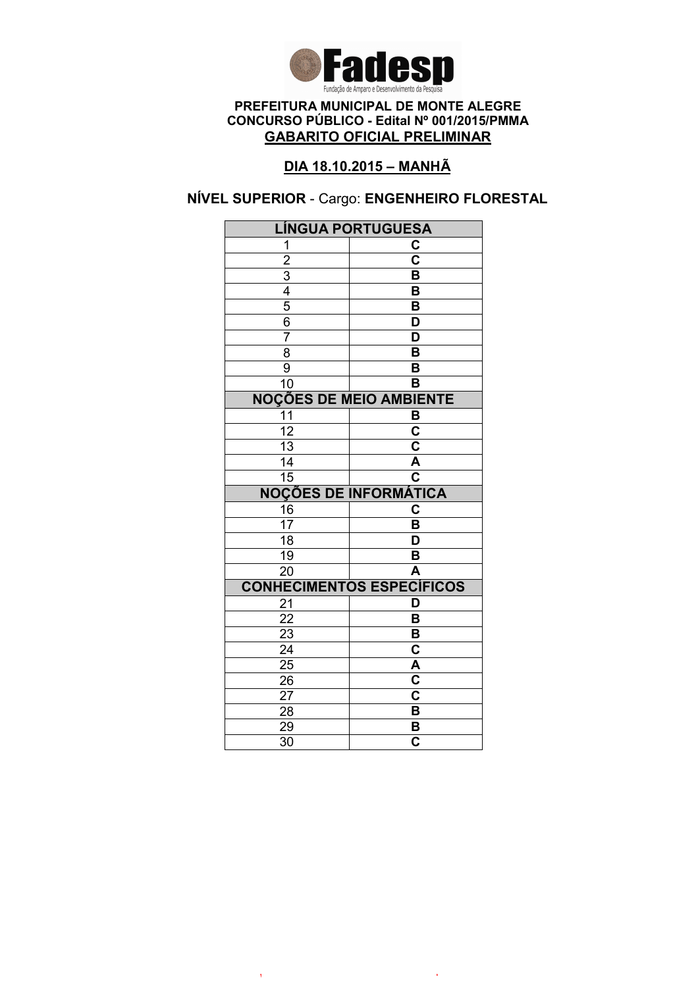

# DIA 18.10.2015 – MANHÃ

# NÍVEL SUPERIOR - Cargo: ENGENHEIRO FLORESTAL

| <b>LÍNGUA PORTUGUESA</b>       |                                  |  |
|--------------------------------|----------------------------------|--|
| 1                              | C                                |  |
| $\overline{2}$                 | $\overline{\mathbf{c}}$          |  |
|                                | B                                |  |
| $\frac{3}{4}$                  | B                                |  |
|                                | $\overline{\mathsf{B}}$          |  |
| 6                              | D                                |  |
| $\overline{7}$                 | D                                |  |
| $\overline{8}$                 | $\overline{\mathsf{B}}$          |  |
| 9                              | B                                |  |
| 10                             | B                                |  |
| <b>NOÇÕES DE MEIO AMBIENTE</b> |                                  |  |
| 11                             | B                                |  |
| $\overline{12}$                | $\overline{\mathbf{c}}$          |  |
| 13                             | $\overline{\mathsf{c}}$          |  |
| 14                             | Ā                                |  |
| $\overline{15}$                | $\overline{\textbf{c}}$          |  |
|                                | <b>NOÇÕES DE INFORMÁTICA</b>     |  |
| 16                             | $\overline{\mathbf{c}}$          |  |
| 17                             | B                                |  |
| $\overline{18}$                | D                                |  |
| 19                             |                                  |  |
|                                | B                                |  |
| $\overline{20}$                | A                                |  |
|                                | <b>CONHECIMENTOS ESPECÍFICOS</b> |  |
| 21                             | D                                |  |
| 22                             | B                                |  |
| 23                             | B                                |  |
| $\overline{24}$                | $\overline{\textbf{c}}$          |  |
| $\overline{25}$                | A                                |  |
| 26                             | $\overline{\mathbf{c}}$          |  |
| 27                             | C                                |  |
| 28                             | B                                |  |
| 29<br>$\overline{30}$          | B<br>$\overline{\mathbf{c}}$     |  |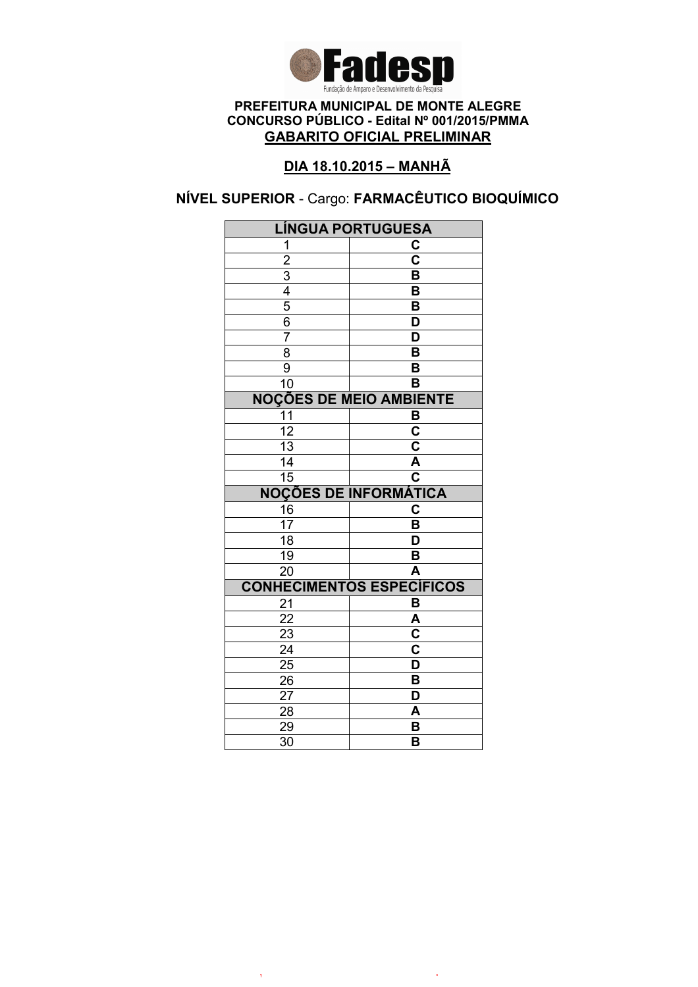

# DIA 18.10.2015 – MANHÃ

# NÍVEL SUPERIOR - Cargo: FARMACÊUTICO BIOQUÍMICO

| <b>LÍNGUA PORTUGUESA</b>       |                                  |  |
|--------------------------------|----------------------------------|--|
| 1                              | C                                |  |
| $\overline{2}$                 | $\overline{\mathbf{c}}$          |  |
|                                | B                                |  |
| $\frac{3}{4}$                  | B                                |  |
| $\overline{5}$                 | $\overline{\mathsf{B}}$          |  |
| 6                              | D                                |  |
| $\overline{7}$                 | D                                |  |
| $\overline{8}$                 | $\overline{\mathsf{B}}$          |  |
| 9                              | B                                |  |
| 10                             | B                                |  |
| <b>NOÇÕES DE MEIO AMBIENTE</b> |                                  |  |
| 11                             | B                                |  |
| $\overline{12}$                | $\overline{\mathsf{c}}$          |  |
| $\overline{13}$                | $\overline{\mathbf{c}}$          |  |
| 14                             | $\overline{\mathsf{A}}$          |  |
| $\overline{15}$                | $\overline{\textbf{c}}$          |  |
|                                | <b>NOÇÕES DE INFORMÁTICA</b>     |  |
| 16                             | $\overline{\mathbf{c}}$          |  |
| 17                             | B                                |  |
| $\overline{18}$                | D                                |  |
| 19                             | B                                |  |
| $\overline{20}$                | A                                |  |
|                                | <b>CONHECIMENTOS ESPECÍFICOS</b> |  |
| 21                             | B                                |  |
| 22                             | A                                |  |
| 23                             | $\overline{\textbf{c}}$          |  |
|                                |                                  |  |
| $\overline{24}$                | $\overline{\mathbf{c}}$          |  |
| 25                             | $\overline{\mathsf{D}}$          |  |
| 26                             | B                                |  |
| 27                             | D                                |  |
| 28                             | A                                |  |
| 29<br>$\overline{30}$          | B<br>B                           |  |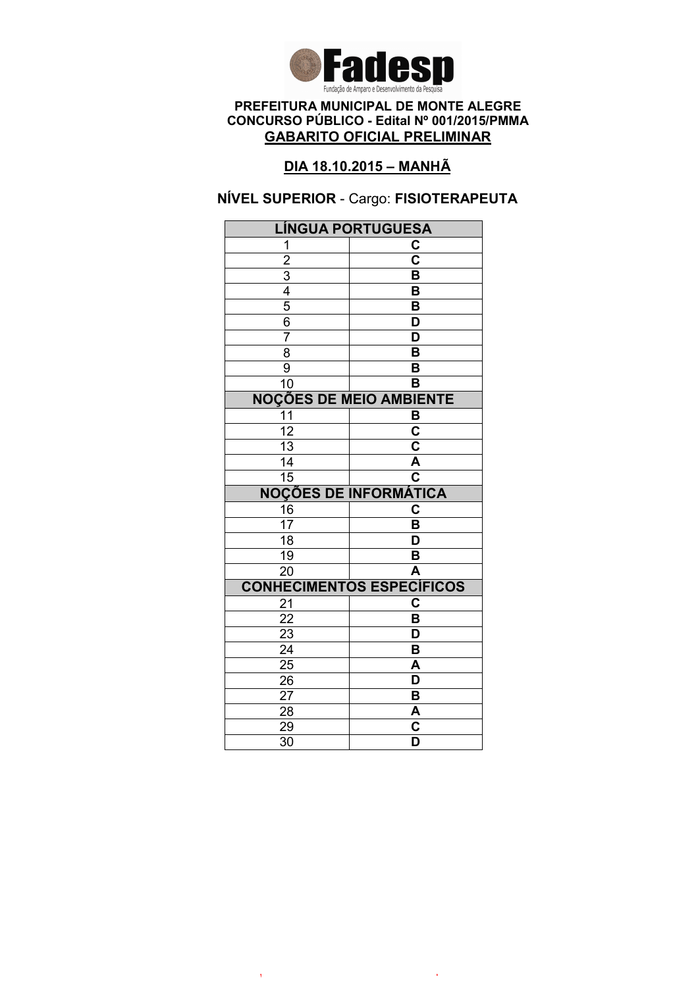

# DIA 18.10.2015 – MANHÃ

## NÍVEL SUPERIOR - Cargo: FISIOTERAPEUTA

| <b>LÍNGUA PORTUGUESA</b>       |                                                    |  |
|--------------------------------|----------------------------------------------------|--|
| 1                              | C                                                  |  |
| $\overline{2}$                 | $\overline{\overline{\textbf{c}}}$                 |  |
|                                | B                                                  |  |
| $\frac{3}{4}$                  | B                                                  |  |
|                                | B                                                  |  |
| $\overline{6}$                 | D                                                  |  |
| 7                              | $\overline{\mathsf{D}}$                            |  |
| $\overline{8}$                 | B                                                  |  |
| $\overline{9}$                 | B                                                  |  |
| $\overline{10}$                | $\overline{\mathsf{B}}$                            |  |
| <b>NOÇÕES DE MEIO AMBIENTE</b> |                                                    |  |
| $\overline{11}$                | B                                                  |  |
| 12                             | C                                                  |  |
| 13                             | C                                                  |  |
| 14                             | $\overline{\mathsf{A}}$                            |  |
| $\overline{15}$                | C                                                  |  |
|                                | <b>NOÇÕES DE INFORMÁTICA</b>                       |  |
| 16                             | C                                                  |  |
| 17                             | B                                                  |  |
| $\overline{18}$                | D                                                  |  |
| 19                             | B                                                  |  |
| $\overline{20}$                | A                                                  |  |
|                                |                                                    |  |
|                                | <b>CONHECIMENTOS ESPECÍFICOS</b>                   |  |
| 21                             | C                                                  |  |
| $\overline{22}$                | $\overline{\mathsf{B}}$                            |  |
| 23                             | D                                                  |  |
| $\overline{24}$                | $\overline{\mathsf{B}}$                            |  |
| $\overline{25}$                | A                                                  |  |
| $2\overline{6}$                | D                                                  |  |
| 27                             | B                                                  |  |
| 28                             | A                                                  |  |
| 29<br>$\overline{30}$          | $\overline{\mathbf{c}}$<br>$\overline{\mathsf{D}}$ |  |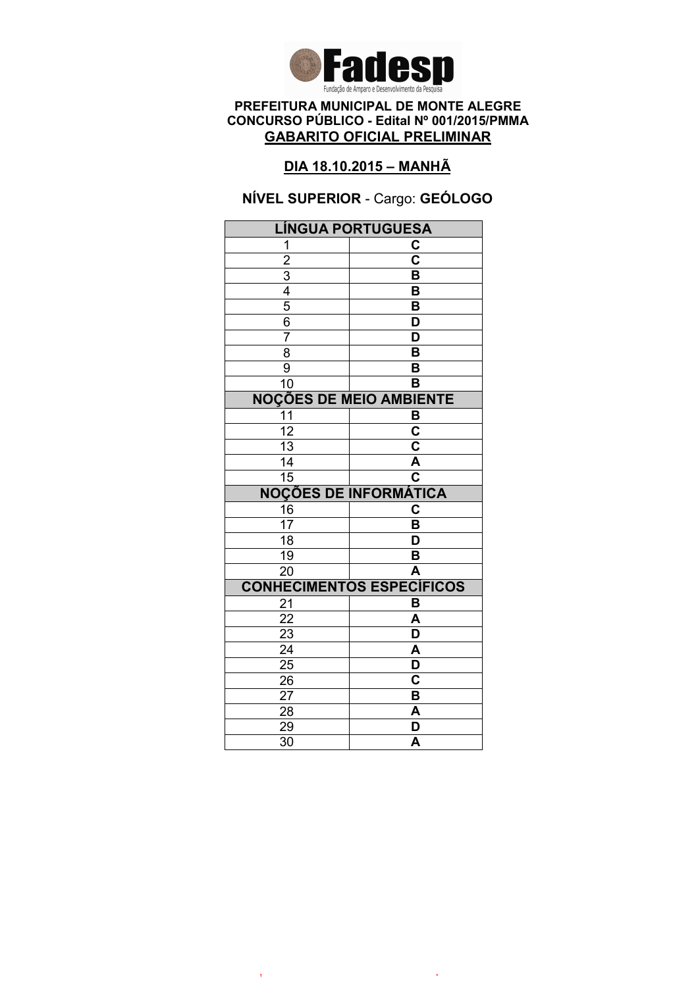

## DIA 18.10.2015 – MANHÃ

## NÍVEL SUPERIOR - Cargo: GEÓLOGO

| <b>LÍNGUA PORTUGUESA</b>       |                                  |  |
|--------------------------------|----------------------------------|--|
| 1                              | C                                |  |
| $\overline{2}$                 | $\overline{\mathbf{c}}$          |  |
| $\overline{3}$                 | B                                |  |
| $\frac{1}{4}$                  | B                                |  |
| $\overline{5}$                 | B                                |  |
| 6                              | D                                |  |
| 7                              | D                                |  |
| $\overline{8}$                 | $\overline{\mathsf{B}}$          |  |
| 9                              | B                                |  |
| 10                             | B                                |  |
| <b>NOÇÕES DE MEIO AMBIENTE</b> |                                  |  |
| 11                             | B                                |  |
| $\overline{12}$                | $\overline{\text{c}}$            |  |
| $\overline{13}$                | $\overline{\mathbf{c}}$          |  |
| 14                             | $\overline{\mathsf{A}}$          |  |
| $\overline{15}$                | $\overline{\mathbf{c}}$          |  |
|                                | <b>NOÇÕES DE INFORMÁTICA</b>     |  |
| 16                             | C                                |  |
| 17                             | B                                |  |
| $\overline{18}$                | D                                |  |
| 19                             | B                                |  |
| $\overline{20}$                | A                                |  |
|                                | <b>CONHECIMENTOS ESPECÍFICOS</b> |  |
| 21                             | B                                |  |
| 22                             | A                                |  |
| 23                             | D                                |  |
| $\overline{24}$                | A                                |  |
| 25                             | D                                |  |
| 26                             | Ć                                |  |
|                                |                                  |  |
| 27                             | B                                |  |
| 28                             | A                                |  |
| 29<br>$\overline{30}$          | D<br>A                           |  |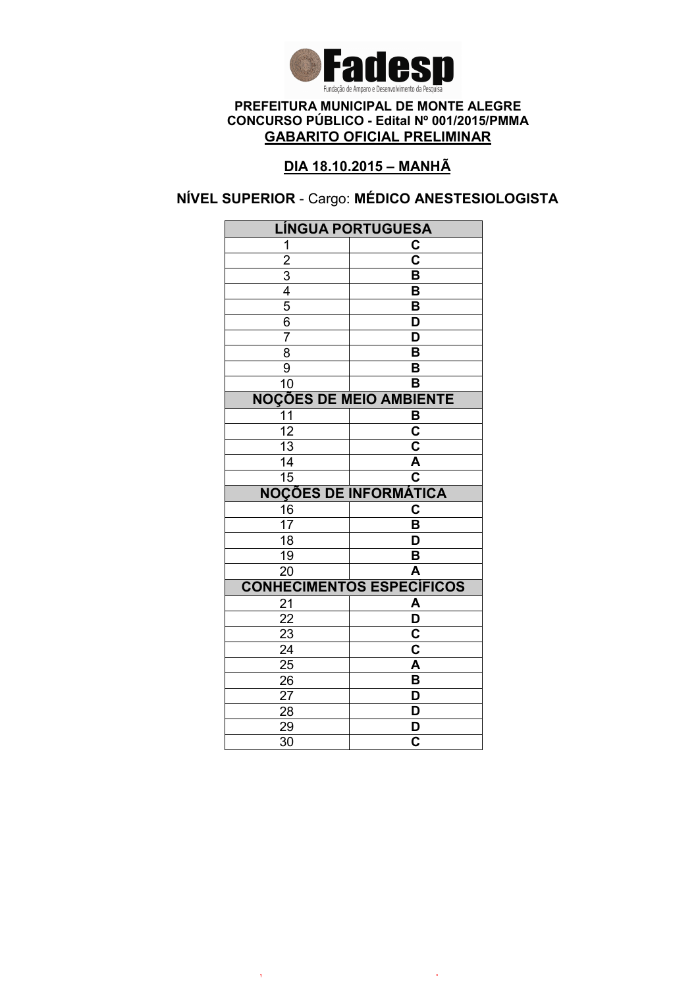

# DIA 18.10.2015 – MANHÃ

# NÍVEL SUPERIOR - Cargo: MÉDICO ANESTESIOLOGISTA

| <b>LÍNGUA PORTUGUESA</b>       |                                  |  |
|--------------------------------|----------------------------------|--|
| 1                              | C                                |  |
| $\overline{2}$                 | $\overline{\mathbf{c}}$          |  |
|                                | B                                |  |
| $\frac{3}{4}$                  | B                                |  |
| $\overline{5}$                 | $\overline{\mathsf{B}}$          |  |
| 6                              | D                                |  |
| $\overline{7}$                 | D                                |  |
| $\overline{8}$                 | $\overline{\mathsf{B}}$          |  |
| 9                              | B                                |  |
| 10                             | B                                |  |
| <b>NOÇÕES DE MEIO AMBIENTE</b> |                                  |  |
| 11                             | B                                |  |
| $\overline{12}$                | $\overline{\mathsf{c}}$          |  |
| $\overline{13}$                | $\overline{\mathbf{c}}$          |  |
| 14                             | $\overline{\mathsf{A}}$          |  |
| $\overline{15}$                | $\overline{\textbf{c}}$          |  |
|                                | <b>NOÇÕES DE INFORMÁTICA</b>     |  |
| 16                             | $\overline{\mathbf{c}}$          |  |
| 17                             | B                                |  |
| $\overline{18}$                | D                                |  |
| 19                             | B                                |  |
| $\overline{20}$                | A                                |  |
|                                | <b>CONHECIMENTOS ESPECÍFICOS</b> |  |
| 21                             | A                                |  |
|                                |                                  |  |
| 22                             | $\overline{\mathsf{D}}$          |  |
| 23                             | $\overline{\mathbf{c}}$          |  |
| $\overline{24}$                | $\overline{\mathbf{c}}$          |  |
| 25                             | A                                |  |
| 26                             | B                                |  |
| 27                             | D                                |  |
| 28                             | D                                |  |
| 29<br>$\overline{30}$          | D<br>$\overline{\mathbf{c}}$     |  |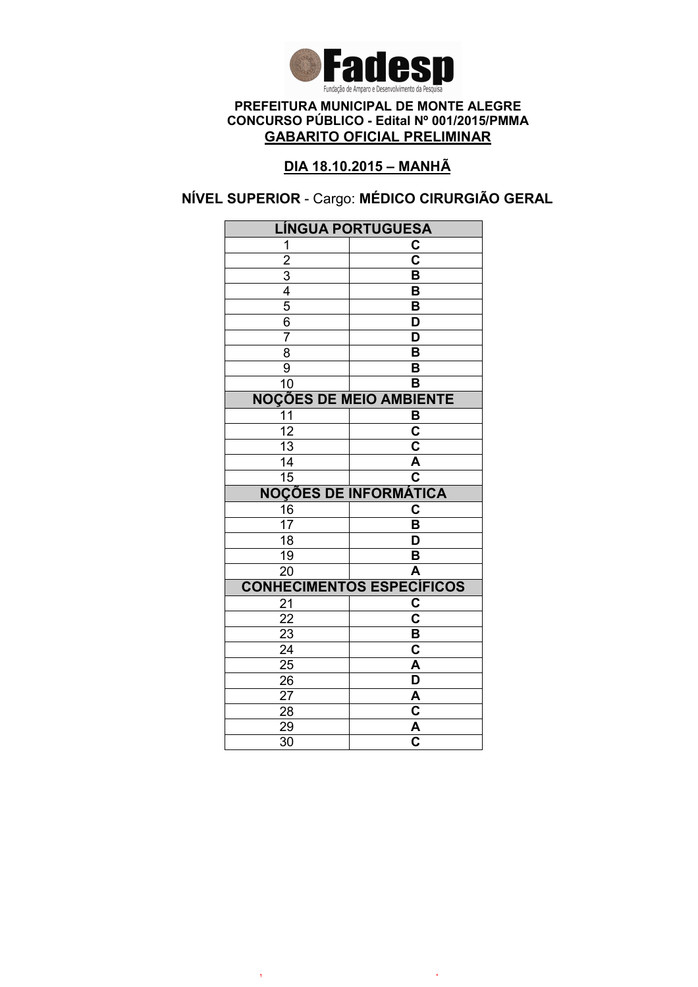

## DIA 18.10.2015 – MANHÃ

# NÍVEL SUPERIOR - Cargo: MÉDICO CIRURGIÃO GERAL

| LÍNGUA PORTUGUESA                         |                                  |  |
|-------------------------------------------|----------------------------------|--|
| 1                                         | C                                |  |
|                                           | $\overline{\mathbf{c}}$          |  |
|                                           | B                                |  |
|                                           | B                                |  |
| $\frac{2}{3}$ $\frac{4}{5}$ $\frac{6}{3}$ | $\overline{\mathsf{B}}$          |  |
|                                           | D                                |  |
| $\overline{7}$                            | $\overline{\mathsf{D}}$          |  |
| 8                                         | $\overline{\mathsf{B}}$          |  |
| $\overline{9}$                            | B                                |  |
| 10                                        | B                                |  |
| <b>NOÇÕES DE MEIO AMBIENTE</b>            |                                  |  |
| $\overline{11}$                           | B                                |  |
| $\overline{12}$                           | $\overline{\mathbf{c}}$          |  |
| $\overline{13}$                           | $\overline{\mathsf{c}}$          |  |
| 14                                        | A                                |  |
| $\overline{15}$                           | $\overline{\mathbf{c}}$          |  |
|                                           | <b>NOÇÕES DE INFORMÁTICA</b>     |  |
| 16                                        | C                                |  |
| $\overline{17}$                           | $\overline{\mathsf{B}}$          |  |
| $\overline{18}$                           | $\overline{\mathsf{D}}$          |  |
| $\overline{19}$                           | B                                |  |
| $\overline{20}$                           | $\overline{\mathsf{A}}$          |  |
|                                           | <b>CONHECIMENTOS ESPECÍFICOS</b> |  |
| 21                                        | C                                |  |
| 22                                        | $\overline{\mathbf{c}}$          |  |
| 23                                        | B                                |  |
| $\overline{24}$                           | $\overline{\textbf{c}}$          |  |
| $\overline{25}$                           | $\overline{\mathsf{A}}$          |  |
| 26                                        | $\overline{\mathsf{D}}$          |  |
|                                           |                                  |  |
| 27                                        | A                                |  |
| 28                                        | $\overline{\mathbf{c}}$          |  |
| 29<br>$\overline{30}$                     | $\frac{\overline{A}}{C}$         |  |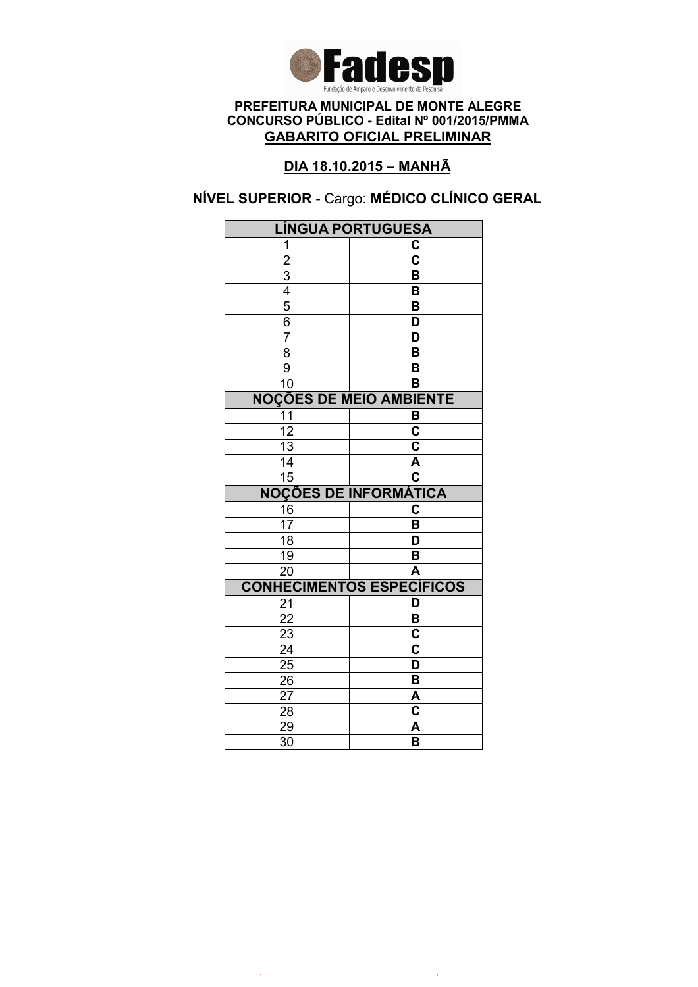

# DIA 18.10.2015 – MANHÃ

# NÍVEL SUPERIOR - Cargo: MÉDICO CLÍNICO GERAL

| <b>LÍNGUA PORTUGUESA</b>       |                                  |  |
|--------------------------------|----------------------------------|--|
| 1                              | C                                |  |
| $\overline{2}$                 | $\overline{\mathbf{c}}$          |  |
|                                | B                                |  |
| $\frac{3}{4}$                  | B                                |  |
|                                | $\overline{\mathsf{B}}$          |  |
| 6                              | D                                |  |
| $\overline{7}$                 | D                                |  |
| $\overline{8}$                 | $\overline{\mathsf{B}}$          |  |
| 9                              | B                                |  |
| 10                             | B                                |  |
| <b>NOÇÕES DE MEIO AMBIENTE</b> |                                  |  |
| 11                             | B                                |  |
| $\overline{12}$                | $\overline{\mathsf{c}}$          |  |
| 13                             | $\overline{\mathsf{c}}$          |  |
| 14                             | Ā                                |  |
| $\overline{15}$                | $\overline{\textbf{c}}$          |  |
|                                | <b>NOÇÕES DE INFORMÁTICA</b>     |  |
| 16                             | $\overline{\textbf{c}}$          |  |
| 17                             | B                                |  |
| $\overline{18}$                | $\overline{\mathsf{D}}$          |  |
| 19                             | B                                |  |
| $\overline{20}$                | $\overline{\mathsf{A}}$          |  |
|                                | <b>CONHECIMENTOS ESPECÍFICOS</b> |  |
| 21                             | D                                |  |
| 22                             | B                                |  |
| 23                             | C                                |  |
| $\overline{24}$                | $\overline{\mathbf{c}}$          |  |
| 25                             | $\overline{\mathsf{D}}$          |  |
| 26                             | B                                |  |
|                                |                                  |  |
| 27                             | A                                |  |
| 28                             | C                                |  |
| 29<br>$\overline{30}$          | A<br>$\overline{\mathsf{B}}$     |  |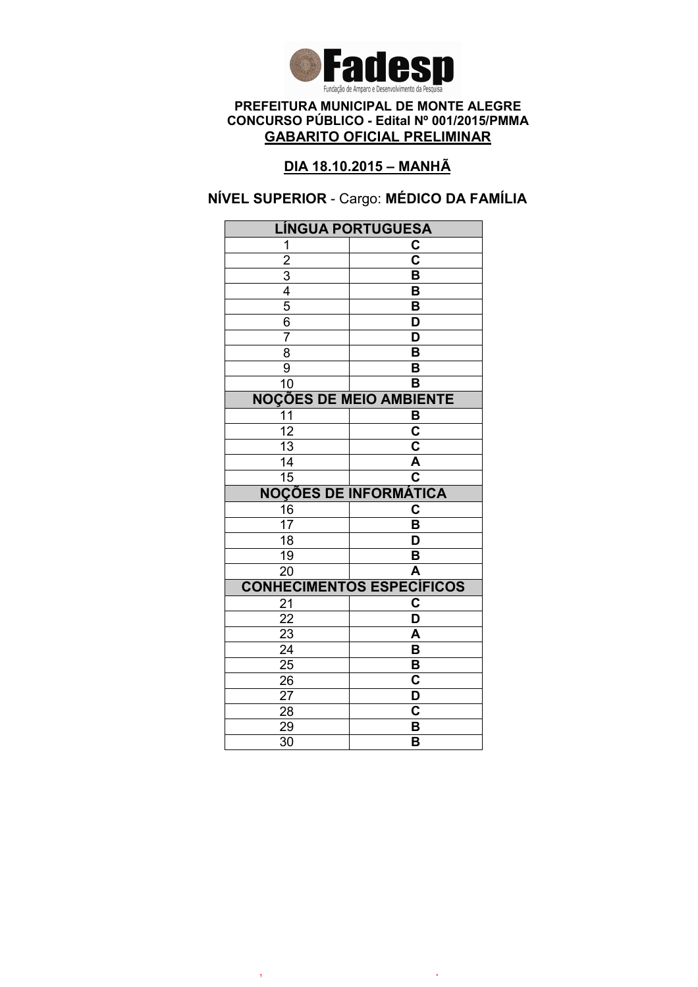

# DIA 18.10.2015 – MANHÃ

# NÍVEL SUPERIOR - Cargo: MÉDICO DA FAMÍLIA

| <b>LÍNGUA PORTUGUESA</b>       |                                  |  |
|--------------------------------|----------------------------------|--|
| 1                              | C                                |  |
| $\overline{2}$                 | $\overline{\mathbf{c}}$          |  |
|                                | B                                |  |
| $\frac{3}{4}$                  | B                                |  |
|                                | B                                |  |
| $\overline{6}$                 | D                                |  |
| 7                              | $\overline{\mathsf{D}}$          |  |
| $\overline{8}$                 | B                                |  |
| $\overline{9}$                 | B                                |  |
| $\overline{10}$                | $\overline{\mathsf{B}}$          |  |
| <b>NOÇÕES DE MEIO AMBIENTE</b> |                                  |  |
| 11                             | B                                |  |
| 12                             | $\overline{\mathbf{c}}$          |  |
| 13                             | C                                |  |
| 14                             | $\overline{\mathsf{A}}$          |  |
| $\overline{15}$                | $\mathbf c$                      |  |
|                                | <b>NOÇÕES DE INFORMÁTICA</b>     |  |
| 16                             | C                                |  |
| 17                             | B                                |  |
| $\overline{18}$                | D                                |  |
| $\overline{19}$                | B                                |  |
| $\overline{20}$                | A                                |  |
|                                | <b>CONHECIMENTOS ESPECÍFICOS</b> |  |
| 21                             | C                                |  |
| $\overline{22}$                | $\overline{\mathsf{D}}$          |  |
| 23                             |                                  |  |
|                                | A                                |  |
| $\overline{24}$                | $\overline{\mathsf{B}}$          |  |
| 25                             | B                                |  |
| 26                             | $\overline{\mathbf{c}}$          |  |
| 27                             | D                                |  |
| 28                             | C                                |  |
| 29<br>$\overline{30}$          | B<br>B                           |  |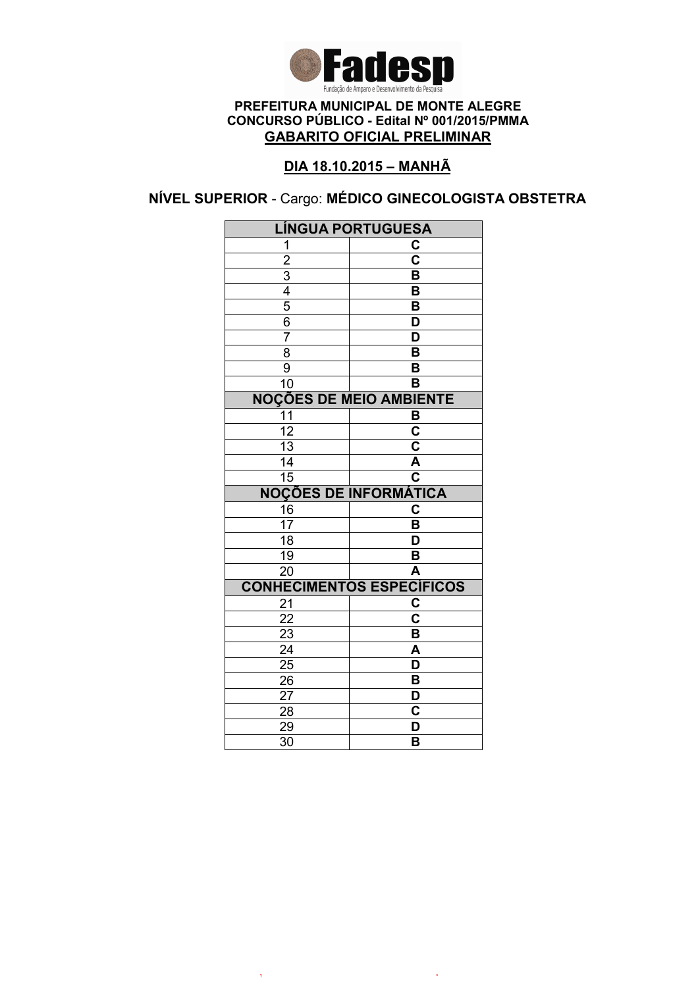

# DIA 18.10.2015 – MANHÃ

NÍVEL SUPERIOR - Cargo: MÉDICO GINECOLOGISTA OBSTETRA

| <b>LÍNGUA PORTUGUESA</b>       |                                  |  |
|--------------------------------|----------------------------------|--|
| 1                              | C                                |  |
|                                | $\overline{\text{c}}$            |  |
| $\frac{2}{3}$                  | $\overline{\mathsf{B}}$          |  |
|                                | B                                |  |
| $\overline{5}$                 | B                                |  |
| $\overline{6}$                 | D                                |  |
| $\overline{7}$                 | $\overline{\mathsf{D}}$          |  |
| 8                              | $\overline{\mathsf{B}}$          |  |
| 9                              | B                                |  |
| $\overline{10}$                | $\overline{\mathsf{B}}$          |  |
| <b>NOÇÕES DE MEIO AMBIENTE</b> |                                  |  |
| 11                             | B                                |  |
| $\overline{12}$                | $\overline{\mathbf{c}}$          |  |
| $\overline{13}$                | $\overline{\mathsf{c}}$          |  |
| $\overline{14}$                | Ā                                |  |
| $\overline{15}$                | $\overline{\mathbf{c}}$          |  |
|                                | <b>NOÇÕES DE INFORMÁTICA</b>     |  |
| 16                             | C                                |  |
| $\overline{17}$                | B                                |  |
| $\overline{18}$                | $\overline{\mathsf{D}}$          |  |
| 19                             | B                                |  |
| $\overline{20}$                | A                                |  |
|                                | <b>CONHECIMENTOS ESPECÍFICOS</b> |  |
| 21                             | C                                |  |
| $\overline{22}$                | $\overline{\textbf{c}}$          |  |
| 23                             | B                                |  |
| $\overline{24}$                | A                                |  |
| $\overline{25}$                | $\overline{\mathsf{D}}$          |  |
| 26                             | B                                |  |
| 27                             | D                                |  |
| 28                             | C                                |  |
| 29                             | D                                |  |
| $\overline{30}$                | B                                |  |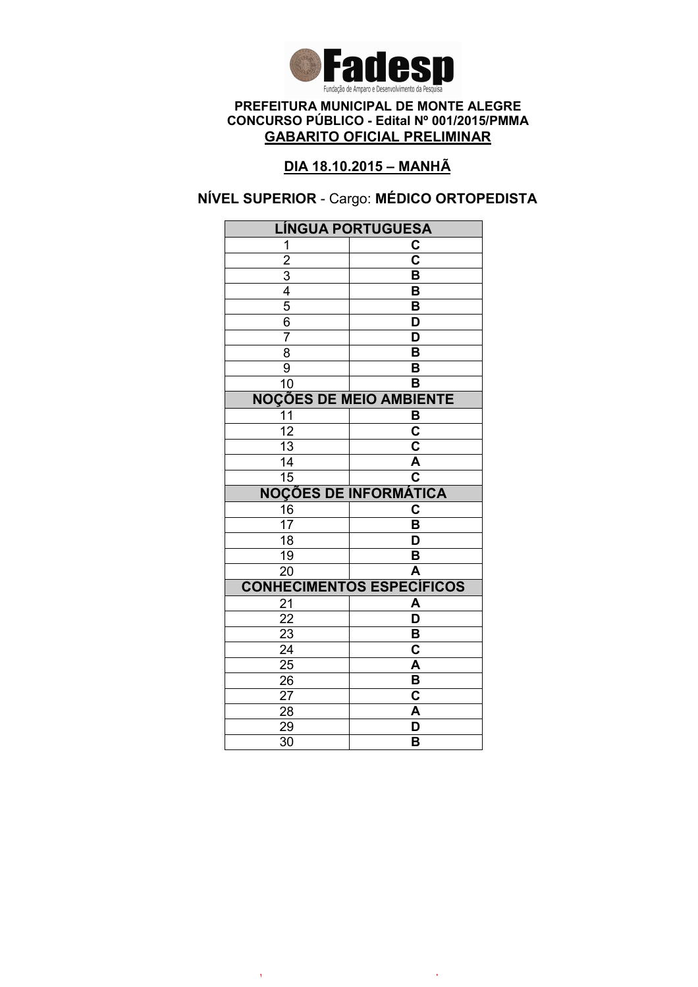

## DIA 18.10.2015 – MANHÃ

# NÍVEL SUPERIOR - Cargo: MÉDICO ORTOPEDISTA

| <b>LÍNGUA PORTUGUESA</b>       |                                    |  |
|--------------------------------|------------------------------------|--|
| 1                              | C                                  |  |
|                                | $\overline{\mathbf{c}}$            |  |
|                                | B                                  |  |
| $\frac{2}{3}$                  | B                                  |  |
| $\frac{5}{6}$                  | B                                  |  |
|                                | D                                  |  |
| $\overline{7}$                 | D                                  |  |
| $\overline{8}$                 | $\overline{\mathsf{B}}$            |  |
| $\overline{9}$                 | B                                  |  |
| 10                             | B                                  |  |
| <b>NOÇÕES DE MEIO AMBIENTE</b> |                                    |  |
| 11                             | B                                  |  |
| $\overline{12}$                | $\overline{\mathbf{c}}$            |  |
| 13                             | $\overline{\textbf{c}}$            |  |
| 14                             | $\overline{\mathsf{A}}$            |  |
| $\overline{15}$                | $\overline{\overline{\mathbf{c}}}$ |  |
|                                | <b>NOÇÕES DE INFORMÁTICA</b>       |  |
| 16                             | C                                  |  |
| $\overline{17}$                | B                                  |  |
| 18                             | D                                  |  |
| 19                             | B                                  |  |
| $\overline{20}$                | A                                  |  |
|                                | <b>CONHECIMENTOS ESPECÍFICOS</b>   |  |
| 21                             | A                                  |  |
| 22                             | $\overline{\mathsf{D}}$            |  |
| 23                             |                                    |  |
|                                | B                                  |  |
| $\overline{24}$                | $\overline{\text{c}}$              |  |
| $\overline{25}$                | A                                  |  |
| 26                             | B                                  |  |
| 27                             | C                                  |  |
| 28                             | A                                  |  |
| 29<br>$\overline{30}$          | D<br>B                             |  |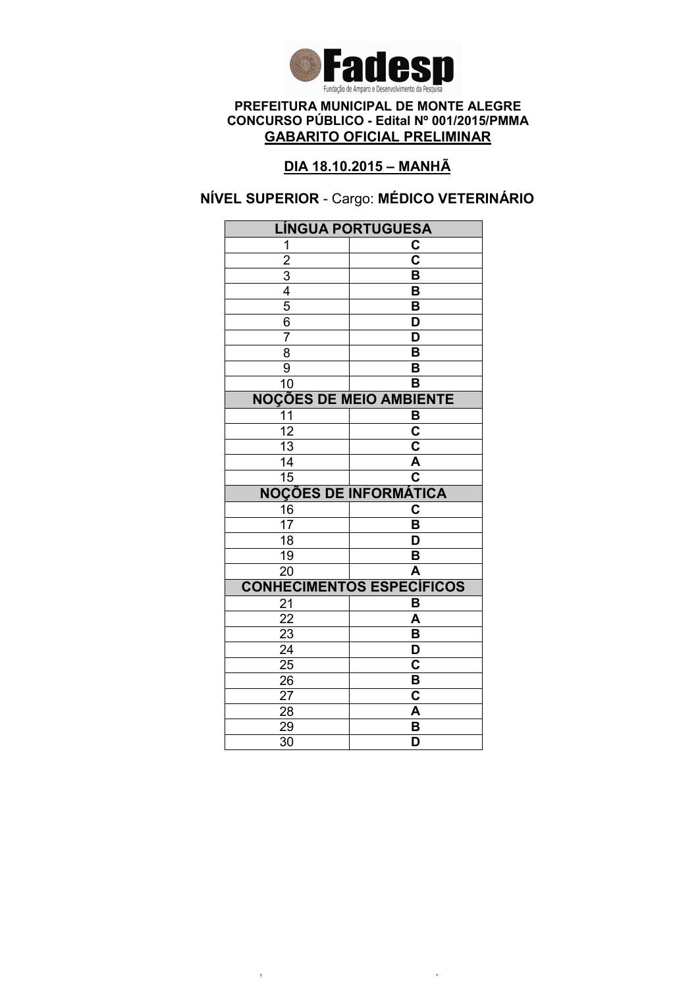

# DIA 18.10.2015 – MANHÃ

# NÍVEL SUPERIOR - Cargo: MÉDICO VETERINÁRIO

| <b>LÍNGUA PORTUGUESA</b>                  |                                    |  |
|-------------------------------------------|------------------------------------|--|
| 1                                         | С                                  |  |
|                                           | $\overline{\mathbf{c}}$            |  |
|                                           | B                                  |  |
|                                           | B                                  |  |
| $\frac{2}{3}$ $\frac{4}{5}$ $\frac{5}{6}$ | B                                  |  |
|                                           | $\overline{\mathsf{D}}$            |  |
| $\overline{7}$                            | $\overline{\mathsf{D}}$            |  |
| $\overline{8}$                            | $\overline{\mathsf{B}}$            |  |
| $\overline{9}$                            | B                                  |  |
| 10                                        | B                                  |  |
| <b>NOÇÕES DE MEIO AMBIENTE</b>            |                                    |  |
| 11                                        | B                                  |  |
| $\overline{12}$                           | $\overline{\mathbf{c}}$            |  |
| 13                                        | $\overline{\mathsf{c}}$            |  |
| 14                                        | Ā                                  |  |
| $\overline{15}$                           | $\overline{\overline{\textbf{c}}}$ |  |
|                                           | <b>NOÇÕES DE INFORMÁTICA</b>       |  |
| 16                                        | C                                  |  |
| $\overline{17}$                           | B                                  |  |
| 18                                        | D                                  |  |
| 19                                        | B                                  |  |
| $\overline{20}$                           | $\overline{\mathsf{A}}$            |  |
|                                           |                                    |  |
|                                           | <b>CONHECIMENTOS ESPECÍFICOS</b>   |  |
| 21                                        | B                                  |  |
| 22                                        | A                                  |  |
| 23                                        | B                                  |  |
| $\overline{24}$                           | $\overline{\mathsf{D}}$            |  |
| $\overline{25}$                           | $\overline{\mathbf{C}}$            |  |
| 26                                        | B                                  |  |
| 27                                        | C                                  |  |
| 28                                        | A                                  |  |
| 29<br>$\overline{30}$                     | B<br>$\overline{\mathsf{D}}$       |  |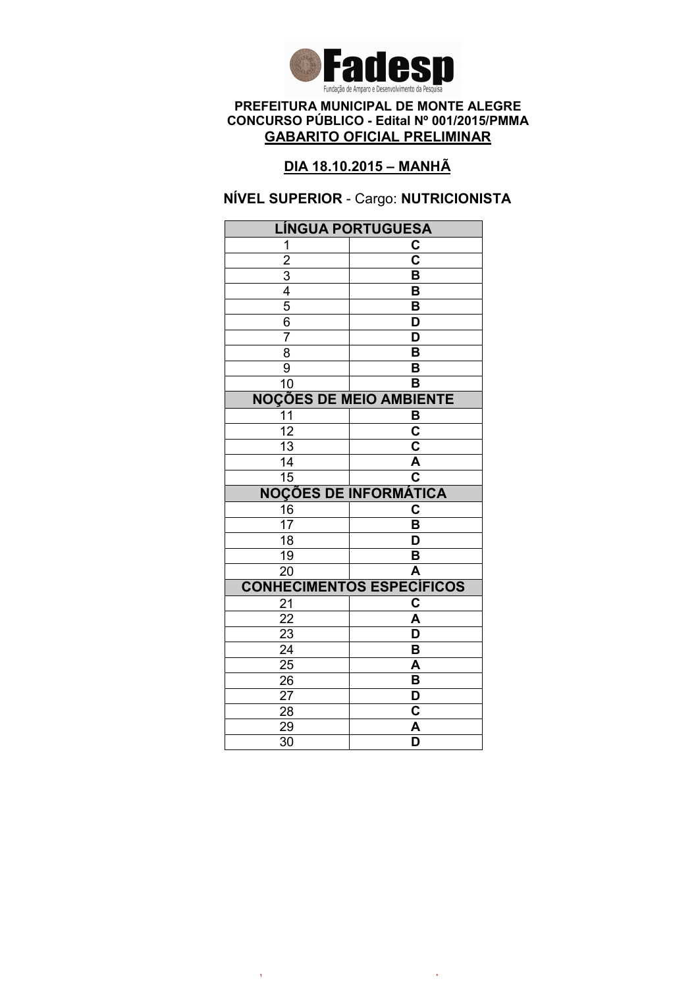

# DIA 18.10.2015 – MANHÃ

### NÍVEL SUPERIOR - Cargo: NUTRICIONISTA

| LÍNGUA PORTUGUESA              |                                  |  |
|--------------------------------|----------------------------------|--|
| 1                              | C                                |  |
|                                | $\overline{\mathsf{c}}$          |  |
| $\frac{2}{3}$ $\frac{4}{5}$    | B                                |  |
|                                | B                                |  |
|                                | B                                |  |
| $\overline{6}$                 | D                                |  |
| $\overline{7}$                 | D                                |  |
| 8                              | B                                |  |
| 9                              | B                                |  |
| 10                             | $\overline{\mathsf{B}}$          |  |
| <b>NOÇÕES DE MEIO AMBIENTE</b> |                                  |  |
| 11                             | B                                |  |
| $\overline{12}$                | $\overline{\mathbf{c}}$          |  |
| $\overline{13}$                | C                                |  |
| 14                             | $\overline{\mathsf{A}}$          |  |
| $\overline{15}$                | $\overline{\text{c}}$            |  |
|                                | <b>NOÇÕES DE INFORMÁTICA</b>     |  |
| 16                             | C                                |  |
| 17                             | B                                |  |
| $\overline{18}$                | D                                |  |
| 19                             | B                                |  |
| $\overline{20}$                | $\overline{\mathsf{A}}$          |  |
|                                | <b>CONHECIMENTOS ESPECÍFICOS</b> |  |
| 21                             | C                                |  |
| $\overline{22}$                | A                                |  |
| 23                             | D                                |  |
| 24                             | B                                |  |
| $\frac{25}{ }$                 | A                                |  |
| 26                             | B                                |  |
| 27                             |                                  |  |
|                                | D                                |  |
| 28                             | C                                |  |
| 29<br>$\overline{30}$          | A<br>$\overline{\mathsf{D}}$     |  |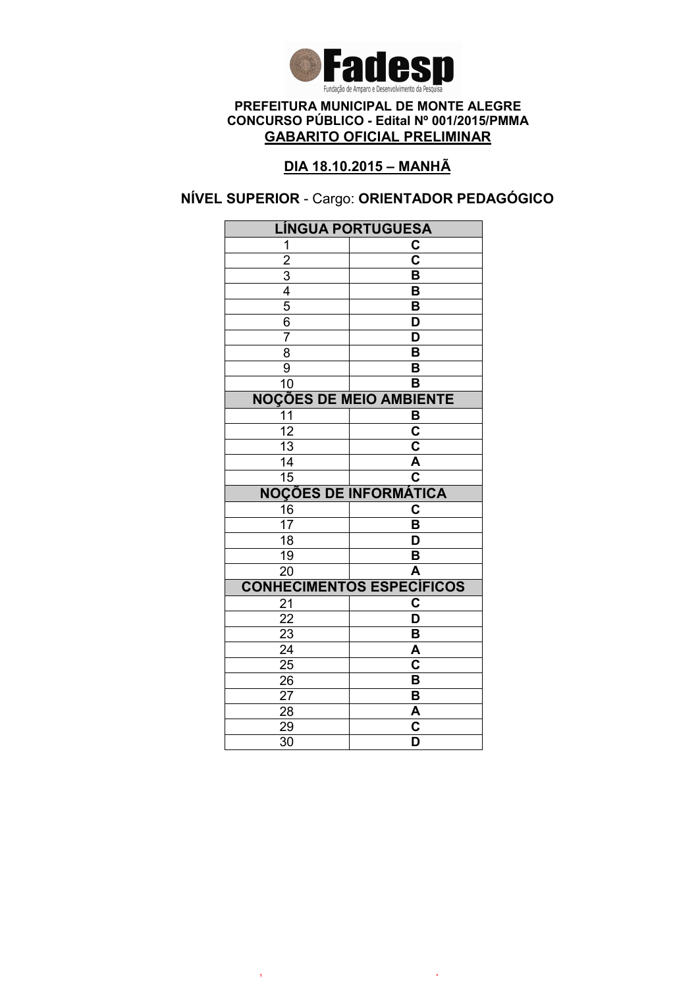

# DIA 18.10.2015 – MANHÃ

## NÍVEL SUPERIOR - Cargo: ORIENTADOR PEDAGÓGICO

| <b>LÍNGUA PORTUGUESA</b>                  |                                                  |  |
|-------------------------------------------|--------------------------------------------------|--|
| 1                                         | C                                                |  |
|                                           | $\overline{\mathbf{c}}$                          |  |
|                                           | B                                                |  |
|                                           | B                                                |  |
| $\frac{2}{3}$ $\frac{4}{5}$ $\frac{6}{3}$ | B                                                |  |
|                                           | D                                                |  |
| $\overline{7}$                            | $\overline{\mathsf{D}}$                          |  |
| 8                                         | $\overline{\mathsf{B}}$                          |  |
| $\overline{9}$                            | B                                                |  |
| 10                                        | B                                                |  |
| <b>NOÇÕES DE MEIO AMBIENTE</b>            |                                                  |  |
| 11                                        | B                                                |  |
| $\overline{12}$                           | $\overline{\mathbf{c}}$                          |  |
| $\overline{13}$                           | $\overline{\mathsf{c}}$                          |  |
| 14                                        | A                                                |  |
| $\overline{15}$                           | $\overline{\mathbf{c}}$                          |  |
|                                           | <b>NOÇÕES DE INFORMÁTICA</b>                     |  |
| $\frac{16}{17}$                           | C                                                |  |
|                                           | B                                                |  |
| $\overline{18}$                           | $\overline{\mathsf{D}}$                          |  |
| $\overline{19}$                           | B                                                |  |
| $\overline{20}$                           | $\overline{\mathsf{A}}$                          |  |
|                                           |                                                  |  |
|                                           | <b>CONHECIMENTOS ESPECÍFICOS</b>                 |  |
| 21                                        | C                                                |  |
| 22                                        | $\overline{\mathsf{D}}$                          |  |
| 23                                        | B                                                |  |
| $\overline{24}$                           | A                                                |  |
| $2\overline{5}$                           | $\overline{\mathbf{c}}$                          |  |
| 26                                        | B                                                |  |
| 27                                        | B                                                |  |
| 28                                        | A                                                |  |
| 29<br>$\overline{30}$                     | $\overline{\text{c}}$<br>$\overline{\mathsf{D}}$ |  |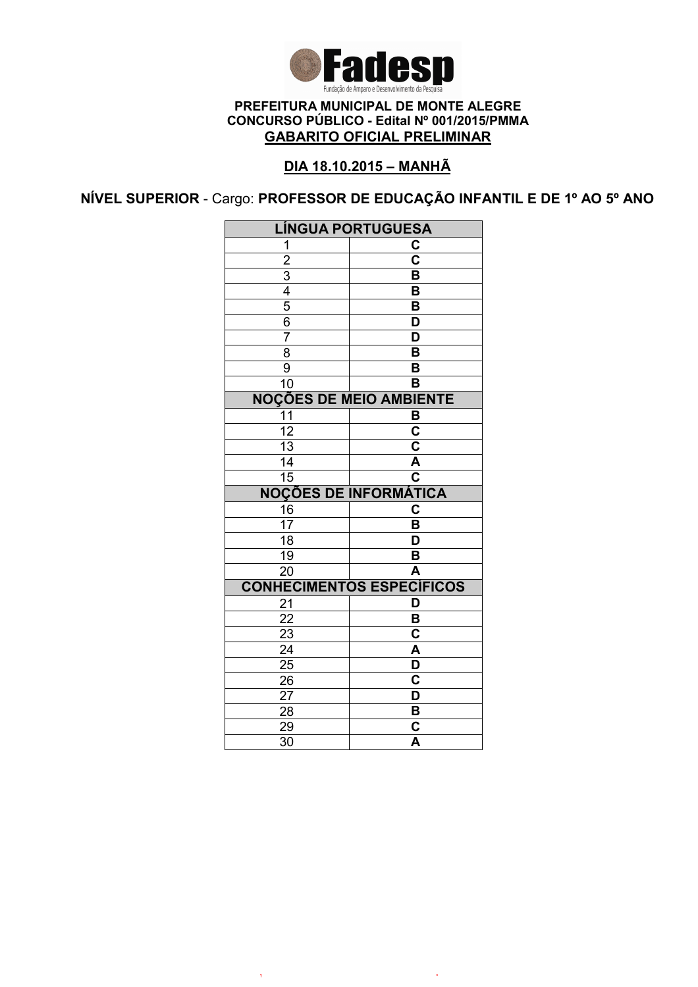

## DIA 18.10.2015 – MANHÃ

NÍVEL SUPERIOR - Cargo: PROFESSOR DE EDUCAÇÃO INFANTIL E DE 1º AO 5º ANO

| <b>LÍNGUA PORTUGUESA</b>       |                                                    |  |
|--------------------------------|----------------------------------------------------|--|
| 1                              | C                                                  |  |
| $\overline{2}$                 | $\overline{\text{c}}$                              |  |
| $\overline{3}$                 | $\overline{\mathsf{B}}$                            |  |
| 4                              | $\overline{\mathsf{B}}$                            |  |
| $\overline{5}$                 | $\overline{\mathsf{B}}$                            |  |
| 6                              | D                                                  |  |
| 7                              | D                                                  |  |
| $\overline{8}$                 | $\overline{\mathsf{B}}$                            |  |
| 9                              | $\overline{\mathsf{B}}$                            |  |
| 10                             | B                                                  |  |
| <b>NOÇÕES DE MEIO AMBIENTE</b> |                                                    |  |
| 11                             | B                                                  |  |
| $\overline{12}$                | $\overline{\textbf{c}}$                            |  |
| $\overline{13}$                | $\overline{\mathbf{c}}$                            |  |
| $\overline{14}$                | Ā                                                  |  |
| 15                             | $\overline{\mathbf{c}}$                            |  |
|                                | <b>NOÇÕES DE INFORMÁTICA</b>                       |  |
| 16                             | C                                                  |  |
| 17                             | B                                                  |  |
| 18                             | $\overline{\mathsf{D}}$                            |  |
| $\overline{19}$                | $\overline{\mathsf{B}}$                            |  |
| $\overline{20}$                | $\overline{\mathsf{A}}$                            |  |
|                                | <b>CONHECIMENTOS ESPECÍFICOS</b>                   |  |
| 21                             | D                                                  |  |
| $\overline{22}$                | B                                                  |  |
| 23                             | $\overline{\textbf{c}}$                            |  |
| $\overline{24}$                | $\overline{\mathsf{A}}$                            |  |
|                                |                                                    |  |
| $\overline{25}$                | $\overline{\mathsf{D}}$                            |  |
| 26                             | $\overline{\mathbf{c}}$                            |  |
| 27                             | D                                                  |  |
| 28                             | B                                                  |  |
| 29<br>$\overline{3}0$          | $\overline{\mathbf{c}}$<br>$\overline{\mathsf{A}}$ |  |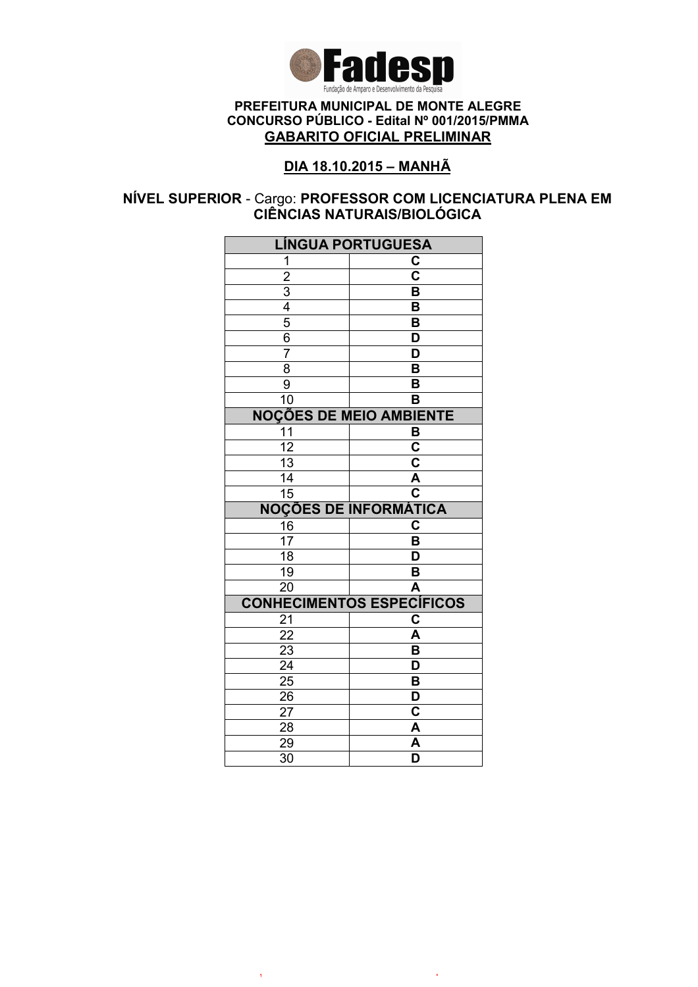

## DIA 18.10.2015 – MANHÃ

### NÍVEL SUPERIOR - Cargo: PROFESSOR COM LICENCIATURA PLENA EM CIÊNCIAS NATURAIS/BIOLÓGICA

| <b>LÍNGUA PORTUGUESA</b>                  |                                    |  |
|-------------------------------------------|------------------------------------|--|
| 1                                         | C                                  |  |
|                                           | $\overline{\mathbf{c}}$            |  |
|                                           | $\overline{\mathsf{B}}$            |  |
|                                           | B                                  |  |
| $\frac{2}{3}$ $\frac{4}{5}$ $\frac{5}{6}$ | B                                  |  |
|                                           | $\overline{\mathsf{D}}$            |  |
| $\overline{7}$                            | $\overline{\mathsf{D}}$            |  |
| $\overline{8}$                            | $\overline{\mathsf{B}}$            |  |
| $\overline{9}$                            | B                                  |  |
| 10                                        | B                                  |  |
| <b>NOÇÕES DE MEIO AMBIENTE</b>            |                                    |  |
| 11                                        | B                                  |  |
| $\overline{12}$                           | $\overline{\mathsf{c}}$            |  |
| 13                                        | $\overline{\mathsf{c}}$            |  |
| $\overline{14}$                           | A                                  |  |
| 15                                        | $\overline{\overline{\textbf{c}}}$ |  |
|                                           | <b>NOÇÕES DE INFORMÁTICA</b>       |  |
| 16                                        | C                                  |  |
| $\overline{17}$                           | B                                  |  |
| $\overline{18}$                           | D                                  |  |
| 19                                        | B                                  |  |
| 20                                        | A                                  |  |
|                                           | <b>CONHECIMENTOS ESPECÍFICOS</b>   |  |
| 21                                        | C                                  |  |
| $\overline{22}$                           | A                                  |  |
| $\overline{23}$                           | $\overline{\mathsf{B}}$            |  |
| $\overline{24}$                           | $\overline{\mathsf{D}}$            |  |
| $\overline{25}$                           | $\overline{\mathsf{B}}$            |  |
| 26                                        | $\overline{\mathsf{D}}$            |  |
| 27                                        | C                                  |  |
| 28                                        | A                                  |  |
| 29                                        | A                                  |  |
| $\overline{30}$                           | D                                  |  |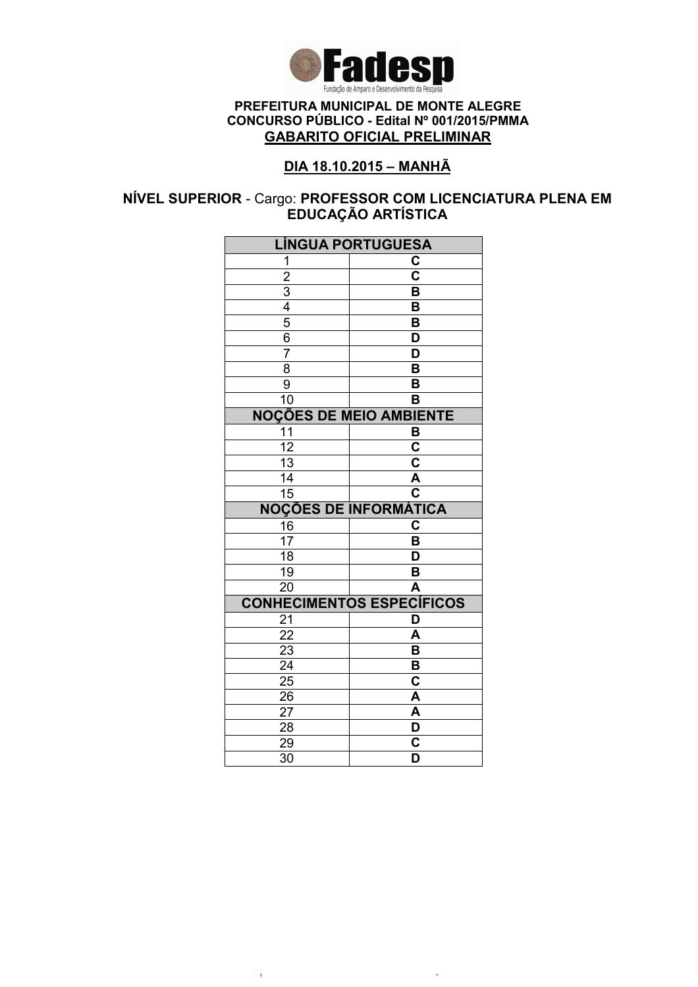

## DIA 18.10.2015 – MANHÃ

### NÍVEL SUPERIOR - Cargo: PROFESSOR COM LICENCIATURA PLENA EM EDUCAÇAO ARTISTICA

| <b>LÍNGUA PORTUGUESA</b>                  |                                                    |  |
|-------------------------------------------|----------------------------------------------------|--|
| 1                                         | C                                                  |  |
|                                           | $\overline{\textbf{c}}$                            |  |
|                                           | $\overline{\mathsf{B}}$                            |  |
|                                           | B                                                  |  |
| $\frac{2}{3}$ $\frac{4}{5}$ $\frac{5}{6}$ | B                                                  |  |
|                                           | $\overline{\mathsf{D}}$                            |  |
| $\overline{7}$                            | $\overline{\mathsf{D}}$                            |  |
| $\overline{8}$                            | $\overline{\mathsf{B}}$                            |  |
| $\overline{9}$                            | B                                                  |  |
| 10                                        | B                                                  |  |
| <b>NOÇÕES DE MEIO AMBIENTE</b>            |                                                    |  |
| 11                                        | B                                                  |  |
| $\overline{12}$                           | $\overline{\mathsf{c}}$                            |  |
| 13                                        | $\overline{\mathsf{c}}$                            |  |
| $\overline{14}$                           | A                                                  |  |
| 15                                        | $\overline{\overline{\textbf{c}}}$                 |  |
|                                           | <b>NOÇÕES DE INFORMÁTICA</b>                       |  |
| 16                                        | C                                                  |  |
| $\overline{17}$                           | B                                                  |  |
| $\overline{18}$                           | D                                                  |  |
| 19                                        | B                                                  |  |
| 20                                        | A                                                  |  |
|                                           | <b>CONHECIMENTOS ESPECÍFICOS</b>                   |  |
| 21                                        | D                                                  |  |
| $\overline{22}$                           | A                                                  |  |
| $\overline{23}$                           | $\overline{\mathsf{B}}$                            |  |
| $\overline{24}$                           | $\overline{\mathsf{B}}$                            |  |
| $\overline{25}$                           | $\overline{\mathbf{c}}$                            |  |
|                                           |                                                    |  |
| 26                                        | A                                                  |  |
| 27                                        | A                                                  |  |
| 28                                        | D                                                  |  |
| 29<br>$\overline{30}$                     | $\overline{\mathsf{c}}$<br>$\overline{\mathsf{D}}$ |  |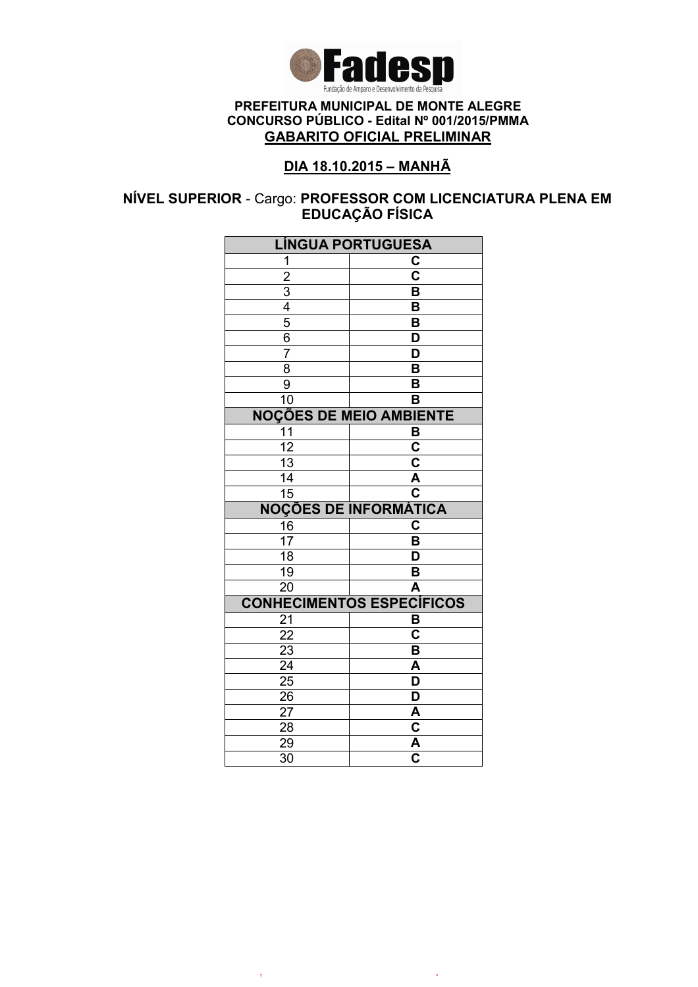

## DIA 18.10.2015 – MANHÃ

### NÍVEL SUPERIOR - Cargo: PROFESSOR COM LICENCIATURA PLENA EM EDUCAÇÃO FÍSICA

| <b>LÍNGUA PORTUGUESA</b>                  |                                    |  |
|-------------------------------------------|------------------------------------|--|
| 1                                         | C                                  |  |
|                                           | $\overline{\textbf{c}}$            |  |
|                                           | $\overline{\mathsf{B}}$            |  |
|                                           | B                                  |  |
| $\frac{2}{3}$ $\frac{4}{5}$ $\frac{5}{6}$ | B                                  |  |
|                                           | $\overline{\mathsf{D}}$            |  |
| $\overline{7}$                            | $\overline{\mathsf{D}}$            |  |
| $\overline{8}$                            | $\overline{\mathsf{B}}$            |  |
| $\overline{9}$                            | B                                  |  |
| 10                                        | B                                  |  |
| <b>NOÇÕES DE MEIO AMBIENTE</b>            |                                    |  |
| 11                                        | B                                  |  |
| $\overline{12}$                           | $\overline{\mathsf{c}}$            |  |
| $\overline{13}$                           | $\overline{\mathsf{c}}$            |  |
| $\overline{14}$                           | A                                  |  |
| 15                                        | $\overline{\overline{\textbf{c}}}$ |  |
|                                           | <b>NOÇÕES DE INFORMÁTICA</b>       |  |
| 16                                        | C                                  |  |
| $\overline{17}$                           | B                                  |  |
| $\overline{18}$                           | D                                  |  |
| 19                                        | B                                  |  |
| 20                                        | A                                  |  |
|                                           | <b>CONHECIMENTOS ESPECÍFICOS</b>   |  |
| 21                                        | B                                  |  |
| $\overline{22}$                           | $\overline{\mathsf{c}}$            |  |
|                                           |                                    |  |
| $\overline{23}$                           | $\overline{\mathsf{B}}$            |  |
| $\overline{24}$                           | $\overline{\mathsf{A}}$            |  |
| $\overline{25}$                           | D                                  |  |
| 26                                        | $\overline{\mathsf{D}}$            |  |
| 27                                        | A                                  |  |
| 28                                        | $\overline{\mathsf{c}}$            |  |
| 29<br>$\overline{30}$                     | $\frac{\overline{A}}{C}$           |  |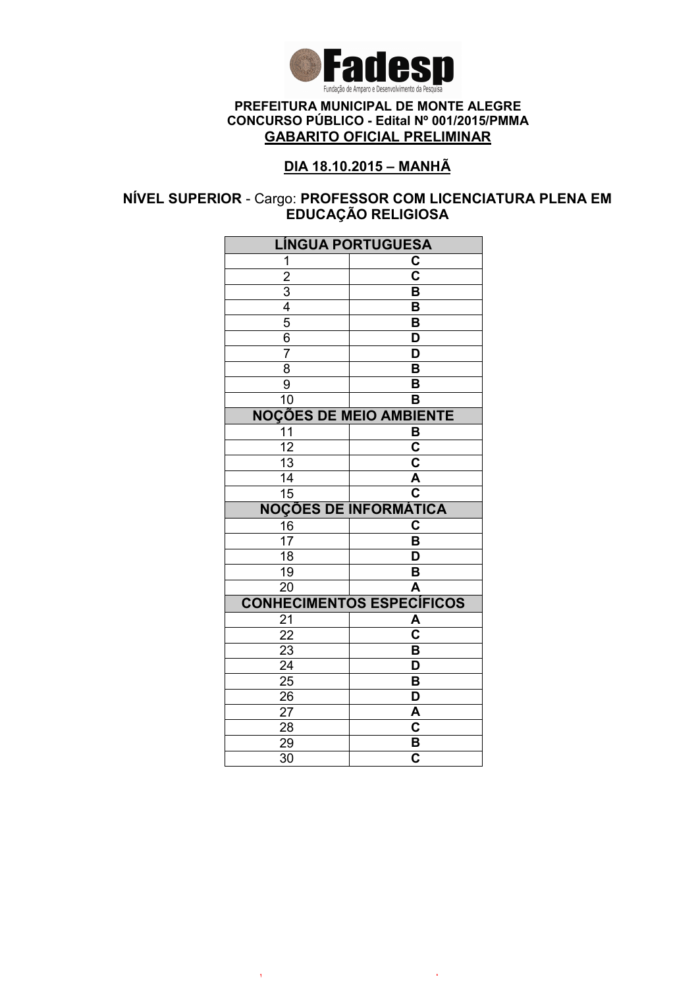

## DIA 18.10.2015 – MANHÃ

### NÍVEL SUPERIOR - Cargo: PROFESSOR COM LICENCIATURA PLENA EM EDUCAÇÃO RELIGIOSA

| <b>LÍNGUA PORTUGUESA</b>                  |                                                    |  |
|-------------------------------------------|----------------------------------------------------|--|
| 1                                         | C                                                  |  |
|                                           | $\overline{\textbf{c}}$                            |  |
|                                           | $\overline{\mathsf{B}}$                            |  |
|                                           | B                                                  |  |
| $\frac{2}{3}$ $\frac{4}{5}$ $\frac{5}{6}$ | B                                                  |  |
|                                           | $\overline{\mathsf{D}}$                            |  |
| $\overline{7}$                            | $\overline{\mathsf{D}}$                            |  |
| $\overline{8}$                            | $\overline{\mathsf{B}}$                            |  |
| $\overline{9}$                            | B                                                  |  |
| 10                                        | B                                                  |  |
| <b>NOÇÕES DE MEIO AMBIENTE</b>            |                                                    |  |
| 11                                        | В                                                  |  |
| $\overline{12}$                           | $\overline{\mathsf{c}}$                            |  |
| $\overline{13}$                           | $\overline{\mathsf{c}}$                            |  |
| $\overline{14}$                           | A                                                  |  |
| 15                                        | $\overline{\overline{\textbf{c}}}$                 |  |
|                                           | <b>NOÇÕES DE INFORMÁTICA</b>                       |  |
| 16                                        | C                                                  |  |
| $\overline{17}$                           | B                                                  |  |
| $\overline{18}$                           | D                                                  |  |
| 19                                        | B                                                  |  |
| 20                                        | A                                                  |  |
|                                           | <b>CONHECIMENTOS ESPECÍFICOS</b>                   |  |
| 21                                        | A                                                  |  |
| $\overline{22}$                           | $\overline{\textbf{c}}$                            |  |
|                                           |                                                    |  |
| $\overline{23}$                           | $\overline{\mathsf{B}}$                            |  |
| $\overline{24}$                           | $\overline{\mathsf{D}}$                            |  |
| $\overline{25}$                           | $\overline{\mathsf{B}}$                            |  |
| 26                                        | $\overline{\mathsf{D}}$                            |  |
| 27                                        | A                                                  |  |
| 28                                        | $\overline{\mathbf{c}}$                            |  |
| 29<br>$\overline{30}$                     | $\overline{\mathbf{B}}$<br>$\overline{\mathbf{c}}$ |  |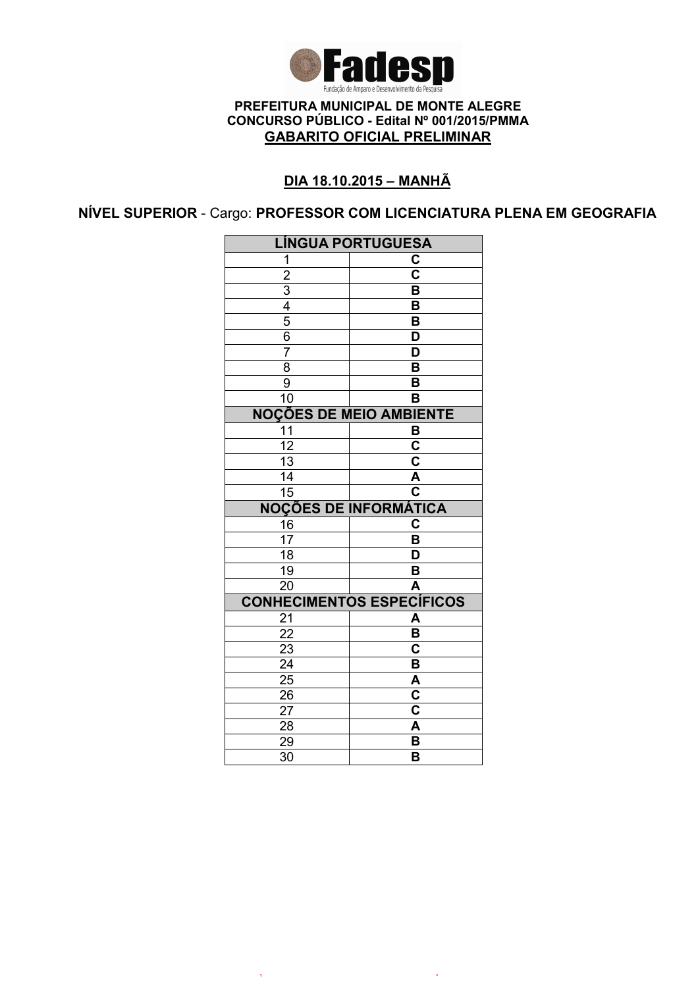

# DIA 18.10.2015 – MANHÃ

NÍVEL SUPERIOR - Cargo: PROFESSOR COM LICENCIATURA PLENA EM GEOGRAFIA

| <b>LÍNGUA PORTUGUESA</b>       |                                  |  |
|--------------------------------|----------------------------------|--|
| 1                              | C                                |  |
| $\overline{2}$                 | $\overline{\mathbf{c}}$          |  |
|                                | B                                |  |
| $\frac{3}{4}$                  | B                                |  |
| $\overline{5}$                 | $\overline{\mathsf{B}}$          |  |
| 6                              | D                                |  |
| $\overline{7}$                 | D                                |  |
| $\overline{8}$                 | $\overline{\mathsf{B}}$          |  |
| 9                              | B                                |  |
| 10                             | B                                |  |
| <b>NOÇÕES DE MEIO AMBIENTE</b> |                                  |  |
| $\overline{11}$                | B                                |  |
| $\overline{12}$                | $\overline{\mathbf{c}}$          |  |
| $\overline{13}$                | $\overline{\mathsf{c}}$          |  |
| 14                             | A                                |  |
| $\overline{15}$                | $\overline{\mathbf{c}}$          |  |
|                                | <b>NOÇÕES DE INFORMÁTICA</b>     |  |
| 16                             | $\overline{c}$                   |  |
| 17                             | B                                |  |
| 18                             | D                                |  |
| 19                             | B                                |  |
| 20                             | A                                |  |
|                                | <b>CONHECIMENTOS ESPECÍFICOS</b> |  |
| 21                             | A                                |  |
| 22                             | B                                |  |
|                                |                                  |  |
| 23                             | $\overline{\mathbf{c}}$          |  |
| $\overline{24}$                | $\overline{\mathsf{B}}$          |  |
| $\overline{25}$                | A                                |  |
| 26                             | $\overline{\text{c}}$            |  |
| 27                             | $\overline{\text{c}}$            |  |
| 28                             | A                                |  |
| 29<br>30                       | B<br>B                           |  |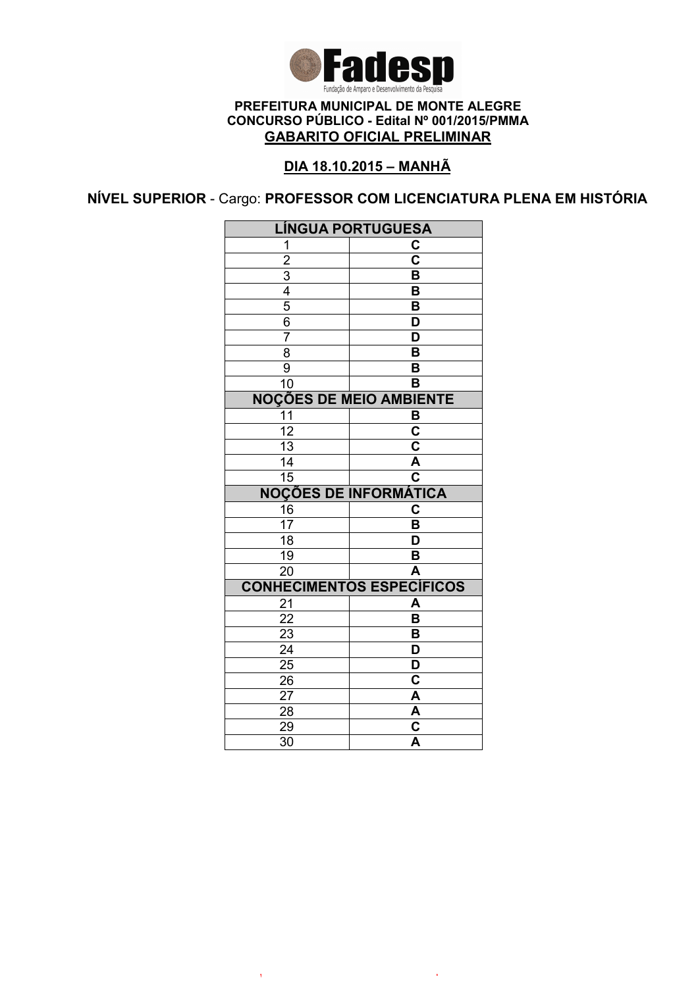

# DIA 18.10.2015 – MANHÃ

NÍVEL SUPERIOR - Cargo: PROFESSOR COM LICENCIATURA PLENA EM HISTÓRIA

| <b>LINGUA PORTUGUESA</b>       |                                    |  |
|--------------------------------|------------------------------------|--|
| 1                              | C                                  |  |
|                                | $\overline{\text{c}}$              |  |
| $\frac{2}{3}$                  | $\overline{\mathsf{B}}$            |  |
|                                | B                                  |  |
| $\overline{5}$                 | B                                  |  |
| 6                              | $\overline{\mathsf{D}}$            |  |
| $\overline{7}$                 | D                                  |  |
| $\overline{8}$                 | $\overline{\mathsf{B}}$            |  |
| $\overline{9}$                 | $\overline{\mathsf{B}}$            |  |
| $\overline{10}$                | $\overline{\mathsf{B}}$            |  |
| <b>NOÇÕES DE MEIO AMBIENTE</b> |                                    |  |
| 11                             | B                                  |  |
| $\overline{12}$                | $\overline{\textbf{c}}$            |  |
| $\overline{13}$                | $\overline{\mathsf{c}}$            |  |
| $\overline{14}$                | A                                  |  |
| $\overline{15}$                | $\overline{\overline{\mathbf{c}}}$ |  |
|                                | <b>NOÇÕES DE INFORMÁTICA</b>       |  |
| 16                             | C                                  |  |
| $\overline{17}$                | B                                  |  |
| $\overline{18}$                | D                                  |  |
| $\overline{19}$                | B                                  |  |
| $\overline{20}$                | $\overline{\mathsf{A}}$            |  |
|                                | <b>CONHECIMENTOS ESPECÍFICOS</b>   |  |
| 21                             | A                                  |  |
| $\overline{22}$                | B                                  |  |
| $\frac{2}{3}$                  | B                                  |  |
| $\overline{24}$                | $\overline{\mathsf{D}}$            |  |
| 25                             | D                                  |  |
| 26                             | $\overline{\mathbf{c}}$            |  |
| $2\overline{7}$                | A                                  |  |
| 28                             | $\overline{\mathsf{A}}$            |  |
| 29                             | C                                  |  |
| $\overline{30}$                | $\overline{\mathsf{A}}$            |  |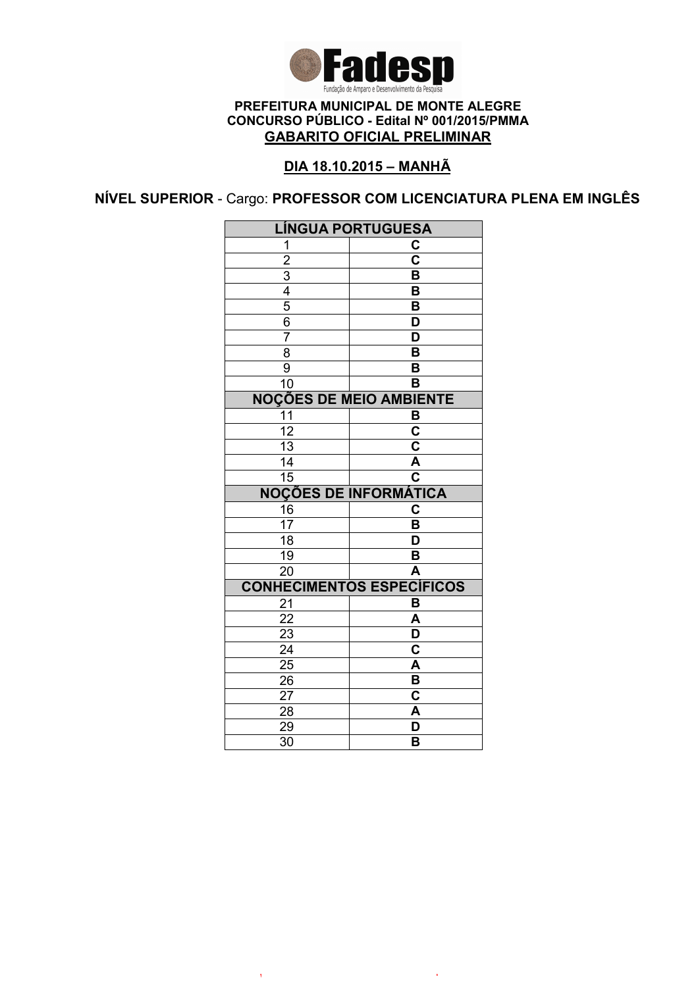

## DIA 18.10.2015 – MANHÃ

NÍVEL SUPERIOR - Cargo: PROFESSOR COM LICENCIATURA PLENA EM INGLÊS

| <b>LÍNGUA PORTUGUESA</b>       |                                  |  |
|--------------------------------|----------------------------------|--|
| 1                              | C                                |  |
|                                | $\overline{\text{c}}$            |  |
|                                | $\overline{\mathsf{B}}$          |  |
| $\frac{2}{3}$                  | B                                |  |
| $\overline{5}$                 | B                                |  |
| $\overline{6}$                 | D                                |  |
| $\overline{7}$                 | D                                |  |
| 8                              | $\overline{\mathsf{B}}$          |  |
| 9                              | B                                |  |
| 10                             | B                                |  |
| <b>NOÇÕES DE MEIO AMBIENTE</b> |                                  |  |
| 11                             | B                                |  |
| $\overline{12}$                | $\overline{\mathbf{c}}$          |  |
| $\overline{13}$                | $\overline{\mathsf{c}}$          |  |
| $\overline{14}$                | $\overline{\mathsf{A}}$          |  |
| $\overline{15}$                | $\overline{\mathbf{c}}$          |  |
|                                | <b>NOÇÕES DE INFORMÁTICA</b>     |  |
| 16                             | C                                |  |
| $\overline{17}$                | B                                |  |
| $\overline{18}$                | $\overline{\mathsf{D}}$          |  |
| 19                             | B                                |  |
| $\overline{20}$                | A                                |  |
|                                | <b>CONHECIMENTOS ESPECÍFICOS</b> |  |
| 21                             | B                                |  |
| $\overline{22}$                | $\overline{\mathsf{A}}$          |  |
| 23                             | D                                |  |
| $\overline{24}$                | $\overline{\textbf{c}}$          |  |
| $\overline{25}$                | $\overline{\mathsf{A}}$          |  |
| 26                             | B                                |  |
| 27                             | C                                |  |
| 28                             | A                                |  |
| 29                             |                                  |  |
| $\overline{30}$                | D<br>B                           |  |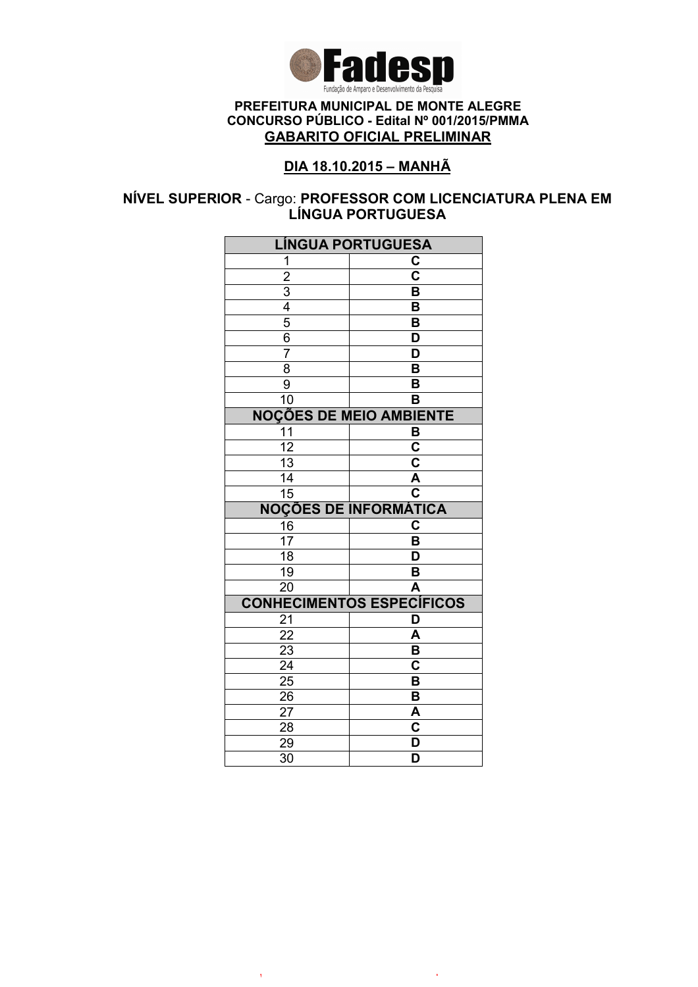

## DIA 18.10.2015 – MANHÃ

### NÍVEL SUPERIOR - Cargo: PROFESSOR COM LICENCIATURA PLENA EM LÍNGUA PORTUGUESA

| <b>LÍNGUA PORTUGUESA</b>                  |                                                    |  |
|-------------------------------------------|----------------------------------------------------|--|
| 1                                         | C                                                  |  |
|                                           | $\overline{\textbf{c}}$                            |  |
|                                           | $\overline{\mathsf{B}}$                            |  |
|                                           | B                                                  |  |
| $\frac{2}{3}$ $\frac{4}{5}$ $\frac{5}{6}$ | B                                                  |  |
|                                           | $\overline{\mathsf{D}}$                            |  |
| $\overline{7}$                            | $\overline{\mathsf{D}}$                            |  |
| $\overline{8}$                            | $\overline{\mathsf{B}}$                            |  |
| $\overline{9}$                            | B                                                  |  |
| 10                                        | B                                                  |  |
| <b>NOÇÕES DE MEIO AMBIENTE</b>            |                                                    |  |
| 11                                        | B                                                  |  |
| $\overline{12}$                           | $\overline{\mathsf{c}}$                            |  |
| $\overline{13}$                           | $\overline{\mathsf{c}}$                            |  |
| $\overline{14}$                           | A                                                  |  |
| 15                                        | $\overline{\overline{\textbf{c}}}$                 |  |
|                                           | <b>NOÇÕES DE INFORMÁTICA</b>                       |  |
| 16                                        | C                                                  |  |
| $\overline{17}$                           | B                                                  |  |
| $\overline{18}$                           | D                                                  |  |
| 19                                        | B                                                  |  |
| 20                                        | A                                                  |  |
|                                           | <b>CONHECIMENTOS ESPECÍFICOS</b>                   |  |
| 21                                        | D                                                  |  |
| $\overline{22}$                           | A                                                  |  |
| $\overline{23}$                           | $\overline{\mathsf{B}}$                            |  |
|                                           |                                                    |  |
| $\overline{24}$                           | $\overline{\mathbf{c}}$                            |  |
| $\overline{25}$                           | $\overline{\mathsf{B}}$                            |  |
| 26                                        | $\overline{\mathsf{B}}$                            |  |
| 27                                        | A                                                  |  |
| 28                                        | $\overline{\mathbf{c}}$                            |  |
| 29<br>$\overline{30}$                     | $\overline{\mathsf{D}}$<br>$\overline{\mathsf{D}}$ |  |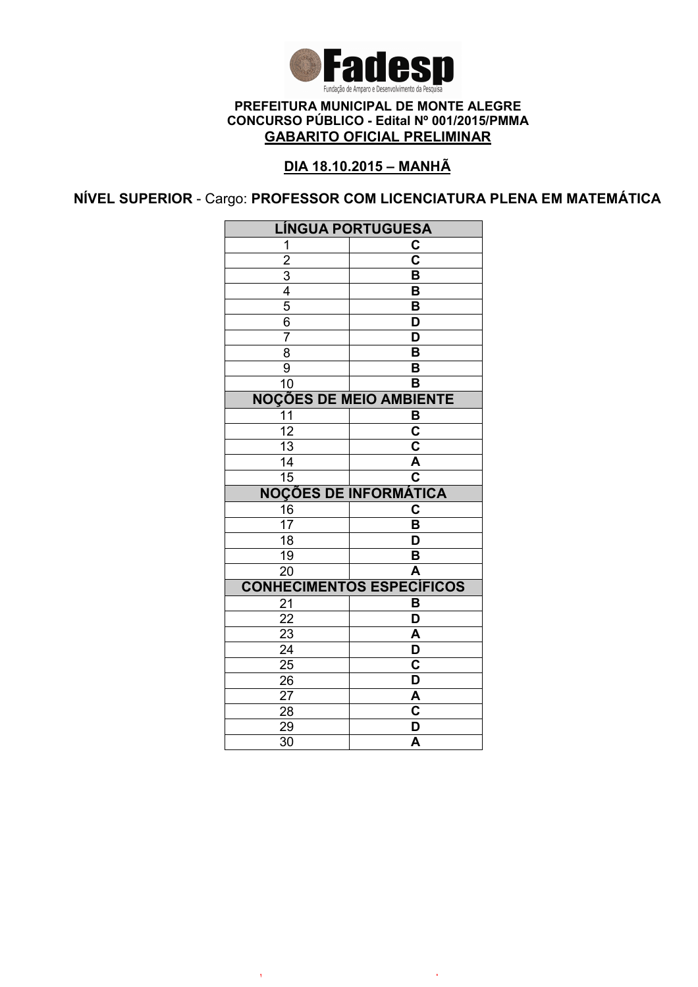

# DIA 18.10.2015 – MANHÃ

NÍVEL SUPERIOR - Cargo: PROFESSOR COM LICENCIATURA PLENA EM MATEMÁTICA

| <b>LÍNGUA PORTUGUESA</b>                  |                                                    |  |
|-------------------------------------------|----------------------------------------------------|--|
| 1                                         | C                                                  |  |
| $\overline{2}$                            | $\overline{\mathsf{c}}$                            |  |
|                                           | $\overline{\mathsf{B}}$                            |  |
|                                           | $\overline{\mathsf{B}}$                            |  |
|                                           | B                                                  |  |
| $\frac{3}{4}$ $\frac{4}{5}$ $\frac{6}{7}$ | $\overline{\mathsf{D}}$                            |  |
|                                           | $\overline{\mathsf{D}}$                            |  |
| $\overline{8}$                            | $\overline{\mathsf{B}}$                            |  |
| 9                                         | $\overline{\mathsf{B}}$                            |  |
| 10                                        | $\overline{\mathsf{B}}$                            |  |
| <b>NOÇÕES DE MEIO AMBIENTE</b>            |                                                    |  |
| 11                                        | B                                                  |  |
| $\overline{12}$                           | $\overline{\mathsf{c}}$                            |  |
| $\overline{13}$                           | $\overline{\mathbf{c}}$                            |  |
| $\overline{14}$                           | $\frac{\overline{A}}{C}$                           |  |
| $\overline{15}$                           |                                                    |  |
|                                           |                                                    |  |
|                                           | <b>NOÇÕES DE INFORMÁTICA</b>                       |  |
| 16                                        | $\overline{\mathbf{C}}$                            |  |
| $\overline{17}$                           | B                                                  |  |
| $\overline{18}$                           | $\overline{\mathsf{D}}$                            |  |
| $\overline{19}$                           | B                                                  |  |
| $\overline{20}$                           | $\overline{\mathsf{A}}$                            |  |
|                                           | <b>CONHECIMENTOS ESPECÍFICOS</b>                   |  |
| 21                                        | B                                                  |  |
| 22                                        | $\overline{\mathsf{D}}$                            |  |
| $\overline{23}$                           | A                                                  |  |
| $\overline{24}$                           | $\overline{\mathsf{D}}$                            |  |
| $\overline{25}$                           | $\overline{\mathsf{C}}$                            |  |
| 26                                        | $\overline{\mathsf{D}}$                            |  |
| 27                                        |                                                    |  |
| 28                                        | $rac{A}{C}$                                        |  |
| 29<br>30                                  | $\overline{\mathsf{D}}$<br>$\overline{\mathsf{A}}$ |  |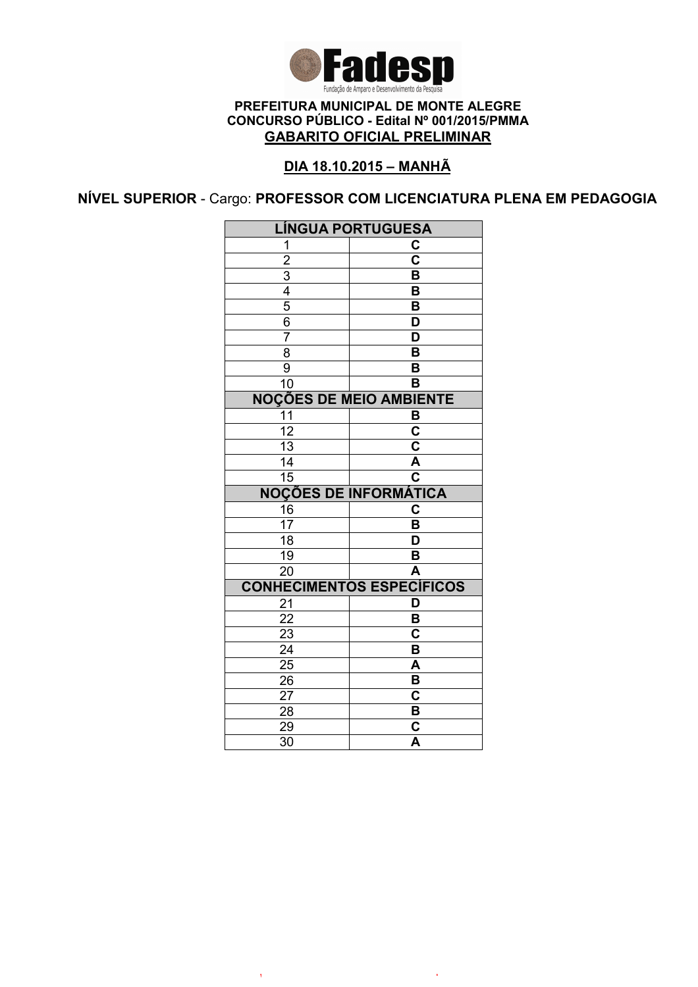

## DIA 18.10.2015 – MANHÃ

NÍVEL SUPERIOR - Cargo: PROFESSOR COM LICENCIATURA PLENA EM PEDAGOGIA

| <b>LÍNGUA PORTUGUESA</b>       |                                                    |  |
|--------------------------------|----------------------------------------------------|--|
| 1                              | $\overline{c}$                                     |  |
| $\overline{2}$                 | $\overline{\mathsf{c}}$                            |  |
| $\overline{3}$                 | $\overline{\mathsf{B}}$                            |  |
| $\frac{4}{5}$                  | B                                                  |  |
|                                | $\overline{\mathsf{B}}$                            |  |
| 6                              | D                                                  |  |
| $\overline{7}$                 | D                                                  |  |
| $\overline{8}$                 | $\overline{\mathsf{B}}$                            |  |
| 9                              | B                                                  |  |
| 10                             | B                                                  |  |
| <b>NOÇÕES DE MEIO AMBIENTE</b> |                                                    |  |
| 11                             | B                                                  |  |
| $\overline{12}$                | $\overline{\mathbf{c}}$                            |  |
| $\overline{13}$                | $\overline{\mathbf{c}}$                            |  |
| $\overline{14}$                | $\overline{\mathsf{A}}$                            |  |
| $\overline{15}$                | $\overline{\mathsf{c}}$                            |  |
|                                |                                                    |  |
|                                | <b>NOÇÕES DE INFORMÁTICA</b>                       |  |
| 16                             | С                                                  |  |
| 17                             | B                                                  |  |
| $\overline{18}$                | $\overline{\mathsf{D}}$                            |  |
| 19                             | B                                                  |  |
| 20                             | A                                                  |  |
|                                | <b>CONHECIMENTOS ESPECÍFICOS</b>                   |  |
| 21                             | D                                                  |  |
| 22                             | B                                                  |  |
| 23                             | C                                                  |  |
| $\overline{24}$                | $\overline{\mathsf{B}}$                            |  |
| 25                             | $\overline{\mathsf{A}}$                            |  |
| $\overline{26}$                | B                                                  |  |
| 27                             | $\overline{\mathbf{c}}$                            |  |
| 28                             | B                                                  |  |
| 29<br>$\overline{3}0$          | $\overline{\mathbf{c}}$<br>$\overline{\mathsf{A}}$ |  |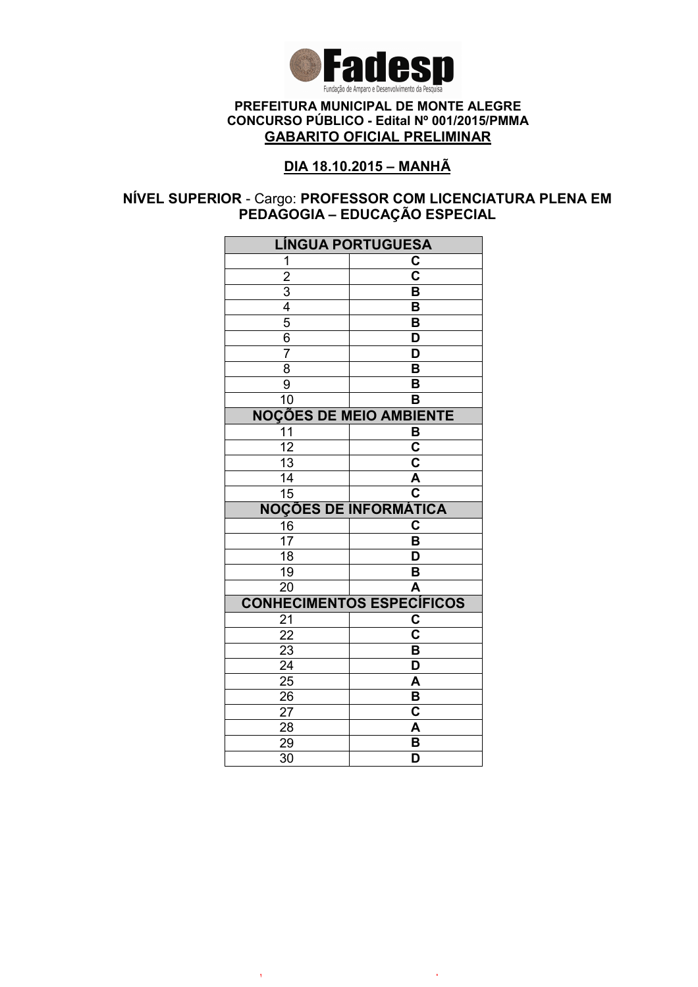

## DIA 18.10.2015 – MANHÃ

### NÍVEL SUPERIOR - Cargo: PROFESSOR COM LICENCIATURA PLENA EM PEDAGOGIA – EDUCAÇÃO ESPECIAL

| <b>LÍNGUA PORTUGUESA</b>                  |                                    |  |
|-------------------------------------------|------------------------------------|--|
| 1                                         | C                                  |  |
|                                           | $\overline{\textbf{c}}$            |  |
|                                           | $\overline{\mathsf{B}}$            |  |
|                                           | B                                  |  |
| $\frac{2}{3}$ $\frac{4}{5}$ $\frac{5}{6}$ | B                                  |  |
|                                           | $\overline{\mathsf{D}}$            |  |
| $\overline{7}$                            | $\overline{\mathsf{D}}$            |  |
| $\overline{8}$                            | $\overline{\mathsf{B}}$            |  |
| $\overline{9}$                            | B                                  |  |
| 10                                        | B                                  |  |
| <b>NOÇÕES DE MEIO AMBIENTE</b>            |                                    |  |
| 11                                        | B                                  |  |
| $\overline{12}$                           | $\overline{\mathsf{c}}$            |  |
| 13                                        | $\overline{\mathsf{c}}$            |  |
| $\overline{14}$                           | A                                  |  |
| 15                                        | $\overline{\overline{\textbf{c}}}$ |  |
| <b>NOÇÕES DE INFORMÁTICA</b>              |                                    |  |
| 16                                        | C                                  |  |
| $\overline{17}$                           | B                                  |  |
| $\overline{18}$                           | D                                  |  |
| 19                                        | B                                  |  |
| 20                                        | A                                  |  |
|                                           | <b>CONHECIMENTOS ESPECÍFICOS</b>   |  |
| 21                                        | C                                  |  |
| $\overline{22}$                           | $\overline{\mathbf{C}}$            |  |
| $\overline{23}$                           | $\overline{\mathsf{B}}$            |  |
| $\overline{24}$                           | $\overline{\mathsf{D}}$            |  |
| $\overline{25}$                           | $\overline{\mathsf{A}}$            |  |
| 26                                        | B                                  |  |
| 27                                        | C                                  |  |
| 28                                        | A                                  |  |
| 29                                        | B                                  |  |
| $\overline{30}$                           | D                                  |  |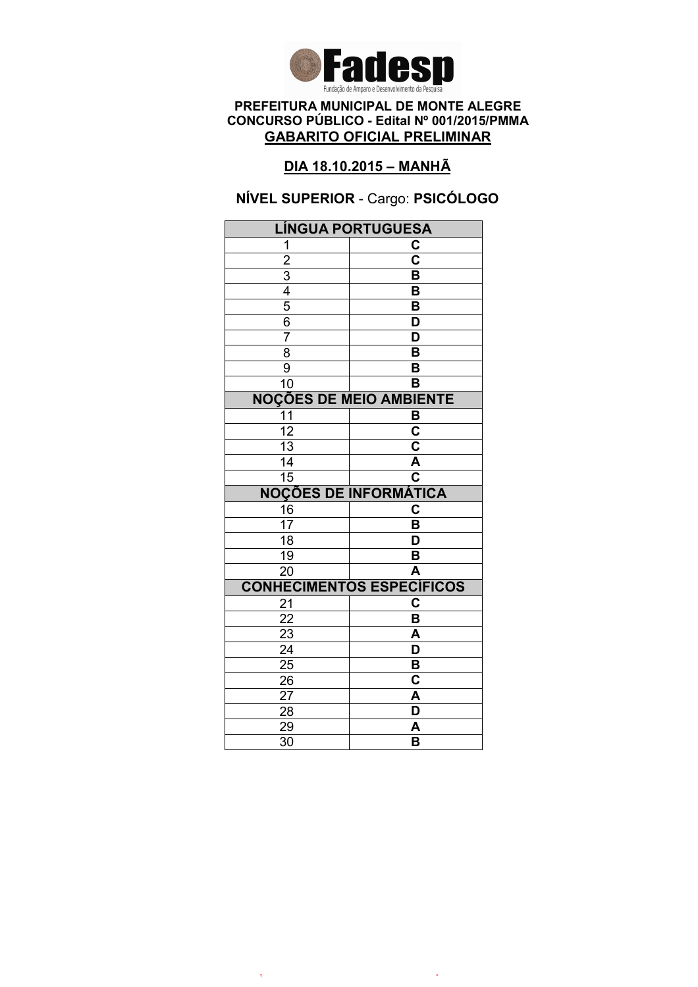

## DIA 18.10.2015 – MANHÃ

# NÍVEL SUPERIOR - Cargo: PSICÓLOGO

| <b>LÍNGUA PORTUGUESA</b>       |                                  |  |
|--------------------------------|----------------------------------|--|
| 1                              | C                                |  |
| $\overline{2}$                 | $\overline{\mathbf{c}}$          |  |
| $\overline{3}$                 | B                                |  |
| $\frac{1}{4}$                  | B                                |  |
| $\overline{5}$                 | B                                |  |
| 6                              | D                                |  |
| 7                              | D                                |  |
| $\overline{8}$                 | $\overline{\mathsf{B}}$          |  |
| 9                              | B                                |  |
| 10                             | в                                |  |
| <b>NOÇÕES DE MEIO AMBIENTE</b> |                                  |  |
| 11                             | B                                |  |
| $\overline{12}$                | $\overline{\mathbf{c}}$          |  |
| $\overline{13}$                | $\overline{\textbf{c}}$          |  |
| 14                             | $\overline{\mathsf{A}}$          |  |
| $\overline{15}$                | $\overline{\mathbf{c}}$          |  |
| <b>NOÇÕES DE INFORMÁTICA</b>   |                                  |  |
| 16                             | C                                |  |
| 17                             | B                                |  |
| $\overline{18}$                | D                                |  |
| 19                             | B                                |  |
| $\overline{20}$                | A                                |  |
|                                | <b>CONHECIMENTOS ESPECÍFICOS</b> |  |
|                                |                                  |  |
| 21                             | C                                |  |
| 22                             | B                                |  |
| 23                             | A                                |  |
| $\overline{24}$                | $\overline{\mathsf{D}}$          |  |
| 25                             | B                                |  |
| 26                             | C                                |  |
| 27                             | A                                |  |
| 28                             | D                                |  |
| 29<br>$\overline{30}$          | A<br>$\overline{\mathsf{B}}$     |  |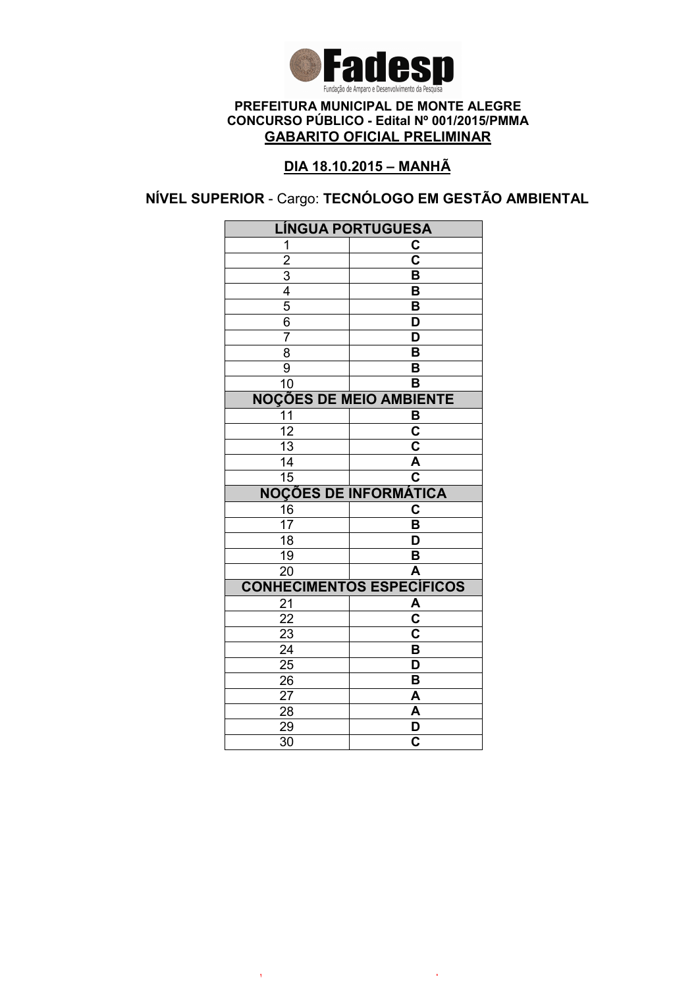

# DIA 18.10.2015 – MANHÃ

NÍVEL SUPERIOR - Cargo: TECNÓLOGO EM GESTÃO AMBIENTAL

| <b>LÍNGUA PORTUGUESA</b>                                |                                  |  |
|---------------------------------------------------------|----------------------------------|--|
| 1                                                       | C                                |  |
|                                                         | $\overline{\text{c}}$            |  |
|                                                         | B                                |  |
|                                                         | B                                |  |
| $\frac{2}{3}$ $\frac{3}{4}$ $\frac{4}{5}$ $\frac{6}{6}$ | $\overline{\mathsf{B}}$          |  |
|                                                         | D                                |  |
| $\overline{7}$                                          | $\overline{\mathsf{D}}$          |  |
| $\overline{8}$                                          | $\overline{\mathsf{B}}$          |  |
| $\overline{9}$                                          | B                                |  |
| 10                                                      | B                                |  |
| <b>NOÇÕES DE MEIO AMBIENTE</b>                          |                                  |  |
| 11                                                      | B                                |  |
| $\overline{12}$                                         | $\overline{\mathbf{c}}$          |  |
| $\overline{13}$                                         | $\overline{\mathsf{c}}$          |  |
| 14                                                      | A                                |  |
| $\overline{15}$                                         | $\overline{\mathbf{c}}$          |  |
| <b>NOÇÕES DE INFORMÁTICA</b>                            |                                  |  |
| $\frac{16}{17}$                                         | C                                |  |
|                                                         | B                                |  |
| $\overline{18}$                                         | $\overline{\mathsf{D}}$          |  |
| 19                                                      | B                                |  |
| $\overline{20}$                                         | $\overline{\mathsf{A}}$          |  |
|                                                         | <b>CONHECIMENTOS ESPECÍFICOS</b> |  |
| 21                                                      | A                                |  |
|                                                         |                                  |  |
| 22                                                      | $\overline{\textbf{c}}$          |  |
| 23                                                      | $\overline{\mathbf{c}}$          |  |
| $\overline{24}$                                         | $\overline{\mathsf{B}}$          |  |
| $\overline{25}$                                         | $\overline{\mathsf{D}}$          |  |
| 26                                                      | B                                |  |
| 27                                                      | A                                |  |
| 28                                                      | A                                |  |
| 29<br>$\overline{30}$                                   | D<br>$\overline{\mathbf{c}}$     |  |